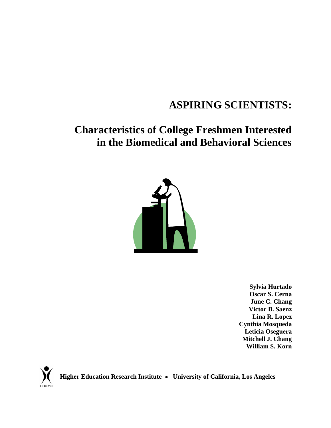# **ASPIRING SCIENTISTS:**

# **Characteristics of College Freshmen Interested in the Biomedical and Behavioral Sciences**



**Sylvia Hurtado Oscar S. Cerna June C. Chang Victor B. Saenz Lina R. Lopez Cynthia Mosqueda Leticia Oseguera Mitchell J. Chang William S. Korn** 



 **Higher Education Research Institute** • **University of California, Los Angeles**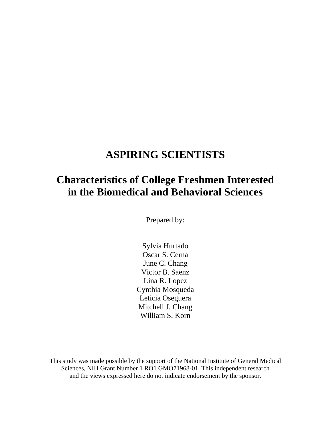## **ASPIRING SCIENTISTS**

## **Characteristics of College Freshmen Interested in the Biomedical and Behavioral Sciences**

Prepared by:

Sylvia Hurtado Oscar S. Cerna June C. Chang Victor B. Saenz Lina R. Lopez Cynthia Mosqueda Leticia Oseguera Mitchell J. Chang William S. Korn

This study was made possible by the support of the National Institute of General Medical Sciences, NIH Grant Number 1 RO1 GMO71968-01. This independent research and the views expressed here do not indicate endorsement by the sponsor.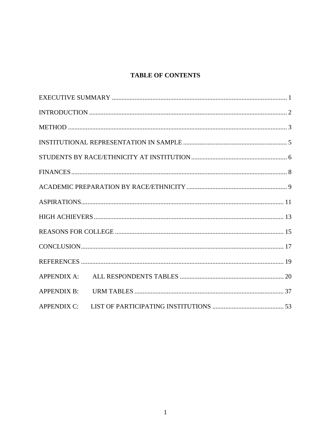### **TABLE OF CONTENTS**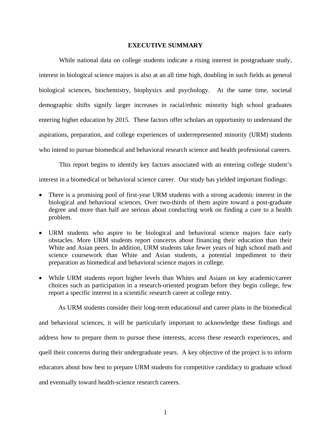#### **EXECUTIVE SUMMARY**

<span id="page-3-0"></span> While national data on college students indicate a rising interest in postgraduate study, interest in biological science majors is also at an all time high, doubling in such fields as general biological sciences, biochemistry, biophysics and psychology. At the same time, societal demographic shifts signify larger increases in racial/ethnic minority high school graduates entering higher education by 2015. These factors offer scholars an opportunity to understand the aspirations, preparation, and college experiences of underrepresented minority (URM) students who intend to pursue biomedical and behavioral research science and health professional careers.

 This report begins to identify key factors associated with an entering college student's interest in a biomedical or behavioral science career. Our study has yielded important findings:

- There is a promising pool of first-year URM students with a strong academic interest in the biological and behavioral sciences. Over two-thirds of them aspire toward a post-graduate degree and more than half are serious about conducting work on finding a cure to a health problem.
- URM students who aspire to be biological and behavioral science majors face early obstacles. More URM students report concerns about financing their education than their White and Asian peers. In addition, URM students take fewer years of high school math and science coursework than White and Asian students, a potential impediment to their preparation as biomedical and behavioral science majors in college.
- While URM students report higher levels than Whites and Asians on key academic/career choices such as participation in a research-oriented program before they begin college, few report a specific interest in a scientific research career at college entry.

 As URM students consider their long-term educational and career plans in the biomedical and behavioral sciences, it will be particularly important to acknowledge these findings and address how to prepare them to pursue these interests, access these research experiences, and quell their concerns during their undergraduate years. A key objective of the project is to inform educators about how best to prepare URM students for competitive candidacy to graduate school and eventually toward health-science research careers.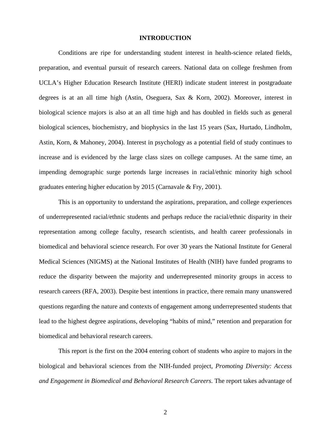#### **INTRODUCTION**

<span id="page-4-0"></span> Conditions are ripe for understanding student interest in health-science related fields, preparation, and eventual pursuit of research careers. National data on college freshmen from UCLA's Higher Education Research Institute (HERI) indicate student interest in postgraduate degrees is at an all time high (Astin, Oseguera, Sax & Korn, 2002). Moreover, interest in biological science majors is also at an all time high and has doubled in fields such as general biological sciences, biochemistry, and biophysics in the last 15 years (Sax, Hurtado, Lindholm, Astin, Korn, & Mahoney, 2004). Interest in psychology as a potential field of study continues to increase and is evidenced by the large class sizes on college campuses. At the same time, an impending demographic surge portends large increases in racial/ethnic minority high school graduates entering higher education by 2015 (Carnavale & Fry, 2001).

 This is an opportunity to understand the aspirations, preparation, and college experiences of underrepresented racial/ethnic students and perhaps reduce the racial/ethnic disparity in their representation among college faculty, research scientists, and health career professionals in biomedical and behavioral science research. For over 30 years the National Institute for General Medical Sciences (NIGMS) at the National Institutes of Health (NIH) have funded programs to reduce the disparity between the majority and underrepresented minority groups in access to research careers (RFA, 2003). Despite best intentions in practice, there remain many unanswered questions regarding the nature and contexts of engagement among underrepresented students that lead to the highest degree aspirations, developing "habits of mind," retention and preparation for biomedical and behavioral research careers.

 This report is the first on the 2004 entering cohort of students who aspire to majors in the biological and behavioral sciences from the NIH-funded project, *Promoting Diversity: Access and Engagement in Biomedical and Behavioral Research Careers*. The report takes advantage of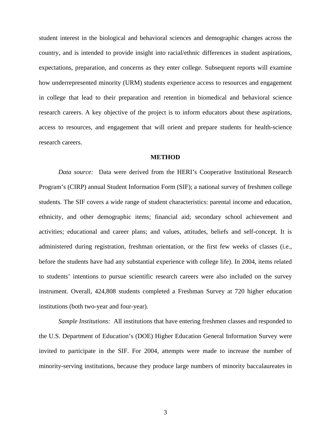<span id="page-5-0"></span>student interest in the biological and behavioral sciences and demographic changes across the country, and is intended to provide insight into racial/ethnic differences in student aspirations, expectations, preparation, and concerns as they enter college. Subsequent reports will examine how underrepresented minority (URM) students experience access to resources and engagement in college that lead to their preparation and retention in biomedical and behavioral science research careers. A key objective of the project is to inform educators about these aspirations, access to resources, and engagement that will orient and prepare students for health-science research careers.

#### **METHOD**

*Data source:* Data were derived from the HERI's Cooperative Institutional Research Program's (CIRP) annual Student Information Form (SIF); a national survey of freshmen college students. The SIF covers a wide range of student characteristics: parental income and education, ethnicity, and other demographic items; financial aid; secondary school achievement and activities; educational and career plans; and values, attitudes, beliefs and self-concept. It is administered during registration, freshman orientation, or the first few weeks of classes (i.e., before the students have had any substantial experience with college life). In 2004, items related to students' intentions to pursue scientific research careers were also included on the survey instrument. Overall, 424,808 students completed a Freshman Survey at 720 higher education institutions (both two-year and four-year).

*Sample Institutions:* All institutions that have entering freshmen classes and responded to the U.S. Department of Education's (DOE) Higher Education General Information Survey were invited to participate in the SIF. For 2004, attempts were made to increase the number of minority-serving institutions, because they produce large numbers of minority baccalaureates in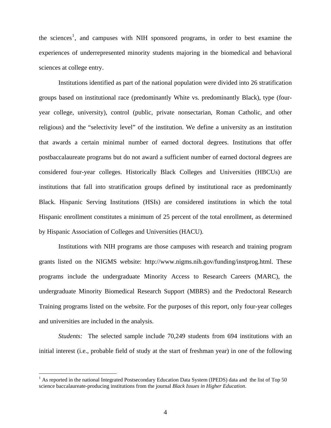the sciences<sup>[1](#page-6-0)</sup>, and campuses with NIH sponsored programs, in order to best examine the experiences of underrepresented minority students majoring in the biomedical and behavioral sciences at college entry.

Institutions identified as part of the national population were divided into 26 stratification groups based on institutional race (predominantly White vs. predominantly Black), type (fouryear college, university), control (public, private nonsectarian, Roman Catholic, and other religious) and the "selectivity level" of the institution. We define a university as an institution that awards a certain minimal number of earned doctoral degrees. Institutions that offer postbaccalaureate programs but do not award a sufficient number of earned doctoral degrees are considered four-year colleges. Historically Black Colleges and Universities (HBCUs) are institutions that fall into stratification groups defined by institutional race as predominantly Black. Hispanic Serving Institutions (HSIs) are considered institutions in which the total Hispanic enrollment constitutes a minimum of 25 percent of the total enrollment, as determined by Hispanic Association of Colleges and Universities (HACU).

Institutions with NIH programs are those campuses with research and training program grants listed on the NIGMS website: http://www.nigms.nih.gov/funding/instprog.html. These programs include the undergraduate Minority Access to Research Careers (MARC), the undergraduate Minority Biomedical Research Support (MBRS) and the Predoctoral Research Training programs listed on the website. For the purposes of this report, only four-year colleges and universities are included in the analysis.

*Students:* The selected sample include 70,249 students from 694 institutions with an initial interest (i.e., probable field of study at the start of freshman year) in one of the following

 $\overline{a}$ 

<span id="page-6-0"></span> $1$  As reported in the national Integrated Postsecondary Education Data System (IPEDS) data and the list of Top 50 science baccalaureate-producing institutions from the journal *Black Issues in Higher Education*.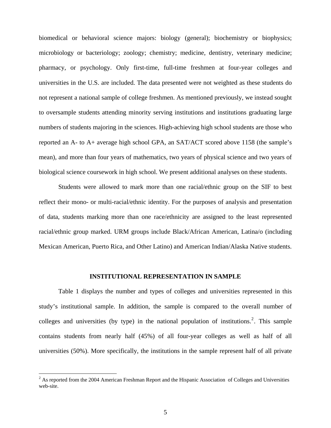<span id="page-7-0"></span>biomedical or behavioral science majors: biology (general); biochemistry or biophysics; microbiology or bacteriology; zoology; chemistry; medicine, dentistry, veterinary medicine; pharmacy, or psychology. Only first-time, full-time freshmen at four-year colleges and universities in the U.S. are included. The data presented were not weighted as these students do not represent a national sample of college freshmen. As mentioned previously, we instead sought to oversample students attending minority serving institutions and institutions graduating large numbers of students majoring in the sciences. High-achieving high school students are those who reported an A- to A+ average high school GPA, an SAT/ACT scored above 1158 (the sample's mean), and more than four years of mathematics, two years of physical science and two years of biological science coursework in high school. We present additional analyses on these students.

Students were allowed to mark more than one racial/ethnic group on the SIF to best reflect their mono- or multi-racial/ethnic identity. For the purposes of analysis and presentation of data, students marking more than one race/ethnicity are assigned to the least represented racial/ethnic group marked. URM groups include Black/African American, Latina/o (including Mexican American, Puerto Rica, and Other Latino) and American Indian/Alaska Native students.

#### **INSTITUTIONAL REPRESENTATION IN SAMPLE**

 Table 1 displays the number and types of colleges and universities represented in this study's institutional sample. In addition, the sample is compared to the overall number of colleges and universities (by type) in the national population of institutions.<sup>[2](#page-7-1)</sup>. This sample contains students from nearly half (45%) of all four-year colleges as well as half of all universities (50%). More specifically, the institutions in the sample represent half of all private

 $\overline{a}$ 

<span id="page-7-1"></span> $2^2$  As reported from the 2004 American Freshman Report and the Hispanic Association of Colleges and Universities web-site.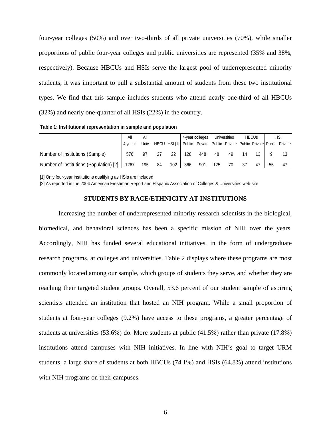<span id="page-8-0"></span>four-year colleges (50%) and over two-thirds of all private universities (70%), while smaller proportions of public four-year colleges and public universities are represented (35% and 38%, respectively). Because HBCUs and HSIs serve the largest pool of underrepresented minority students, it was important to pull a substantial amount of students from these two institutional types. We find that this sample includes students who attend nearly one-third of all HBCUs (32%) and nearly one-quarter of all HSIs (22%) in the country.

**Table 1: Institutional representation in sample and population**

|                                         | All<br>Αll |      | 4-year colleges |              |     | Universities                                                | <b>HBCUs</b> |    | <b>HSI</b> |  |    |    |
|-----------------------------------------|------------|------|-----------------|--------------|-----|-------------------------------------------------------------|--------------|----|------------|--|----|----|
|                                         | 4 vr coll  | Univ |                 | HBCU HSI [1] |     | Public Private Public Private Public Private Public Private |              |    |            |  |    |    |
| Number of Institutions (Sample)         | 576        | 97   |                 | 22           | 128 | 448                                                         | 48           | 49 |            |  |    |    |
| Number of Institutions (Population) [2] | 1267       | 195  | 84              | 102          | 366 | 901                                                         | 125          | 70 |            |  | 55 | 47 |

[1] Only four-year institutions qualifying as HSIs are included

[2] As reported in the 2004 American Freshman Report and Hispanic Association of Colleges & Universities web-site

#### **STUDENTS BY RACE/ETHNICITY AT INSTITUTIONS**

Increasing the number of underrepresented minority research scientists in the biological, biomedical, and behavioral sciences has been a specific mission of NIH over the years. Accordingly, NIH has funded several educational initiatives, in the form of undergraduate research programs, at colleges and universities. Table 2 displays where these programs are most commonly located among our sample, which groups of students they serve, and whether they are reaching their targeted student groups. Overall, 53.6 percent of our student sample of aspiring scientists attended an institution that hosted an NIH program. While a small proportion of students at four-year colleges (9.2%) have access to these programs, a greater percentage of students at universities (53.6%) do. More students at public (41.5%) rather than private (17.8%) institutions attend campuses with NIH initiatives. In line with NIH's goal to target URM students, a large share of students at both HBCUs (74.1%) and HSIs (64.8%) attend institutions with NIH programs on their campuses.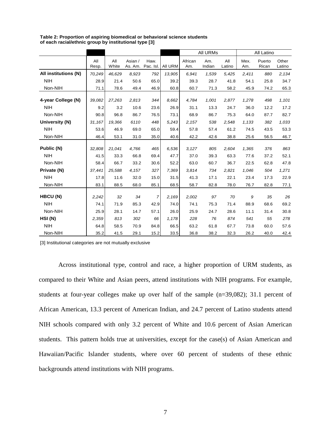|                       |              |              |              |                           |              |                | All URMs      |               |              | All Latino      |                 |  |  |  |
|-----------------------|--------------|--------------|--------------|---------------------------|--------------|----------------|---------------|---------------|--------------|-----------------|-----------------|--|--|--|
|                       | All<br>Resp. | All<br>White | Asian /      | Haw.<br>As. Am. Pac. Isl. | All URM      | African<br>Am. | Am.<br>Indian | All<br>Latino | Mex.<br>Am.  | Puerto<br>Rican | Other<br>Latino |  |  |  |
| All institutions (N)  | 70,249       | 46,629       | 8,923        | 792                       | 13,905       | 6.941          | 1,539         | 5,425         | 2,411        | 880             | 2.134           |  |  |  |
| <b>NIH</b>            | 28.9         | 21.4         | 50.6         | 65.0                      | 39.2         | 39.3           | 28.7          | 41.8          | 54.1         | 25.8            | 34.7            |  |  |  |
| Non-NIH               | 71.1         | 78.6         | 49.4         | 46.9                      | 60.8         | 60.7           | 71.3          | 58.2          | 45.9         | 74.2            | 65.3            |  |  |  |
| 4-year College (N)    | 39,082       | 27,263       | 2,813        | 344                       | 8,662        | 4,784          | 1,001         | 2,877         | 1,278        | 498             | 1,101           |  |  |  |
| <b>NIH</b><br>Non-NIH | 9.2<br>90.8  | 3.2<br>96.8  | 10.6<br>86.7 | 23.6<br>76.5              | 26.9<br>73.1 | 31.1<br>68.9   | 13.3<br>86.7  | 24.7<br>75.3  | 36.0<br>64.0 | 12.2<br>87.7    | 17.2<br>82.7    |  |  |  |
| University (N)        | 31,167       | 19,366       | 6110         | 448                       | 5,243        |                | 538           | 2,548         |              | 382             | 1,033           |  |  |  |
|                       |              |              |              |                           |              | 2,157          |               |               | 1,133        |                 |                 |  |  |  |
| <b>NIH</b>            | 53.6         | 46.9         | 69.0         | 65.0                      | 59.4         | 57.8           | 57.4          | 61.2          | 74.5         | 43.5            | 53.3            |  |  |  |
| Non-NIH               | 46.4         | 53.1         | 31.0         | 35.0                      | 40.6         | 42.2           | 42.6          | 38.8          | 25.6         | 56.5            | 46.7            |  |  |  |
| Public (N)            | 32,808       | 21,041       | 4,766        | 465                       | 6,536        | 3,127          | 805           | 2,604         | 1,365        | 376             | 863             |  |  |  |
| <b>NIH</b>            | 41.5         | 33.3         | 66.8         | 69.4                      | 47.7         | 37.0           | 39.3          | 63.3          | 77.6         | 37.2            | 52.1            |  |  |  |
| Non-NIH               | 58.4         | 66.7         | 33.2         | 30.6                      | 52.2         | 63.0           | 60.7          | 36.7          | 22.5         | 62.8            | 47.8            |  |  |  |
| Private (N)           | 37,441       | 25,588       | 4,157        | 327                       | 7,369        | 3.814          | 734           | 2,821         | 1,046        | 504             | 1,271           |  |  |  |
| <b>NIH</b>            | 17.8         | 11.6         | 32.0         | 15.0                      | 31.5         | 41.3           | 17.1          | 22.1          | 23.4         | 17.3            | 22.9            |  |  |  |
| Non-NIH               | 83.1         | 88.5         | 68.0         | 85.1                      | 68.5         | 58.7           | 82.8          | 78.0          | 76.7         | 82.8            | 77.1            |  |  |  |
| HBCU (N)              | 2,242        | 32           | 34           | $\overline{7}$            | 2,169        | 2,002          | 97            | 70            | 9            | 35              | 26              |  |  |  |
| <b>NIH</b>            | 74.1         | 71.9         | 85.3         | 42.9                      | 74.0         | 74.1           | 75.3          | 71.4          | 88.9         | 68.6            | 69.2            |  |  |  |
| Non-NIH               | 25.9         | 28.1         | 14.7         | 57.1                      | 26.0         | 25.9           | 24.7          | 28.6          | 11.1         | 31.4            | 30.8            |  |  |  |
| HSI(N)                | 2,359        | 813          | 302          | 66                        | 1,178        | 228            | 76            | 874           | 541          | 55              | 278             |  |  |  |
| <b>NIH</b>            | 64.8         | 58.5         | 70.9         | 84.8                      | 66.5         | 63.2           | 61.8          | 67.7          | 73.8         | 60.0            | 57.6            |  |  |  |
| Non-NIH               | 35.2         | 41.5         | 29.1         | 15.2                      | 33.5         | 36.8           | 38.2          | 32.3          | 26.2         | 40.0            | 42.4            |  |  |  |

**Table 2: Proportion of aspiring biomedical or behavioral science students of each racial/ethnic group by institutional type [3]**

[3] Institutional categories are not mutually exclusive

Across institutional type, control and race, a higher proportion of URM students, as compared to their White and Asian peers, attend institutions with NIH programs. For example, students at four-year colleges make up over half of the sample (n=39,082); 31.1 percent of African American, 13.3 percent of American Indian, and 24.7 percent of Latino students attend NIH schools compared with only 3.2 percent of White and 10.6 percent of Asian American students. This pattern holds true at universities, except for the case(s) of Asian American and Hawaiian/Pacific Islander students, where over 60 percent of students of these ethnic backgrounds attend institutions with NIH programs.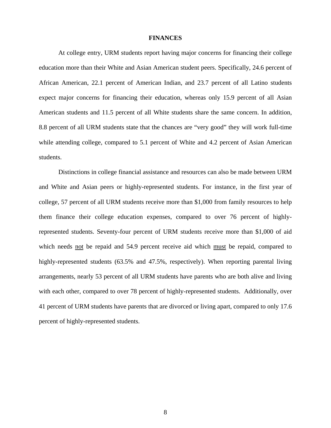#### **FINANCES**

<span id="page-10-0"></span>At college entry, URM students report having major concerns for financing their college education more than their White and Asian American student peers. Specifically, 24.6 percent of African American, 22.1 percent of American Indian, and 23.7 percent of all Latino students expect major concerns for financing their education, whereas only 15.9 percent of all Asian American students and 11.5 percent of all White students share the same concern. In addition, 8.8 percent of all URM students state that the chances are "very good" they will work full-time while attending college, compared to 5.1 percent of White and 4.2 percent of Asian American students.

Distinctions in college financial assistance and resources can also be made between URM and White and Asian peers or highly-represented students. For instance, in the first year of college, 57 percent of all URM students receive more than \$1,000 from family resources to help them finance their college education expenses, compared to over 76 percent of highlyrepresented students. Seventy-four percent of URM students receive more than \$1,000 of aid which needs not be repaid and 54.9 percent receive aid which must be repaid, compared to highly-represented students (63.5% and 47.5%, respectively). When reporting parental living arrangements, nearly 53 percent of all URM students have parents who are both alive and living with each other, compared to over 78 percent of highly-represented students. Additionally, over 41 percent of URM students have parents that are divorced or living apart, compared to only 17.6 percent of highly-represented students.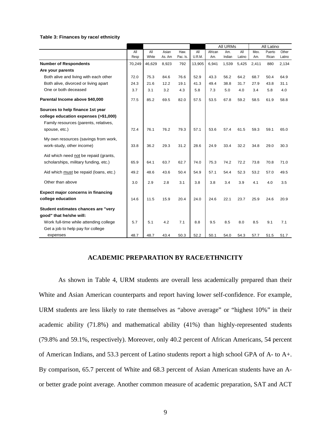<span id="page-11-0"></span>

|                                        |        |        |        |          |        |         | All URMs |        |       | All Latino |        |
|----------------------------------------|--------|--------|--------|----------|--------|---------|----------|--------|-------|------------|--------|
|                                        | All    | All    | Asian  | Haw.     | All    | African | Am.      | All    | Mex.  | Puerto     | Other  |
|                                        | Resp   | White  | As. Am | Pac. Is. | U.R.M. | Am.     | Indian   | Latino | Am.   | Rican      | Latino |
| <b>Number of Respondents</b>           | 70,249 | 46,629 | 8,923  | 792      | 13,905 | 6,941   | 1,539    | 5,425  | 2,411 | 880        | 2,134  |
| Are your parents                       |        |        |        |          |        |         |          |        |       |            |        |
| Both alive and living with each other  | 72.0   | 75.3   | 84.6   | 76.6     | 52.9   | 43.3    | 56.2     | 64.2   | 68.7  | 50.4       | 64.9   |
| Both alive, divorced or living apart   | 24.3   | 21.6   | 12.2   | 19.1     | 41.3   | 49.4    | 38.8     | 31.7   | 27.9  | 43.8       | 31.1   |
| One or both deceased                   | 3.7    | 3.1    | 3.2    | 4.3      | 5.8    | 7.3     | 5.0      | 4.0    | 3.4   | 5.8        | 4.0    |
| Parental Income above \$40,000         | 77.5   | 85.2   | 69.5   | 82.0     | 57.5   | 53.5    | 67.8     | 59.2   | 58.5  | 61.9       | 58.8   |
| Sources to help finance 1st year       |        |        |        |          |        |         |          |        |       |            |        |
| college education expenses (>\$1,000)  |        |        |        |          |        |         |          |        |       |            |        |
| Family resources (parents, relatives,  |        |        |        |          |        |         |          |        |       |            |        |
| spouse, etc.)                          | 72.4   | 76.1   | 76.2   | 79.3     | 57.1   | 53.6    | 57.4     | 61.5   | 59.3  | 59.1       | 65.0   |
| My own resources (savings from work,   |        |        |        |          |        |         |          |        |       |            |        |
| work-study, other income)              | 33.8   | 36.2   | 29.3   | 31.2     | 28.6   | 24.9    | 33.4     | 32.2   | 34.8  | 29.0       | 30.3   |
| Aid which need not be repaid (grants,  |        |        |        |          |        |         |          |        |       |            |        |
| scholarships, military funding, etc.)  | 65.9   | 64.1   | 63.7   | 62.7     | 74.0   | 75.3    | 74.2     | 72.2   | 73.8  | 70.8       | 71.0   |
| Aid which must be repaid (loans, etc.) | 49.2   | 48.6   | 43.6   | 50.4     | 54.9   | 57.1    | 54.4     | 52.3   | 53.2  | 57.0       | 49.5   |
|                                        |        |        |        |          |        |         |          |        |       |            |        |
| Other than above                       | 3.0    | 2.9    | 2.8    | 3.1      | 3.8    | 3.8     | 3.4      | 3.9    | 4.1   | 4.0        | 3.5    |
| Expect major concerns in financing     |        |        |        |          |        |         |          |        |       |            |        |
| college education                      | 14.6   | 11.5   | 15.9   | 20.4     | 24.0   | 24.6    | 22.1     | 23.7   | 25.9  | 24.6       | 20.9   |
| Student estimates chances are "very    |        |        |        |          |        |         |          |        |       |            |        |
| good" that he/she will:                |        |        |        |          |        |         |          |        |       |            |        |
| Work full-time while attending college | 5.7    | 5.1    | 4.2    | 7.1      | 8.8    | 9.5     | 8.5      | 8.0    | 8.5   | 9.1        | 7.1    |
| Get a job to help pay for college      |        |        |        |          |        |         |          |        |       |            |        |
| expenses                               | 48.7   | 48.7   | 43.4   | 50.3     | 52.2   | 50.1    | 54.0     | 54.3   | 57.7  | 51.5       | 51.7   |

#### **ACADEMIC PREPARATION BY RACE/ETHNICITY**

As shown in Table 4, URM students are overall less academically prepared than their White and Asian American counterparts and report having lower self-confidence. For example, URM students are less likely to rate themselves as "above average" or "highest 10%" in their academic ability (71.8%) and mathematical ability (41%) than highly-represented students (79.8% and 59.1%, respectively). Moreover, only 40.2 percent of African Americans, 54 percent of American Indians, and 53.3 percent of Latino students report a high school GPA of A- to A+. By comparison, 65.7 percent of White and 68.3 percent of Asian American students have an Aor better grade point average. Another common measure of academic preparation, SAT and ACT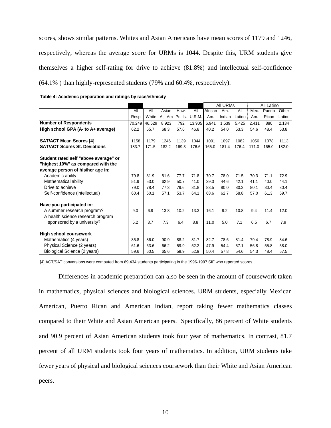scores, shows similar patterns. Whites and Asian Americans have mean scores of 1179 and 1246, respectively, whereas the average score for URMs is 1044. Despite this, URM students give themselves a higher self-rating for drive to achieve (81.8%) and intellectual self-confidence (64.1% ) than highly-represented students (79% and 60.4%, respectively).

|                                       |        |        |                |       |        |         | All URMs |        |       | All Latino |        |
|---------------------------------------|--------|--------|----------------|-------|--------|---------|----------|--------|-------|------------|--------|
|                                       | All    | All    | Asian          | Haw.  | All    | African | Am.      | All    | Mex.  | Puerto     | Other  |
|                                       | Resp   | White  | As. Am Pc. Is. |       | U.R.M. | Am.     | Indian   | Latino | Am.   | Rican      | Latino |
| <b>Number of Respondents</b>          | 70,249 | 46,629 | 8,923          | 792   | 13,905 | 6.941   | 1,539    | 5,425  | 2,411 | 880        | 2,134  |
| High school GPA (A- to A+ average)    | 62.2   | 65.7   | 68.3           | 57.6  | 46.8   | 40.2    | 54.0     | 53.3   | 54.6  | 48.4       | 53.8   |
| <b>SAT/ACT Mean Scores [4]</b>        | 1158   | 1179   | 1246           | 1139  | 1044   | 1001    | 1097     | 1082   | 1056  | 1078       | 1113   |
| <b>SAT/ACT Scores St. Deviations</b>  | 183.7  | 171.5  | 182.2          | 169.3 | 176.6  | 165.0   | 181.4    | 176.4  | 171.0 | 165.0      | 182.0  |
| Student rated self "above average" or |        |        |                |       |        |         |          |        |       |            |        |
| "highest 10%" as compared with the    |        |        |                |       |        |         |          |        |       |            |        |
| average person of his/her age in:     |        |        |                |       |        |         |          |        |       |            |        |
| Academic ability                      | 79.8   | 81.9   | 81.6           | 77.7  | 71.8   | 70.7    | 78.0     | 71.5   | 70.3  | 71.1       | 72.9   |
| Mathematical ability                  | 51.9   | 53.0   | 62.9           | 50.7  | 41.0   | 39.3    | 44.6     | 42.1   | 41.1  | 40.0       | 44.1   |
| Drive to achieve                      | 79.0   | 78.4   | 77.3           | 79.6  | 81.8   | 83.5    | 80.0     | 80.3   | 80.1  | 80.4       | 80.4   |
| Self-confidence (intellectual)        | 60.4   | 60.1   | 57.1           | 53.7  | 64.1   | 68.6    | 62.7     | 58.8   | 57.0  | 61.3       | 59.7   |
| Have you participated in:             |        |        |                |       |        |         |          |        |       |            |        |
| A summer research program?            | 9.0    | 6.9    | 13.8           | 10.2  | 13.3   | 16.1    | 9.2      | 10.8   | 9.4   | 11.4       | 12.0   |
| A health science research program     |        |        |                |       |        |         |          |        |       |            |        |
| sponsored by a university?            | 5.2    | 3.7    | 7.3            | 6.4   | 8.8    | 11.0    | 5.0      | 7.1    | 6.5   | 6.7        | 7.9    |
| <b>High school coursework</b>         |        |        |                |       |        |         |          |        |       |            |        |
| Mathematics (4 years)                 | 85.8   | 86.0   | 90.9           | 88.2  | 81.7   | 82.7    | 78.6     | 81.4   | 79.4  | 78.9       | 84.6   |
| Physical Science (2 years)            | 61.6   | 63.6   | 66.2           | 59.9  | 52.2   | 47.9    | 54.4     | 57.1   | 56.8  | 55.8       | 58.0   |
| Biological Science (2 years)          | 59.6   | 60.5   | 65.6           | 59.9  | 52.9   | 50.4    | 57.8     | 54.6   | 54.3  | 48.4       | 57.5   |

| Table 4: Academic preparation and ratings by race/ethnicity |  |  |
|-------------------------------------------------------------|--|--|
|-------------------------------------------------------------|--|--|

[4] ACT/SAT conversions were computed from 69,434 students participating in the 1996-1997 SIF who reported scores

Differences in academic preparation can also be seen in the amount of coursework taken in mathematics, physical sciences and biological sciences. URM students, especially Mexican American, Puerto Rican and American Indian, report taking fewer mathematics classes compared to their White and Asian American peers. Specifically, 86 percent of White students and 90.9 percent of Asian American students took four year of mathematics. In contrast, 81.7 percent of all URM students took four years of mathematics. In addition, URM students take fewer years of physical and biological sciences coursework than their White and Asian American peers.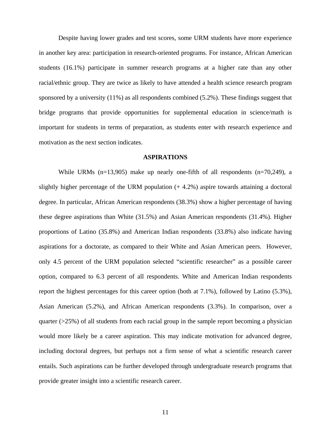<span id="page-13-0"></span>Despite having lower grades and test scores, some URM students have more experience in another key area: participation in research-oriented programs. For instance, African American students (16.1%) participate in summer research programs at a higher rate than any other racial/ethnic group. They are twice as likely to have attended a health science research program sponsored by a university (11%) as all respondents combined (5.2%). These findings suggest that bridge programs that provide opportunities for supplemental education in science/math is important for students in terms of preparation, as students enter with research experience and motivation as the next section indicates.

#### **ASPIRATIONS**

While URMs (n=13,905) make up nearly one-fifth of all respondents (n=70,249), a slightly higher percentage of the URM population (+ 4.2%) aspire towards attaining a doctoral degree. In particular, African American respondents (38.3%) show a higher percentage of having these degree aspirations than White (31.5%) and Asian American respondents (31.4%). Higher proportions of Latino (35.8%) and American Indian respondents (33.8%) also indicate having aspirations for a doctorate, as compared to their White and Asian American peers. However, only 4.5 percent of the URM population selected "scientific researcher" as a possible career option, compared to 6.3 percent of all respondents. White and American Indian respondents report the highest percentages for this career option (both at 7.1%), followed by Latino (5.3%), Asian American (5.2%), and African American respondents (3.3%). In comparison, over a quarter  $(25\%)$  of all students from each racial group in the sample report becoming a physician would more likely be a career aspiration. This may indicate motivation for advanced degree, including doctoral degrees, but perhaps not a firm sense of what a scientific research career entails. Such aspirations can be further developed through undergraduate research programs that provide greater insight into a scientific research career.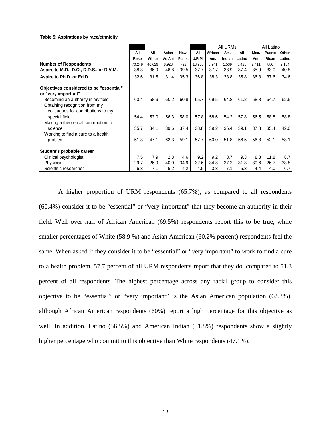**Table 5: Aspirations by race/ethnicity**

|                                                                                                          |        |        |       |         |               |         | All URMs |        |       | All Latino |        |
|----------------------------------------------------------------------------------------------------------|--------|--------|-------|---------|---------------|---------|----------|--------|-------|------------|--------|
|                                                                                                          | All    | All    | Asian | Haw.    | All           | African | Am.      | All    | Mex.  | Puerto     | Other  |
|                                                                                                          | Resp   | White  | As Am | Pc. Is. | <b>U.R.M.</b> | Am.     | Indian   | Latino | Am.   | Rican      | Latino |
| <b>Number of Respondents</b>                                                                             | 70,249 | 46,629 | 8,923 | 792     | 13,905        | 6,941   | 1,539    | 5,425  | 2,411 | 880        | 2,134  |
| Aspire to M.D., D.O., D.D.S., or D.V.M.                                                                  | 38.3   | 36.9   | 46.8  | 39.5    | 37.7          | 37.7    | 38.9     | 37.4   | 35.9  | 33.0       | 40.8   |
| Aspire to Ph.D. or Ed.D.                                                                                 | 32.6   | 31.5   | 31.4  | 35.3    | 36.8          | 38.3    | 33.8     | 35.8   | 36.3  | 37.6       | 34.6   |
| Objectives considered to be "essential"<br>or "very important"                                           |        |        |       |         |               |         |          |        |       |            |        |
| Becoming an authority in my field<br>Obtaining recognition from my<br>colleagues for contributions to my | 60.4   | 58.9   | 60.2  | 60.8    | 65.7          | 69.5    | 64.8     | 61.2   | 58.8  | 64.7       | 62.5   |
| special field<br>Making a theoretical contribution to                                                    | 54.4   | 53.0   | 56.3  | 58.0    | 57.8          | 58.6    | 54.2     | 57.8   | 56.5  | 58.8       | 58.8   |
| science<br>Working to find a cure to a health                                                            | 35.7   | 34.1   | 39.6  | 37.4    | 38.8          | 39.2    | 36.4     | 39.1   | 37.8  | 35.4       | 42.0   |
| problem                                                                                                  | 51.3   | 47.1   | 62.3  | 59.1    | 57.7          | 60.0    | 51.8     | 56.5   | 56.8  | 52.1       | 58.1   |
| Student's probable career                                                                                |        |        |       |         |               |         |          |        |       |            |        |
| Clinical psychologist                                                                                    | 7.5    | 7.9    | 2.8   | 4.6     | 9.2           | 9.2     | 8.7      | 9.3    | 8.8   | 11.8       | 8.7    |
| Physician                                                                                                | 29.7   | 26.9   | 40.0  | 34.9    | 32.6          | 34.8    | 27.2     | 31.3   | 30.6  | 26.7       | 33.8   |
| Scientific researcher                                                                                    | 6.3    | 7.1    | 5.2   | 4.2     | 4.5           | 3.3     | 7.1      | 5.3    | 4.4   | 4.0        | 6.7    |

A higher proportion of URM respondents (65.7%), as compared to all respondents (60.4%) consider it to be "essential" or "very important" that they become an authority in their field. Well over half of African American (69.5%) respondents report this to be true, while smaller percentages of White (58.9 %) and Asian American (60.2% percent) respondents feel the same. When asked if they consider it to be "essential" or "very important" to work to find a cure to a health problem, 57.7 percent of all URM respondents report that they do, compared to 51.3 percent of all respondents. The highest percentage across any racial group to consider this objective to be "essential" or "very important" is the Asian American population (62.3%), although African American respondents (60%) report a high percentage for this objective as well. In addition, Latino (56.5%) and American Indian (51.8%) respondents show a slightly higher percentage who commit to this objective than White respondents (47.1%).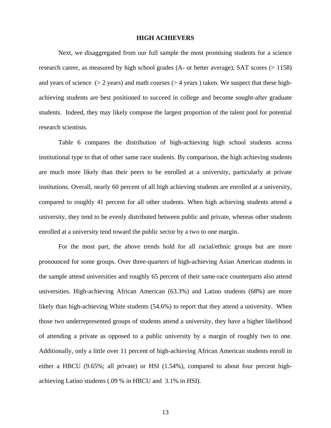#### **HIGH ACHIEVERS**

<span id="page-15-0"></span>Next, we disaggregated from our full sample the most promising students for a science research career, as measured by high school grades (A- or better average), SAT scores (> 1158) and years of science  $(> 2 \text{ years})$  and math courses  $(> 4 \text{ years})$  taken. We suspect that these highachieving students are best positioned to succeed in college and become sought-after graduate students. Indeed, they may likely compose the largest proportion of the talent pool for potential research scientists.

Table 6 compares the distribution of high-achieving high school students across institutional type to that of other same race students. By comparison, the high achieving students are much more likely than their peers to be enrolled at a university, particularly at private institutions. Overall, nearly 60 percent of all high achieving students are enrolled at a university, compared to roughly 41 percent for all other students. When high achieving students attend a university, they tend to be evenly distributed between public and private, whereas other students enrolled at a university tend toward the public sector by a two to one margin.

For the most part, the above trends hold for all racial/ethnic groups but are more pronounced for some groups. Over three-quarters of high-achieving Asian American students in the sample attend universities and roughly 65 percent of their same-race counterparts also attend universities. High-achieving African American (63.3%) and Latino students (68%) are more likely than high-achieving White students (54.6%) to report that they attend a university. When those two underrepresented groups of students attend a university, they have a higher likelihood of attending a private as opposed to a public university by a margin of roughly two to one. Additionally, only a little over 11 percent of high-achieving African American students enroll in either a HBCU (9.65%; all private) or HSI (1.54%), compared to about four percent highachieving Latino students (.09 % in HBCU and 3.1% in HSI).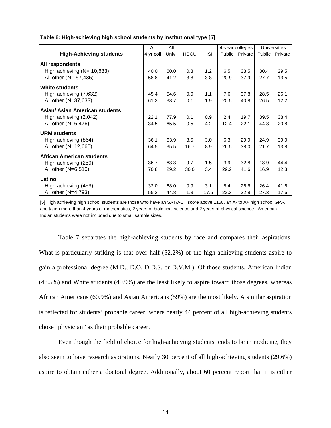|                                | All       | All   |             |            | 4-year colleges |                |      | <b>Universities</b> |
|--------------------------------|-----------|-------|-------------|------------|-----------------|----------------|------|---------------------|
| <b>High-Achieving students</b> | 4 yr coll | Univ. | <b>HBCU</b> | <b>HSI</b> |                 | Public Private |      | Public Private      |
| All respondents                |           |       |             |            |                 |                |      |                     |
| High achieving $(N=10,633)$    | 40.0      | 60.0  | 0.3         | 1.2        | 6.5             | 33.5           | 30.4 | 29.5                |
| All other (N= 57,435)          | 58.8      | 41.2  | 3.8         | 3.8        | 20.9            | 37.9           | 27.7 | 13.5                |
| <b>White students</b>          |           |       |             |            |                 |                |      |                     |
| High achieving (7,632)         | 45.4      | 54.6  | 0.0         | 1.1        | 7.6             | 37.8           | 28.5 | 26.1                |
| All other (N=37,633)           | 61.3      | 38.7  | 0.1         | 1.9        | 20.5            | 40.8           | 26.5 | 12.2                |
| Asian/ Asian American students |           |       |             |            |                 |                |      |                     |
| High achieving (2,042)         | 22.1      | 77.9  | 0.1         | 0.9        | 2.4             | 19.7           | 39.5 | 38.4                |
| All other $(N=6,476)$          | 34.5      | 65.5  | 0.5         | 4.2        | 12.4            | 22.1           | 44.8 | 20.8                |
| <b>URM students</b>            |           |       |             |            |                 |                |      |                     |
| High achieving (864)           | 36.1      | 63.9  | 3.5         | 3.0        | 6.3             | 29.9           | 24.9 | 39.0                |
| All other (N=12,665)           | 64.5      | 35.5  | 16.7        | 8.9        | 26.5            | 38.0           | 21.7 | 13.8                |
| African American students      |           |       |             |            |                 |                |      |                     |
| High achieving (259)           | 36.7      | 63.3  | 9.7         | 1.5        | 3.9             | 32.8           | 18.9 | 44.4                |
| All other (N=6,510)            | 70.8      | 29.2  | 30.0        | 3.4        | 29.2            | 41.6           | 16.9 | 12.3                |
| Latino                         |           |       |             |            |                 |                |      |                     |
| High achieving (459)           | 32.0      | 68.0  | 0.9         | 3.1        | 5.4             | 26.6           | 26.4 | 41.6                |
| All other $(N=4,793)$          | 55.2      | 44.8  | 1.3         | 17.5       | 22.3            | 32.8           | 27.3 | 17.6                |

**Table 6: High-achieving high school students by institutional type [5]**

[5] High achieving high school students are those who have an SAT/ACT score above 1158, an A- to A+ high school GPA, and taken more than 4 years of mathematics, 2 years of biological science and 2 years of physical science. American Indian students were not included due to small sample sizes.

Table 7 separates the high-achieving students by race and compares their aspirations. What is particularly striking is that over half (52.2%) of the high-achieving students aspire to gain a professional degree (M.D., D.O, D.D.S, or D.V.M.). Of those students, American Indian (48.5%) and White students (49.9%) are the least likely to aspire toward those degrees, whereas African Americans (60.9%) and Asian Americans (59%) are the most likely. A similar aspiration is reflected for students' probable career, where nearly 44 percent of all high-achieving students chose "physician" as their probable career.

Even though the field of choice for high-achieving students tends to be in medicine, they also seem to have research aspirations. Nearly 30 percent of all high-achieving students (29.6%) aspire to obtain either a doctoral degree. Additionally, about 60 percent report that it is either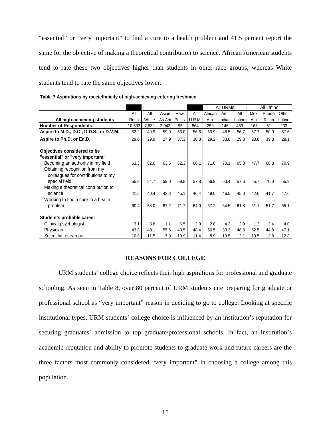<span id="page-17-0"></span>"essential" or "very important" to find a cure to a health problem and 41.5 percent report the same for the objective of making a theoretical contribution to science. African American students tend to rate these two objectives higher than students in other race groups, whereas White students tend to rate the same objectives lower.

|                                                                     |        |       |       |         |        |         | All URMs |          |      | All Latino |        |
|---------------------------------------------------------------------|--------|-------|-------|---------|--------|---------|----------|----------|------|------------|--------|
|                                                                     | All    | All   | Asian | Haw.    | All    | African | Am.      | All      | Mex. | Puerto     | Other  |
| All high-achieving students                                         | Resp   | White | As Am | Pc. Is. | U.R.M. | Am.     | Indian   | Latino : | Am.  | Rican      | Latino |
| <b>Number of Respondents</b>                                        | 10,633 | 7,632 | 2,042 | 95      | 864    | 259     | 146      | 459      | 165  | 61         | 233    |
| Aspire to M.D., D.O., D.D.S., or D.V.M.                             | 52.2   | 49.9  | 59.0  | 53.0    | 56.6   | 60.9    | 48.5     | 56.7     | 57.7 | 50.0       | 57.6   |
| Aspire to Ph.D. or Ed.D.                                            | 29.6   | 29.9  | 27.9  | 37.3    | 30.3   | 29.2    | 33.8     | 29.8     | 28.8 | 39.3       | 28.1   |
| Objectives considered to be                                         |        |       |       |         |        |         |          |          |      |            |        |
| "essential" or "very important"                                     |        |       |       |         |        |         |          |          |      |            |        |
| Becoming an authority in my field                                   | 63.3   | 62.6  | 63.5  | 62.3    | 68.1   | 71.0    | 70.1     | 65.8     | 47.7 | 68.3       | 70.9   |
| Obtaining recognition from my<br>colleagues for contributions to my |        |       |       |         |        |         |          |          |      |            |        |
| special field                                                       | 55.8   | 54.7  | 59.0  | 59.8    | 57.8   | 56.9    | 60.4     | 57.6     | 55.7 | 70.0       | 55.9   |
| Making a theoretical contribution to                                |        |       |       |         |        |         |          |          |      |            |        |
| science                                                             | 41.5   | 40.4  | 43.3  | 45.1    | 46.4   | 49.0    | 46.5     | 45.0     | 42.6 | 41.7       | 47.6   |
| Working to find a cure to a health                                  |        |       |       |         |        |         |          |          |      |            |        |
| problem                                                             | 60.4   | 58.0  | 67.2  | 71.7    | 64.0   | 67.2    | 64.5     | 61.8     | 61.1 | 51.7       | 65.1   |
| Student's probable career                                           |        |       |       |         |        |         |          |          |      |            |        |
| Clinical psychologist                                               | 3.1    | 3.6   | 1.1   | 6.5     | 2.9    | 2.0     | 4.3      | 2.9      | 1.2  | 3.4        | 4.0    |
| Physician                                                           | 43.8   | 40.1  | 55.6  | 43.5    | 48.4   | 56.5    | 33.3     | 48.8     | 52.5 | 44.8       | 47.1   |
| Scientific researcher                                               | 10.8   | 11.5  | 7.9   | 10.9    | 11.4   | 8.9     | 13.5     | 12.1     | 10.5 | 13.8       | 12.8   |

**Table 7 Aspirations by race/ethnicity of high-achieving entering freshmen**

#### **REASONS FOR COLLEGE**

 URM students' college choice reflects their high aspirations for professional and graduate schooling. As seen in Table 8, over 80 percent of URM students cite preparing for graduate or professional school as "very important" reason in deciding to go to college. Looking at specific institutional types, URM students' college choice is influenced by an institution's reputation for securing graduates' admission to top graduate/professional schools. In fact, an institution's academic reputation and ability to promote students to graduate work and future careers are the three factors most commonly considered "very important" in choosing a college among this population.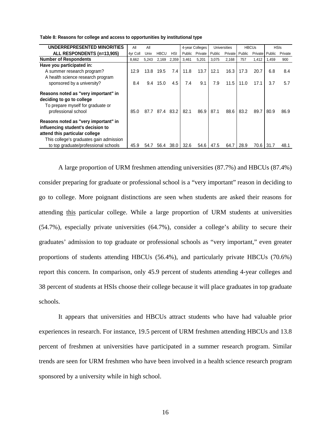| UNDERREPRESENTED MINORITIES                                                                                                                            | All      | All   |             |       |        | 4-year Colleges |        | <b>Universities</b> |        | <b>HBCUs</b>   |        | <b>HSIs</b> |
|--------------------------------------------------------------------------------------------------------------------------------------------------------|----------|-------|-------------|-------|--------|-----------------|--------|---------------------|--------|----------------|--------|-------------|
| ALL RESPONDENTS (n=13,905)                                                                                                                             | 4yr Coll | Univ  | <b>HBCU</b> | HSI   | Public | Private         | Public | Private             | Public | <b>Private</b> | Public | Private     |
| <b>Number of Respondents</b>                                                                                                                           | 8,662    | 5,243 | 2,169       | 2,359 | 3,461  | 5,201           | 3,075  | 2,168               | 757    | 1.412          | 1,459  | 900         |
| Have you participated in:                                                                                                                              |          |       |             |       |        |                 |        |                     |        |                |        |             |
| A summer research program?                                                                                                                             | 12.9     | 13.8  | 19.5        | 7.4   | 11.8   | 13.7            | 12.1   | 16.3                | 17.3   | 20.7           | 6.8    | 8.4         |
| A health science research program                                                                                                                      |          |       |             |       |        |                 |        |                     |        |                |        |             |
| sponsored by a university?                                                                                                                             | 8.4      | 9.4   | 15.0        | 4.5   | 7.4    | 9.1             | 7.9    | 11.5                | 11.0   | 17.1           | 3.7    | 5.7         |
| Reasons noted as "very important" in<br>deciding to go to college<br>To prepare myself for graduate or<br>professional school                          | 85.0     | 87.7  | 87.4        | 83.2  | 82.1   | 86.9            | 87.1   | 88.6                | 83.2   | 89.7           | 80.9   | 86.9        |
| Reasons noted as "very important" in<br>influencing student's decision to<br>attend this particular college<br>This college's graduates gain admission |          |       |             |       |        |                 |        |                     |        |                |        |             |
| to top graduate/professional schools                                                                                                                   | 45.9     | 54.7  | 56.4        | 38.0  | 32.6   | 54.6            | 47.5   | 64.7                | 28.9   | 70.6           | 31.7   | 48.1        |

**Table 8: Reasons for college and access to opportunities by institutional type**

A large proportion of URM freshmen attending universities (87.7%) and HBCUs (87.4%) consider preparing for graduate or professional school is a "very important" reason in deciding to go to college. More poignant distinctions are seen when students are asked their reasons for attending this particular college. While a large proportion of URM students at universities (54.7%), especially private universities (64.7%), consider a college's ability to secure their graduates' admission to top graduate or professional schools as "very important," even greater proportions of students attending HBCUs (56.4%), and particularly private HBCUs (70.6%) report this concern. In comparison, only 45.9 percent of students attending 4-year colleges and 38 percent of students at HSIs choose their college because it will place graduates in top graduate schools.

It appears that universities and HBCUs attract students who have had valuable prior experiences in research. For instance, 19.5 percent of URM freshmen attending HBCUs and 13.8 percent of freshmen at universities have participated in a summer research program. Similar trends are seen for URM freshmen who have been involved in a health science research program sponsored by a university while in high school.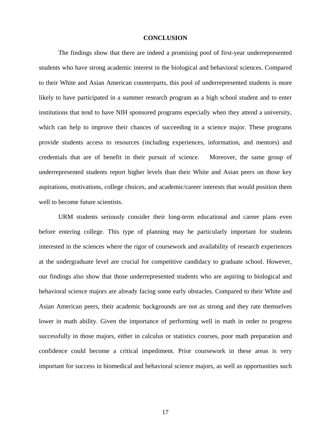#### **CONCLUSION**

<span id="page-19-0"></span>The findings show that there are indeed a promising pool of first-year underrepresented students who have strong academic interest in the biological and behavioral sciences. Compared to their White and Asian American counterparts, this pool of underrepresented students is more likely to have participated in a summer research program as a high school student and to enter institutions that tend to have NIH sponsored programs especially when they attend a university, which can help to improve their chances of succeeding in a science major. These programs provide students access to resources (including experiences, information, and mentors) and credentials that are of benefit in their pursuit of science. Moreover, the same group of underrepresented students report higher levels than their White and Asian peers on those key aspirations, motivations, college choices, and academic/career interests that would position them well to become future scientists.

URM students seriously consider their long-term educational and career plans even before entering college. This type of planning may be particularly important for students interested in the sciences where the rigor of coursework and availability of research experiences at the undergraduate level are crucial for competitive candidacy to graduate school. However, our findings also show that those underrepresented students who are aspiring to biological and behavioral science majors are already facing some early obstacles. Compared to their White and Asian American peers, their academic backgrounds are not as strong and they rate themselves lower in math ability. Given the importance of performing well in math in order to progress successfully in those majors, either in calculus or statistics courses, poor math preparation and confidence could become a critical impediment. Prior coursework in these areas is very important for success in biomedical and behavioral science majors, as well as opportunities such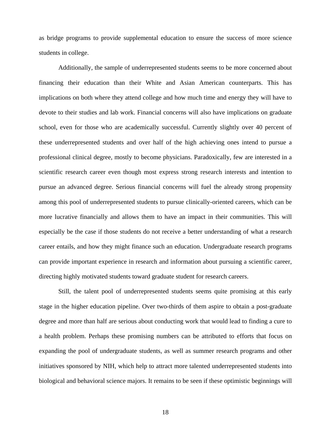as bridge programs to provide supplemental education to ensure the success of more science students in college.

Additionally, the sample of underrepresented students seems to be more concerned about financing their education than their White and Asian American counterparts. This has implications on both where they attend college and how much time and energy they will have to devote to their studies and lab work. Financial concerns will also have implications on graduate school, even for those who are academically successful. Currently slightly over 40 percent of these underrepresented students and over half of the high achieving ones intend to pursue a professional clinical degree, mostly to become physicians. Paradoxically, few are interested in a scientific research career even though most express strong research interests and intention to pursue an advanced degree. Serious financial concerns will fuel the already strong propensity among this pool of underrepresented students to pursue clinically-oriented careers, which can be more lucrative financially and allows them to have an impact in their communities. This will especially be the case if those students do not receive a better understanding of what a research career entails, and how they might finance such an education. Undergraduate research programs can provide important experience in research and information about pursuing a scientific career, directing highly motivated students toward graduate student for research careers.

Still, the talent pool of underrepresented students seems quite promising at this early stage in the higher education pipeline. Over two-thirds of them aspire to obtain a post-graduate degree and more than half are serious about conducting work that would lead to finding a cure to a health problem. Perhaps these promising numbers can be attributed to efforts that focus on expanding the pool of undergraduate students, as well as summer research programs and other initiatives sponsored by NIH, which help to attract more talented underrepresented students into biological and behavioral science majors. It remains to be seen if these optimistic beginnings will

18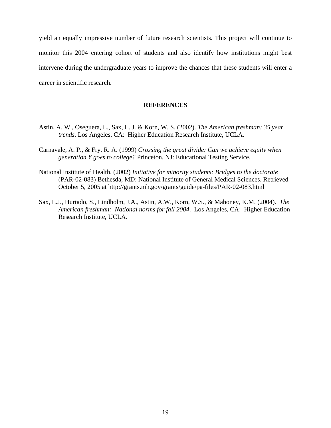<span id="page-21-0"></span>yield an equally impressive number of future research scientists. This project will continue to monitor this 2004 entering cohort of students and also identify how institutions might best intervene during the undergraduate years to improve the chances that these students will enter a career in scientific research.

#### **REFERENCES**

- Astin, A. W., Oseguera, L., Sax, L. J. & Korn, W. S. (2002). *The American freshman: 35 year trends*. Los Angeles, CA: Higher Education Research Institute, UCLA.
- Carnavale, A. P., & Fry, R. A. (1999) *Crossing the great divide: Can we achieve equity when generation Y goes to college?* Princeton, NJ: Educational Testing Service.
- National Institute of Health. (2002) *Initiative for minority students: Bridges to the doctorate* (PAR-02-083) Bethesda, MD: National Institute of General Medical Sciences. Retrieved October 5, 2005 at http://grants.nih.gov/grants/guide/pa-files/PAR-02-083.html
- Sax, L.J., Hurtado, S., Lindholm, J.A., Astin, A.W., Korn, W.S., & Mahoney, K.M. (2004). *The American freshman: National norms for fall 2004*. Los Angeles, CA: Higher Education Research Institute, UCLA.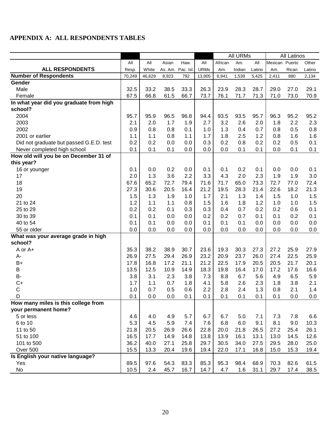### <span id="page-22-0"></span>**APPENDIX A: ALL RESPONDENTS TABLES**

| Am.<br>All<br>Mexican Puerto<br>All<br>Asian<br>Haw.<br>All<br>African<br>Other<br>All<br><b>ALL RESPONDENTS</b><br>White<br><b>URMs</b><br>As. Am.<br>Pac. Isl<br>Indian<br>Resp.<br>Am.<br>Latino<br>Rican<br>Latino<br>Am.<br><b>Number of Respondents</b><br>46,629<br>13,905<br>6,941<br>1,539<br>5,425<br>70,249<br>8,923<br>792<br>2,411<br>880<br>2,134<br>Gender<br>32.5<br>26.3<br>Male<br>33.2<br>38.5<br>33.3<br>23.9<br>28.3<br>29.0<br>29.1<br>28.7<br>27.0<br>67.5<br>66.8<br>73.7<br>71.7<br>71.3<br>61.5<br>66.7<br>76.1<br>71.0<br>73.0<br>70.9<br>Female<br>In what year did you graduate from high<br>school?<br>2004<br>95.7<br>95.9<br>96.5<br>96.8<br>94.4<br>93.5<br>93.5<br>95.7<br>96.3<br>95.2<br>95.2<br>2003<br>2.1<br>1.9<br>2.7<br>3.2<br>2.6<br>2.0<br>1.7<br>2.0<br>1.8<br>2.2<br>2.3<br>2002<br>0.7<br>0.9<br>0.8<br>0.8<br>1.0<br>1.3<br>0.4<br>0.8<br>0.1<br>0.8<br>0.5<br>1.2<br>2001 or earlier<br>1.1<br>0.8<br>1.1<br>1.7<br>1.8<br>2.5<br>0.8<br>1.6<br>1.1<br>1.6<br>0.2<br>0.2<br>0.2<br>0.0<br>0.0<br>0.3<br>0.8<br>0.2<br>0.2<br>0.5<br>0.1<br>Did not graduate but passed G.E.D. test<br>0.1<br>0.1<br>0.0<br>0.1<br>0.1<br>0.1<br>Never completed high school<br>0.1<br>0.0<br>0.0<br>0.0<br>0.1<br>How old will you be on December 31 of<br>this year?<br>0.2<br>0.2<br>0.1<br>16 or younger<br>0.1<br>0.0<br>0.0<br>0.1<br>0.1<br>0.1<br>0.0<br>0.0<br>2.0<br>3.3<br>4.3<br>2.3<br>3.0<br>17<br>1.3<br>3.6<br>2.2<br>2.0<br>1.9<br>1.9<br>67.6<br>18<br>65.2<br>72.7<br>79.4<br>71.6<br>71.7<br>65.0<br>73.3<br>72.4<br>72.7<br>77.0<br>27.3<br>21.2<br>19.5<br>28.3<br>21.3<br>19<br>30.6<br>20.5<br>16.4<br>21.4<br>22.6<br>18.2<br>1.3<br>20<br>1.5<br>1.3<br>1.9<br>1.7<br>2.1<br>1.4<br>1.5<br>1.5<br>1.0<br>1.0<br>1.2<br>1.5<br>1.6<br>1.5<br>21 to 24<br>1.1<br>1.8<br>1.2<br>1.1<br>0.8<br>1.0<br>1.0<br>0.1<br>25 to 29<br>0.2<br>0.1<br>0.3<br>0.3<br>0.4<br>0.7<br>0.2<br>0.2<br>0.2<br>0.6<br>0.1<br>0.1<br>30 to 39<br>0.1<br>0.0<br>0.0<br>0.2<br>0.2<br>0.7<br>0.1<br>0.1<br>0.2<br>0.0<br>40 to 54<br>0.1<br>0.1<br>0.0<br>0.0<br>0.1<br>0.1<br>0.1<br>0.0<br>0.0<br>0.0<br>0.0<br>0.0<br>0.0<br>0.0<br>0.0<br>0.0<br>55 or older<br>0.0<br>0.0<br>0.0<br>0.0<br>0.0<br>What was your average grade in high<br>school?<br>35.3<br>38.2<br>38.9<br>30.7<br>23.6<br>19.3<br>30.3<br>27.3<br>27.2<br>25.9<br>A or A+<br>27.9<br>26.9<br>23.2<br>27.5<br>26.9<br>20.9<br>23.7<br>26.0<br>27.4<br>22.5<br>29.4<br>25.9<br>A-<br>21.2<br>$B+$<br>17.8<br>21.1<br>22.5<br>17.9<br>16.8<br>17.2<br>20.5<br>20.5<br>21.7<br>20.1<br>B<br>13.5<br>12.5<br>10.9<br>18.3<br>19.8<br>16.4<br>17.0<br>16.6<br>14.9<br>17.2<br>17.6<br><b>B-</b><br>3.8<br>7.3<br>6.7<br>5.6<br>5.9<br>3.1<br>2.3<br>3.8<br>8.8<br>4.9<br>6.5<br>$C+$<br>1.7<br>0.7<br>5.8<br>2.6<br>2.3<br>2.1<br>1.8<br>4.1<br>1.8<br>3.8<br>1.1<br>$\mathsf C$<br>2.2<br>1.0<br>0.7<br>0.5<br>0.6<br>2.8<br>2.4<br>1.3<br>2.1<br>1.4<br>0.8<br>0.0<br>0.0<br>0.1<br>0.1<br>0.1<br>0.1<br>0.1<br>0.0<br>0.0<br>D<br>0.1<br>0.1<br>How many miles is this college from<br>your permanent home?<br>5 or less<br>4.9<br>5.7<br>6.7<br>5.0<br>7.1<br>4.6<br>4.0<br>6.7<br>7.3<br>7.8<br>6.6<br>5.3<br>6 to 10<br>7.6<br>6.8<br>6.0<br>9.1<br>4.5<br>5.9<br>7.4<br>8.1<br>9.0<br>10.3<br>21.8<br>22.8<br>11 to 50<br>20.5<br>26.6<br>20.0<br>21.8<br>26.5<br>27.2<br>25.4<br>26.1<br>26.9<br>16.5<br>13.8<br>51 to 100<br>17.7<br>13.9<br>16.1<br>13.1<br>13.0<br>14.5<br>12.6<br>14.9<br>14.8<br>36.2<br>29.7<br>101 to 500<br>40.0<br>27.1<br>25.8<br>30.5<br>34.0<br>27.5<br>29.5<br>28.0<br>25.0<br>Over 500<br>15.5<br>19.4<br>19.4<br>13.3<br>20.4<br>19.6<br>22.0<br>17.1<br>16.8<br>15.0<br>15.3<br>Is English your native language?<br>89.5<br>54.3<br>83.3<br>85.3<br>95.3<br>98.4<br>68.9<br>Yes<br>97.6<br>70.3<br>82.6<br>61.5 |    |      |     |      |      |      | All URMs |     |      |      | <b>All Latinos</b> |      |
|-------------------------------------------------------------------------------------------------------------------------------------------------------------------------------------------------------------------------------------------------------------------------------------------------------------------------------------------------------------------------------------------------------------------------------------------------------------------------------------------------------------------------------------------------------------------------------------------------------------------------------------------------------------------------------------------------------------------------------------------------------------------------------------------------------------------------------------------------------------------------------------------------------------------------------------------------------------------------------------------------------------------------------------------------------------------------------------------------------------------------------------------------------------------------------------------------------------------------------------------------------------------------------------------------------------------------------------------------------------------------------------------------------------------------------------------------------------------------------------------------------------------------------------------------------------------------------------------------------------------------------------------------------------------------------------------------------------------------------------------------------------------------------------------------------------------------------------------------------------------------------------------------------------------------------------------------------------------------------------------------------------------------------------------------------------------------------------------------------------------------------------------------------------------------------------------------------------------------------------------------------------------------------------------------------------------------------------------------------------------------------------------------------------------------------------------------------------------------------------------------------------------------------------------------------------------------------------------------------------------------------------------------------------------------------------------------------------------------------------------------------------------------------------------------------------------------------------------------------------------------------------------------------------------------------------------------------------------------------------------------------------------------------------------------------------------------------------------------------------------------------------------------------------------------------------------------------------------------------------------------------------------------------------------------------------------------------------------------------------------------------------------------------------------------------------------------------------------------------------------------------------------------------------------------------------------------------------------------------------------------------------------------------------------------------------------------------------------------------------------------------------------------------------------------------------------------------------------------------------|----|------|-----|------|------|------|----------|-----|------|------|--------------------|------|
|                                                                                                                                                                                                                                                                                                                                                                                                                                                                                                                                                                                                                                                                                                                                                                                                                                                                                                                                                                                                                                                                                                                                                                                                                                                                                                                                                                                                                                                                                                                                                                                                                                                                                                                                                                                                                                                                                                                                                                                                                                                                                                                                                                                                                                                                                                                                                                                                                                                                                                                                                                                                                                                                                                                                                                                                                                                                                                                                                                                                                                                                                                                                                                                                                                                                                                                                                                                                                                                                                                                                                                                                                                                                                                                                                                                                                                                             |    |      |     |      |      |      |          |     |      |      |                    |      |
|                                                                                                                                                                                                                                                                                                                                                                                                                                                                                                                                                                                                                                                                                                                                                                                                                                                                                                                                                                                                                                                                                                                                                                                                                                                                                                                                                                                                                                                                                                                                                                                                                                                                                                                                                                                                                                                                                                                                                                                                                                                                                                                                                                                                                                                                                                                                                                                                                                                                                                                                                                                                                                                                                                                                                                                                                                                                                                                                                                                                                                                                                                                                                                                                                                                                                                                                                                                                                                                                                                                                                                                                                                                                                                                                                                                                                                                             |    |      |     |      |      |      |          |     |      |      |                    |      |
|                                                                                                                                                                                                                                                                                                                                                                                                                                                                                                                                                                                                                                                                                                                                                                                                                                                                                                                                                                                                                                                                                                                                                                                                                                                                                                                                                                                                                                                                                                                                                                                                                                                                                                                                                                                                                                                                                                                                                                                                                                                                                                                                                                                                                                                                                                                                                                                                                                                                                                                                                                                                                                                                                                                                                                                                                                                                                                                                                                                                                                                                                                                                                                                                                                                                                                                                                                                                                                                                                                                                                                                                                                                                                                                                                                                                                                                             |    |      |     |      |      |      |          |     |      |      |                    |      |
|                                                                                                                                                                                                                                                                                                                                                                                                                                                                                                                                                                                                                                                                                                                                                                                                                                                                                                                                                                                                                                                                                                                                                                                                                                                                                                                                                                                                                                                                                                                                                                                                                                                                                                                                                                                                                                                                                                                                                                                                                                                                                                                                                                                                                                                                                                                                                                                                                                                                                                                                                                                                                                                                                                                                                                                                                                                                                                                                                                                                                                                                                                                                                                                                                                                                                                                                                                                                                                                                                                                                                                                                                                                                                                                                                                                                                                                             |    |      |     |      |      |      |          |     |      |      |                    |      |
|                                                                                                                                                                                                                                                                                                                                                                                                                                                                                                                                                                                                                                                                                                                                                                                                                                                                                                                                                                                                                                                                                                                                                                                                                                                                                                                                                                                                                                                                                                                                                                                                                                                                                                                                                                                                                                                                                                                                                                                                                                                                                                                                                                                                                                                                                                                                                                                                                                                                                                                                                                                                                                                                                                                                                                                                                                                                                                                                                                                                                                                                                                                                                                                                                                                                                                                                                                                                                                                                                                                                                                                                                                                                                                                                                                                                                                                             |    |      |     |      |      |      |          |     |      |      |                    |      |
|                                                                                                                                                                                                                                                                                                                                                                                                                                                                                                                                                                                                                                                                                                                                                                                                                                                                                                                                                                                                                                                                                                                                                                                                                                                                                                                                                                                                                                                                                                                                                                                                                                                                                                                                                                                                                                                                                                                                                                                                                                                                                                                                                                                                                                                                                                                                                                                                                                                                                                                                                                                                                                                                                                                                                                                                                                                                                                                                                                                                                                                                                                                                                                                                                                                                                                                                                                                                                                                                                                                                                                                                                                                                                                                                                                                                                                                             |    |      |     |      |      |      |          |     |      |      |                    |      |
|                                                                                                                                                                                                                                                                                                                                                                                                                                                                                                                                                                                                                                                                                                                                                                                                                                                                                                                                                                                                                                                                                                                                                                                                                                                                                                                                                                                                                                                                                                                                                                                                                                                                                                                                                                                                                                                                                                                                                                                                                                                                                                                                                                                                                                                                                                                                                                                                                                                                                                                                                                                                                                                                                                                                                                                                                                                                                                                                                                                                                                                                                                                                                                                                                                                                                                                                                                                                                                                                                                                                                                                                                                                                                                                                                                                                                                                             |    |      |     |      |      |      |          |     |      |      |                    |      |
|                                                                                                                                                                                                                                                                                                                                                                                                                                                                                                                                                                                                                                                                                                                                                                                                                                                                                                                                                                                                                                                                                                                                                                                                                                                                                                                                                                                                                                                                                                                                                                                                                                                                                                                                                                                                                                                                                                                                                                                                                                                                                                                                                                                                                                                                                                                                                                                                                                                                                                                                                                                                                                                                                                                                                                                                                                                                                                                                                                                                                                                                                                                                                                                                                                                                                                                                                                                                                                                                                                                                                                                                                                                                                                                                                                                                                                                             |    |      |     |      |      |      |          |     |      |      |                    |      |
|                                                                                                                                                                                                                                                                                                                                                                                                                                                                                                                                                                                                                                                                                                                                                                                                                                                                                                                                                                                                                                                                                                                                                                                                                                                                                                                                                                                                                                                                                                                                                                                                                                                                                                                                                                                                                                                                                                                                                                                                                                                                                                                                                                                                                                                                                                                                                                                                                                                                                                                                                                                                                                                                                                                                                                                                                                                                                                                                                                                                                                                                                                                                                                                                                                                                                                                                                                                                                                                                                                                                                                                                                                                                                                                                                                                                                                                             |    |      |     |      |      |      |          |     |      |      |                    |      |
|                                                                                                                                                                                                                                                                                                                                                                                                                                                                                                                                                                                                                                                                                                                                                                                                                                                                                                                                                                                                                                                                                                                                                                                                                                                                                                                                                                                                                                                                                                                                                                                                                                                                                                                                                                                                                                                                                                                                                                                                                                                                                                                                                                                                                                                                                                                                                                                                                                                                                                                                                                                                                                                                                                                                                                                                                                                                                                                                                                                                                                                                                                                                                                                                                                                                                                                                                                                                                                                                                                                                                                                                                                                                                                                                                                                                                                                             |    |      |     |      |      |      |          |     |      |      |                    |      |
|                                                                                                                                                                                                                                                                                                                                                                                                                                                                                                                                                                                                                                                                                                                                                                                                                                                                                                                                                                                                                                                                                                                                                                                                                                                                                                                                                                                                                                                                                                                                                                                                                                                                                                                                                                                                                                                                                                                                                                                                                                                                                                                                                                                                                                                                                                                                                                                                                                                                                                                                                                                                                                                                                                                                                                                                                                                                                                                                                                                                                                                                                                                                                                                                                                                                                                                                                                                                                                                                                                                                                                                                                                                                                                                                                                                                                                                             |    |      |     |      |      |      |          |     |      |      |                    |      |
|                                                                                                                                                                                                                                                                                                                                                                                                                                                                                                                                                                                                                                                                                                                                                                                                                                                                                                                                                                                                                                                                                                                                                                                                                                                                                                                                                                                                                                                                                                                                                                                                                                                                                                                                                                                                                                                                                                                                                                                                                                                                                                                                                                                                                                                                                                                                                                                                                                                                                                                                                                                                                                                                                                                                                                                                                                                                                                                                                                                                                                                                                                                                                                                                                                                                                                                                                                                                                                                                                                                                                                                                                                                                                                                                                                                                                                                             |    |      |     |      |      |      |          |     |      |      |                    |      |
|                                                                                                                                                                                                                                                                                                                                                                                                                                                                                                                                                                                                                                                                                                                                                                                                                                                                                                                                                                                                                                                                                                                                                                                                                                                                                                                                                                                                                                                                                                                                                                                                                                                                                                                                                                                                                                                                                                                                                                                                                                                                                                                                                                                                                                                                                                                                                                                                                                                                                                                                                                                                                                                                                                                                                                                                                                                                                                                                                                                                                                                                                                                                                                                                                                                                                                                                                                                                                                                                                                                                                                                                                                                                                                                                                                                                                                                             |    |      |     |      |      |      |          |     |      |      |                    |      |
|                                                                                                                                                                                                                                                                                                                                                                                                                                                                                                                                                                                                                                                                                                                                                                                                                                                                                                                                                                                                                                                                                                                                                                                                                                                                                                                                                                                                                                                                                                                                                                                                                                                                                                                                                                                                                                                                                                                                                                                                                                                                                                                                                                                                                                                                                                                                                                                                                                                                                                                                                                                                                                                                                                                                                                                                                                                                                                                                                                                                                                                                                                                                                                                                                                                                                                                                                                                                                                                                                                                                                                                                                                                                                                                                                                                                                                                             |    |      |     |      |      |      |          |     |      |      |                    |      |
|                                                                                                                                                                                                                                                                                                                                                                                                                                                                                                                                                                                                                                                                                                                                                                                                                                                                                                                                                                                                                                                                                                                                                                                                                                                                                                                                                                                                                                                                                                                                                                                                                                                                                                                                                                                                                                                                                                                                                                                                                                                                                                                                                                                                                                                                                                                                                                                                                                                                                                                                                                                                                                                                                                                                                                                                                                                                                                                                                                                                                                                                                                                                                                                                                                                                                                                                                                                                                                                                                                                                                                                                                                                                                                                                                                                                                                                             |    |      |     |      |      |      |          |     |      |      |                    |      |
|                                                                                                                                                                                                                                                                                                                                                                                                                                                                                                                                                                                                                                                                                                                                                                                                                                                                                                                                                                                                                                                                                                                                                                                                                                                                                                                                                                                                                                                                                                                                                                                                                                                                                                                                                                                                                                                                                                                                                                                                                                                                                                                                                                                                                                                                                                                                                                                                                                                                                                                                                                                                                                                                                                                                                                                                                                                                                                                                                                                                                                                                                                                                                                                                                                                                                                                                                                                                                                                                                                                                                                                                                                                                                                                                                                                                                                                             |    |      |     |      |      |      |          |     |      |      |                    |      |
|                                                                                                                                                                                                                                                                                                                                                                                                                                                                                                                                                                                                                                                                                                                                                                                                                                                                                                                                                                                                                                                                                                                                                                                                                                                                                                                                                                                                                                                                                                                                                                                                                                                                                                                                                                                                                                                                                                                                                                                                                                                                                                                                                                                                                                                                                                                                                                                                                                                                                                                                                                                                                                                                                                                                                                                                                                                                                                                                                                                                                                                                                                                                                                                                                                                                                                                                                                                                                                                                                                                                                                                                                                                                                                                                                                                                                                                             |    |      |     |      |      |      |          |     |      |      |                    |      |
|                                                                                                                                                                                                                                                                                                                                                                                                                                                                                                                                                                                                                                                                                                                                                                                                                                                                                                                                                                                                                                                                                                                                                                                                                                                                                                                                                                                                                                                                                                                                                                                                                                                                                                                                                                                                                                                                                                                                                                                                                                                                                                                                                                                                                                                                                                                                                                                                                                                                                                                                                                                                                                                                                                                                                                                                                                                                                                                                                                                                                                                                                                                                                                                                                                                                                                                                                                                                                                                                                                                                                                                                                                                                                                                                                                                                                                                             |    |      |     |      |      |      |          |     |      |      |                    |      |
|                                                                                                                                                                                                                                                                                                                                                                                                                                                                                                                                                                                                                                                                                                                                                                                                                                                                                                                                                                                                                                                                                                                                                                                                                                                                                                                                                                                                                                                                                                                                                                                                                                                                                                                                                                                                                                                                                                                                                                                                                                                                                                                                                                                                                                                                                                                                                                                                                                                                                                                                                                                                                                                                                                                                                                                                                                                                                                                                                                                                                                                                                                                                                                                                                                                                                                                                                                                                                                                                                                                                                                                                                                                                                                                                                                                                                                                             |    |      |     |      |      |      |          |     |      |      |                    |      |
|                                                                                                                                                                                                                                                                                                                                                                                                                                                                                                                                                                                                                                                                                                                                                                                                                                                                                                                                                                                                                                                                                                                                                                                                                                                                                                                                                                                                                                                                                                                                                                                                                                                                                                                                                                                                                                                                                                                                                                                                                                                                                                                                                                                                                                                                                                                                                                                                                                                                                                                                                                                                                                                                                                                                                                                                                                                                                                                                                                                                                                                                                                                                                                                                                                                                                                                                                                                                                                                                                                                                                                                                                                                                                                                                                                                                                                                             |    |      |     |      |      |      |          |     |      |      |                    |      |
|                                                                                                                                                                                                                                                                                                                                                                                                                                                                                                                                                                                                                                                                                                                                                                                                                                                                                                                                                                                                                                                                                                                                                                                                                                                                                                                                                                                                                                                                                                                                                                                                                                                                                                                                                                                                                                                                                                                                                                                                                                                                                                                                                                                                                                                                                                                                                                                                                                                                                                                                                                                                                                                                                                                                                                                                                                                                                                                                                                                                                                                                                                                                                                                                                                                                                                                                                                                                                                                                                                                                                                                                                                                                                                                                                                                                                                                             |    |      |     |      |      |      |          |     |      |      |                    |      |
|                                                                                                                                                                                                                                                                                                                                                                                                                                                                                                                                                                                                                                                                                                                                                                                                                                                                                                                                                                                                                                                                                                                                                                                                                                                                                                                                                                                                                                                                                                                                                                                                                                                                                                                                                                                                                                                                                                                                                                                                                                                                                                                                                                                                                                                                                                                                                                                                                                                                                                                                                                                                                                                                                                                                                                                                                                                                                                                                                                                                                                                                                                                                                                                                                                                                                                                                                                                                                                                                                                                                                                                                                                                                                                                                                                                                                                                             |    |      |     |      |      |      |          |     |      |      |                    |      |
|                                                                                                                                                                                                                                                                                                                                                                                                                                                                                                                                                                                                                                                                                                                                                                                                                                                                                                                                                                                                                                                                                                                                                                                                                                                                                                                                                                                                                                                                                                                                                                                                                                                                                                                                                                                                                                                                                                                                                                                                                                                                                                                                                                                                                                                                                                                                                                                                                                                                                                                                                                                                                                                                                                                                                                                                                                                                                                                                                                                                                                                                                                                                                                                                                                                                                                                                                                                                                                                                                                                                                                                                                                                                                                                                                                                                                                                             |    |      |     |      |      |      |          |     |      |      |                    |      |
|                                                                                                                                                                                                                                                                                                                                                                                                                                                                                                                                                                                                                                                                                                                                                                                                                                                                                                                                                                                                                                                                                                                                                                                                                                                                                                                                                                                                                                                                                                                                                                                                                                                                                                                                                                                                                                                                                                                                                                                                                                                                                                                                                                                                                                                                                                                                                                                                                                                                                                                                                                                                                                                                                                                                                                                                                                                                                                                                                                                                                                                                                                                                                                                                                                                                                                                                                                                                                                                                                                                                                                                                                                                                                                                                                                                                                                                             |    |      |     |      |      |      |          |     |      |      |                    |      |
|                                                                                                                                                                                                                                                                                                                                                                                                                                                                                                                                                                                                                                                                                                                                                                                                                                                                                                                                                                                                                                                                                                                                                                                                                                                                                                                                                                                                                                                                                                                                                                                                                                                                                                                                                                                                                                                                                                                                                                                                                                                                                                                                                                                                                                                                                                                                                                                                                                                                                                                                                                                                                                                                                                                                                                                                                                                                                                                                                                                                                                                                                                                                                                                                                                                                                                                                                                                                                                                                                                                                                                                                                                                                                                                                                                                                                                                             |    |      |     |      |      |      |          |     |      |      |                    |      |
|                                                                                                                                                                                                                                                                                                                                                                                                                                                                                                                                                                                                                                                                                                                                                                                                                                                                                                                                                                                                                                                                                                                                                                                                                                                                                                                                                                                                                                                                                                                                                                                                                                                                                                                                                                                                                                                                                                                                                                                                                                                                                                                                                                                                                                                                                                                                                                                                                                                                                                                                                                                                                                                                                                                                                                                                                                                                                                                                                                                                                                                                                                                                                                                                                                                                                                                                                                                                                                                                                                                                                                                                                                                                                                                                                                                                                                                             |    |      |     |      |      |      |          |     |      |      |                    |      |
|                                                                                                                                                                                                                                                                                                                                                                                                                                                                                                                                                                                                                                                                                                                                                                                                                                                                                                                                                                                                                                                                                                                                                                                                                                                                                                                                                                                                                                                                                                                                                                                                                                                                                                                                                                                                                                                                                                                                                                                                                                                                                                                                                                                                                                                                                                                                                                                                                                                                                                                                                                                                                                                                                                                                                                                                                                                                                                                                                                                                                                                                                                                                                                                                                                                                                                                                                                                                                                                                                                                                                                                                                                                                                                                                                                                                                                                             |    |      |     |      |      |      |          |     |      |      |                    |      |
|                                                                                                                                                                                                                                                                                                                                                                                                                                                                                                                                                                                                                                                                                                                                                                                                                                                                                                                                                                                                                                                                                                                                                                                                                                                                                                                                                                                                                                                                                                                                                                                                                                                                                                                                                                                                                                                                                                                                                                                                                                                                                                                                                                                                                                                                                                                                                                                                                                                                                                                                                                                                                                                                                                                                                                                                                                                                                                                                                                                                                                                                                                                                                                                                                                                                                                                                                                                                                                                                                                                                                                                                                                                                                                                                                                                                                                                             |    |      |     |      |      |      |          |     |      |      |                    |      |
|                                                                                                                                                                                                                                                                                                                                                                                                                                                                                                                                                                                                                                                                                                                                                                                                                                                                                                                                                                                                                                                                                                                                                                                                                                                                                                                                                                                                                                                                                                                                                                                                                                                                                                                                                                                                                                                                                                                                                                                                                                                                                                                                                                                                                                                                                                                                                                                                                                                                                                                                                                                                                                                                                                                                                                                                                                                                                                                                                                                                                                                                                                                                                                                                                                                                                                                                                                                                                                                                                                                                                                                                                                                                                                                                                                                                                                                             |    |      |     |      |      |      |          |     |      |      |                    |      |
|                                                                                                                                                                                                                                                                                                                                                                                                                                                                                                                                                                                                                                                                                                                                                                                                                                                                                                                                                                                                                                                                                                                                                                                                                                                                                                                                                                                                                                                                                                                                                                                                                                                                                                                                                                                                                                                                                                                                                                                                                                                                                                                                                                                                                                                                                                                                                                                                                                                                                                                                                                                                                                                                                                                                                                                                                                                                                                                                                                                                                                                                                                                                                                                                                                                                                                                                                                                                                                                                                                                                                                                                                                                                                                                                                                                                                                                             |    |      |     |      |      |      |          |     |      |      |                    |      |
|                                                                                                                                                                                                                                                                                                                                                                                                                                                                                                                                                                                                                                                                                                                                                                                                                                                                                                                                                                                                                                                                                                                                                                                                                                                                                                                                                                                                                                                                                                                                                                                                                                                                                                                                                                                                                                                                                                                                                                                                                                                                                                                                                                                                                                                                                                                                                                                                                                                                                                                                                                                                                                                                                                                                                                                                                                                                                                                                                                                                                                                                                                                                                                                                                                                                                                                                                                                                                                                                                                                                                                                                                                                                                                                                                                                                                                                             |    |      |     |      |      |      |          |     |      |      |                    |      |
|                                                                                                                                                                                                                                                                                                                                                                                                                                                                                                                                                                                                                                                                                                                                                                                                                                                                                                                                                                                                                                                                                                                                                                                                                                                                                                                                                                                                                                                                                                                                                                                                                                                                                                                                                                                                                                                                                                                                                                                                                                                                                                                                                                                                                                                                                                                                                                                                                                                                                                                                                                                                                                                                                                                                                                                                                                                                                                                                                                                                                                                                                                                                                                                                                                                                                                                                                                                                                                                                                                                                                                                                                                                                                                                                                                                                                                                             |    |      |     |      |      |      |          |     |      |      |                    |      |
|                                                                                                                                                                                                                                                                                                                                                                                                                                                                                                                                                                                                                                                                                                                                                                                                                                                                                                                                                                                                                                                                                                                                                                                                                                                                                                                                                                                                                                                                                                                                                                                                                                                                                                                                                                                                                                                                                                                                                                                                                                                                                                                                                                                                                                                                                                                                                                                                                                                                                                                                                                                                                                                                                                                                                                                                                                                                                                                                                                                                                                                                                                                                                                                                                                                                                                                                                                                                                                                                                                                                                                                                                                                                                                                                                                                                                                                             |    |      |     |      |      |      |          |     |      |      |                    |      |
|                                                                                                                                                                                                                                                                                                                                                                                                                                                                                                                                                                                                                                                                                                                                                                                                                                                                                                                                                                                                                                                                                                                                                                                                                                                                                                                                                                                                                                                                                                                                                                                                                                                                                                                                                                                                                                                                                                                                                                                                                                                                                                                                                                                                                                                                                                                                                                                                                                                                                                                                                                                                                                                                                                                                                                                                                                                                                                                                                                                                                                                                                                                                                                                                                                                                                                                                                                                                                                                                                                                                                                                                                                                                                                                                                                                                                                                             |    |      |     |      |      |      |          |     |      |      |                    |      |
|                                                                                                                                                                                                                                                                                                                                                                                                                                                                                                                                                                                                                                                                                                                                                                                                                                                                                                                                                                                                                                                                                                                                                                                                                                                                                                                                                                                                                                                                                                                                                                                                                                                                                                                                                                                                                                                                                                                                                                                                                                                                                                                                                                                                                                                                                                                                                                                                                                                                                                                                                                                                                                                                                                                                                                                                                                                                                                                                                                                                                                                                                                                                                                                                                                                                                                                                                                                                                                                                                                                                                                                                                                                                                                                                                                                                                                                             |    |      |     |      |      |      |          |     |      |      |                    |      |
|                                                                                                                                                                                                                                                                                                                                                                                                                                                                                                                                                                                                                                                                                                                                                                                                                                                                                                                                                                                                                                                                                                                                                                                                                                                                                                                                                                                                                                                                                                                                                                                                                                                                                                                                                                                                                                                                                                                                                                                                                                                                                                                                                                                                                                                                                                                                                                                                                                                                                                                                                                                                                                                                                                                                                                                                                                                                                                                                                                                                                                                                                                                                                                                                                                                                                                                                                                                                                                                                                                                                                                                                                                                                                                                                                                                                                                                             |    |      |     |      |      |      |          |     |      |      |                    |      |
|                                                                                                                                                                                                                                                                                                                                                                                                                                                                                                                                                                                                                                                                                                                                                                                                                                                                                                                                                                                                                                                                                                                                                                                                                                                                                                                                                                                                                                                                                                                                                                                                                                                                                                                                                                                                                                                                                                                                                                                                                                                                                                                                                                                                                                                                                                                                                                                                                                                                                                                                                                                                                                                                                                                                                                                                                                                                                                                                                                                                                                                                                                                                                                                                                                                                                                                                                                                                                                                                                                                                                                                                                                                                                                                                                                                                                                                             |    |      |     |      |      |      |          |     |      |      |                    |      |
|                                                                                                                                                                                                                                                                                                                                                                                                                                                                                                                                                                                                                                                                                                                                                                                                                                                                                                                                                                                                                                                                                                                                                                                                                                                                                                                                                                                                                                                                                                                                                                                                                                                                                                                                                                                                                                                                                                                                                                                                                                                                                                                                                                                                                                                                                                                                                                                                                                                                                                                                                                                                                                                                                                                                                                                                                                                                                                                                                                                                                                                                                                                                                                                                                                                                                                                                                                                                                                                                                                                                                                                                                                                                                                                                                                                                                                                             |    |      |     |      |      |      |          |     |      |      |                    |      |
|                                                                                                                                                                                                                                                                                                                                                                                                                                                                                                                                                                                                                                                                                                                                                                                                                                                                                                                                                                                                                                                                                                                                                                                                                                                                                                                                                                                                                                                                                                                                                                                                                                                                                                                                                                                                                                                                                                                                                                                                                                                                                                                                                                                                                                                                                                                                                                                                                                                                                                                                                                                                                                                                                                                                                                                                                                                                                                                                                                                                                                                                                                                                                                                                                                                                                                                                                                                                                                                                                                                                                                                                                                                                                                                                                                                                                                                             |    |      |     |      |      |      |          |     |      |      |                    |      |
|                                                                                                                                                                                                                                                                                                                                                                                                                                                                                                                                                                                                                                                                                                                                                                                                                                                                                                                                                                                                                                                                                                                                                                                                                                                                                                                                                                                                                                                                                                                                                                                                                                                                                                                                                                                                                                                                                                                                                                                                                                                                                                                                                                                                                                                                                                                                                                                                                                                                                                                                                                                                                                                                                                                                                                                                                                                                                                                                                                                                                                                                                                                                                                                                                                                                                                                                                                                                                                                                                                                                                                                                                                                                                                                                                                                                                                                             |    |      |     |      |      |      |          |     |      |      |                    |      |
|                                                                                                                                                                                                                                                                                                                                                                                                                                                                                                                                                                                                                                                                                                                                                                                                                                                                                                                                                                                                                                                                                                                                                                                                                                                                                                                                                                                                                                                                                                                                                                                                                                                                                                                                                                                                                                                                                                                                                                                                                                                                                                                                                                                                                                                                                                                                                                                                                                                                                                                                                                                                                                                                                                                                                                                                                                                                                                                                                                                                                                                                                                                                                                                                                                                                                                                                                                                                                                                                                                                                                                                                                                                                                                                                                                                                                                                             |    |      |     |      |      |      |          |     |      |      |                    |      |
|                                                                                                                                                                                                                                                                                                                                                                                                                                                                                                                                                                                                                                                                                                                                                                                                                                                                                                                                                                                                                                                                                                                                                                                                                                                                                                                                                                                                                                                                                                                                                                                                                                                                                                                                                                                                                                                                                                                                                                                                                                                                                                                                                                                                                                                                                                                                                                                                                                                                                                                                                                                                                                                                                                                                                                                                                                                                                                                                                                                                                                                                                                                                                                                                                                                                                                                                                                                                                                                                                                                                                                                                                                                                                                                                                                                                                                                             |    |      |     |      |      |      |          |     |      |      |                    |      |
|                                                                                                                                                                                                                                                                                                                                                                                                                                                                                                                                                                                                                                                                                                                                                                                                                                                                                                                                                                                                                                                                                                                                                                                                                                                                                                                                                                                                                                                                                                                                                                                                                                                                                                                                                                                                                                                                                                                                                                                                                                                                                                                                                                                                                                                                                                                                                                                                                                                                                                                                                                                                                                                                                                                                                                                                                                                                                                                                                                                                                                                                                                                                                                                                                                                                                                                                                                                                                                                                                                                                                                                                                                                                                                                                                                                                                                                             |    |      |     |      |      |      |          |     |      |      |                    |      |
|                                                                                                                                                                                                                                                                                                                                                                                                                                                                                                                                                                                                                                                                                                                                                                                                                                                                                                                                                                                                                                                                                                                                                                                                                                                                                                                                                                                                                                                                                                                                                                                                                                                                                                                                                                                                                                                                                                                                                                                                                                                                                                                                                                                                                                                                                                                                                                                                                                                                                                                                                                                                                                                                                                                                                                                                                                                                                                                                                                                                                                                                                                                                                                                                                                                                                                                                                                                                                                                                                                                                                                                                                                                                                                                                                                                                                                                             |    |      |     |      |      |      |          |     |      |      |                    |      |
|                                                                                                                                                                                                                                                                                                                                                                                                                                                                                                                                                                                                                                                                                                                                                                                                                                                                                                                                                                                                                                                                                                                                                                                                                                                                                                                                                                                                                                                                                                                                                                                                                                                                                                                                                                                                                                                                                                                                                                                                                                                                                                                                                                                                                                                                                                                                                                                                                                                                                                                                                                                                                                                                                                                                                                                                                                                                                                                                                                                                                                                                                                                                                                                                                                                                                                                                                                                                                                                                                                                                                                                                                                                                                                                                                                                                                                                             |    |      |     |      |      |      |          |     |      |      |                    |      |
|                                                                                                                                                                                                                                                                                                                                                                                                                                                                                                                                                                                                                                                                                                                                                                                                                                                                                                                                                                                                                                                                                                                                                                                                                                                                                                                                                                                                                                                                                                                                                                                                                                                                                                                                                                                                                                                                                                                                                                                                                                                                                                                                                                                                                                                                                                                                                                                                                                                                                                                                                                                                                                                                                                                                                                                                                                                                                                                                                                                                                                                                                                                                                                                                                                                                                                                                                                                                                                                                                                                                                                                                                                                                                                                                                                                                                                                             | No | 10.5 | 2.4 | 45.7 | 16.7 | 14.7 | 4.7      | 1.6 | 31.1 | 29.7 | 17.4               | 38.5 |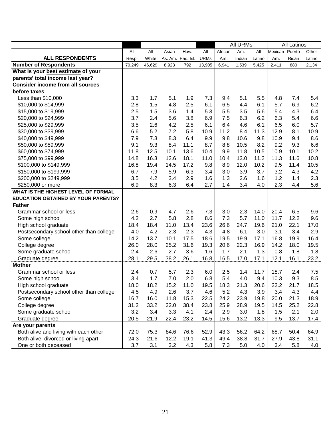|                                            |        |        |                  |      |             |         | <b>All URMs</b> |        |                | <b>All Latinos</b> |        |
|--------------------------------------------|--------|--------|------------------|------|-------------|---------|-----------------|--------|----------------|--------------------|--------|
|                                            | All    | All    | Asian            | Haw. | All         | African | Am.             | All    | Mexican Puerto |                    | Other  |
| <b>ALL RESPONDENTS</b>                     | Resp.  | White  | As. Am. Pac. Isl |      | <b>URMs</b> | Am.     | Indian          | Latino | Am.            | Rican              | Latino |
| <b>Number of Respondents</b>               | 70,249 | 46,629 | 8,923            | 792  | 13,905      | 6,941   | 1,539           | 5,425  | 2,411          | 880                | 2,134  |
| What is your best estimate of your         |        |        |                  |      |             |         |                 |        |                |                    |        |
| parents' total income last year?           |        |        |                  |      |             |         |                 |        |                |                    |        |
| <b>Consider income from all sources</b>    |        |        |                  |      |             |         |                 |        |                |                    |        |
| before taxes                               |        |        |                  |      |             |         |                 |        |                |                    |        |
| Less than \$10,000                         | 3.3    | 1.7    | 5.1              | 1.9  | 7.3         | 9.4     | 5.1             | 5.5    | 4.8            | 7.4                | 5.4    |
| \$10,000 to \$14,999                       | 2.8    | 1.5    | 4.8              | 2.5  | 6.1         | 6.5     | 4.4             | 6.1    | 5.7            | 6.9                | 6.2    |
| \$15,000 to \$19,999                       | 2.5    | 1.5    | 3.6              | 1.4  | 5.3         | 5.5     | 3.5             | 5.6    | 5.4            | 4.3                | 6.4    |
| \$20,000 to \$24,999                       | 3.7    | 2.4    | 5.6              | 3.8  | 6.9         | 7.5     | 6.3             | 6.2    | 6.3            | 5.4                | 6.6    |
| \$25,000 to \$29,999                       | 3.5    | 2.6    | 4.2              | 2.5  | 6.1         | 6.4     | 4.6             | 6.1    | 6.5            | 6.0                | 5.7    |
| \$30,000 to \$39,999                       | 6.6    | 5.2    | 7.2              | 5.8  | 10.9        | 11.2    | 8.4             | 11.3   | 12.9           | 8.1                | 10.9   |
| \$40,000 to \$49,999                       | 7.9    | 7.3    | 8.3              | 6.4  | 9.9         | 9.8     | 10.6            | 9.8    | 10.9           | 9.4                | 8.6    |
| \$50,000 to \$59,999                       | 9.1    | 9.3    | 8.4              | 11.1 | 8.7         | 8.8     | 10.5            | 8.2    | 9.2            | 9.3                | 6.6    |
| \$60,000 to \$74,999                       | 11.8   | 12.5   | 10.1             | 13.6 | 10.4        | 9.9     | 11.8            | 10.5   | 10.9           | 10.1               | 10.2   |
| \$75,000 to \$99,999                       | 14.8   | 16.3   | 12.6             | 18.1 | 11.0        | 10.4    | 13.0            | 11.2   | 11.3           | 11.6               | 10.8   |
| \$100,000 to \$149,999                     | 16.8   | 19.4   | 14.5             | 17.2 | 9.8         | 8.9     | 12.0            | 10.2   | 9.5            | 11.4               | 10.5   |
| \$150,000 to \$199,999                     | 6.7    | 7.9    | 5.9              | 6.3  | 3.4         | 3.0     | 3.9             | 3.7    | 3.2            | 4.3                | 4.2    |
| \$200,000 to \$249,999                     | 3.5    | 4.2    | 3.4              | 2.9  | 1.6         | 1.3     | 2.6             | 1.6    | 1.2            | 1.4                | 2.3    |
| \$250,000 or more                          | 6.9    | 8.3    | 6.3              | 6.4  | 2.7         | 1.4     | 3.4             | 4.0    | 2.3            | 4.4                | 5.6    |
| WHAT IS THE HIGHEST LEVEL OF FORMAL        |        |        |                  |      |             |         |                 |        |                |                    |        |
| <b>EDUCATION OBTAINED BY YOUR PARENTS?</b> |        |        |                  |      |             |         |                 |        |                |                    |        |
| <b>Father</b>                              |        |        |                  |      |             |         |                 |        |                |                    |        |
| Grammar school or less                     | 2.6    | 0.9    | 4.7              | 2.6  | 7.3         | 3.0     | 2.3             | 14.0   | 20.4           | 6.5                | 9.6    |
| Some high school                           | 4.2    | 2.7    | 5.8              | 2.8  | 8.6         | 7.3     | 5.7             | 11.0   | 11.7           | 12.2               | 9.6    |
| High school graduate                       | 18.4   | 18.4   | 11.0             | 13.4 | 23.6        | 26.6    | 24.7            | 19.6   | 21.0           | 22.1               | 17.0   |
| Postsecondary school other than college    | 4.0    | 4.2    | 2.3              | 2.3  | 4.3         | 4.8     | 6.1             | 3.0    | 3.1            | 3.4                | 2.9    |
| Some college                               | 14.2   | 13.7   | 10.1             | 17.5 | 18.6        | 19.5    | 19.9            | 17.1   | 16.8           | 19.9               | 16.4   |
| College degree                             | 26.0   | 28.0   | 25.2             | 31.6 | 19.3        | 20.6    | 22.3            | 16.9   | 14.2           | 18.0               | 19.5   |
| Some graduate school                       | 2.4    | 2.6    | 2.7              | 3.6  | 1.6         | 1.7     | 2.1             | 1.3    | 0.8            | 1.8                | 1.8    |
| Graduate degree                            | 28.1   | 29.5   | 38.2             | 26.1 | 16.8        | 16.5    | 17.0            | 17.1   | 12.1           | 16.1               | 23.2   |
| <b>Mother</b>                              |        |        |                  |      |             |         |                 |        |                |                    |        |
| Grammar school or less                     | 2.4    | 0.7    | 5.7              | 2.3  | 6.0         | 2.5     | 1.4             | 11.7   | 18.7           | 2.4                | 7.5    |
| Some high school                           | 3.4    | 1.7    | 7.0              | 2.0  | 6.8         | 5.4     | 4.0             | 9.4    | 10.3           | 9.3                | 8.5    |
| High school graduate                       | 18.0   | 18.2   | 15.2             | 11.0 | 19.5        | 18.3    | 21.3            | 20.6   | 22.2           | 21.7               | 18.5   |
| Postsecondary school other than college    | 4.5    | 4.9    | 2.6              | 3.7  | 4.6         | 5.2     | 4.3             | 3.9    | 3.4            | 4.3                | 4.4    |
| Some college                               | 16.7   | 16.0   | 11.8             | 15.3 | 22.5        | 24.2    | 23.9            | 19.8   | 20.0           | 21.3               | 18.9   |
| College degree                             | 31.2   | 33.2   | 32.0             | 38.4 | 23.8        | 25.9    | 28.9            | 19.5   | 14.5           | 25.2               | 22.8   |
| Some graduate school                       | 3.2    | 3.4    | 3.3              | 4.1  | 2.4         | 2.9     | 3.0             | 1.8    | 1.5            | 2.1                | 2.0    |
| Graduate degree                            | 20.5   | 21.9   | 22.4             | 23.2 | 14.5        | 15.6    | 13.2            | 13.3   | 9.5            | 13.7               | 17.4   |
| Are your parents                           |        |        |                  |      |             |         |                 |        |                |                    |        |
| Both alive and living with each other      | 72.0   | 75.3   | 84.6             | 76.6 | 52.9        | 43.3    | 56.2            | 64.2   | 68.7           | 50.4               | 64.9   |
| Both alive, divorced or living apart       | 24.3   | 21.6   | 12.2             | 19.1 | 41.3        | 49.4    | 38.8            | 31.7   | 27.9           | 43.8               | 31.1   |
| One or both deceased                       | 3.7    | 3.1    | 3.2              | 4.3  | 5.8         | 7.3     | 5.0             | 4.0    | 3.4            | 5.8                | 4.0    |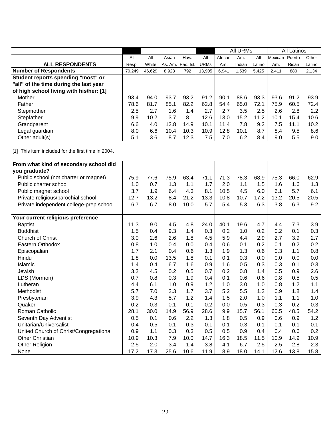|                                         |        |        |         |           |             | <b>All URMs</b> |        |        |                | All Latinos |        |
|-----------------------------------------|--------|--------|---------|-----------|-------------|-----------------|--------|--------|----------------|-------------|--------|
|                                         | All    | All    | Asian   | Haw.      | All         | African         | Am.    | All    | <b>Mexican</b> | Puerto      | Other  |
| <b>ALL RESPONDENTS</b>                  | Resp.  | White  | As. Am. | Pac. Isl. | <b>URMs</b> | Am.             | Indian | Latino | Am.            | Rican       | Latino |
| <b>Number of Respondents</b>            | 70,249 | 46,629 | 8,923   | 792       | 13,905      | 6,941           | 1,539  | 5,425  | 2,411          | 880         | 2,134  |
| Student reports spending "most" or      |        |        |         |           |             |                 |        |        |                |             |        |
| "all" of the time during the last year  |        |        |         |           |             |                 |        |        |                |             |        |
| of high school living with his/her: [1] |        |        |         |           |             |                 |        |        |                |             |        |
| Mother                                  | 93.4   | 94.0   | 93.7    | 93.2      | 91.2        | 90.1            | 88.6   | 93.3   | 93.6           | 91.2        | 93.9   |
| Father                                  | 78.6   | 81.7   | 85.1    | 82.2      | 62.8        | 54.4            | 65.0   | 72.1   | 75.9           | 60.5        | 72.4   |
| Stepmother                              | 2.5    | 2.7    | 1.6     | 1.4       | 2.7         | 2.7             | 3.5    | 2.5    | 2.6            | 2.8         | 2.2    |
| Stepfather                              | 9.9    | 10.2   | 3.7     | 8.1       | 12.6        | 13.0            | 15.2   | 11.2   | 10.1           | 15.4        | 10.6   |
| Grandparent                             | 6.6    | 4.0    | 12.8    | 14.9      | 10.1        | 11.4            | 7.8    | 9.2    | 7.5            | 11.1        | 10.2   |
| Legal guardian                          | 8.0    | 6.6    | 10.4    | 10.3      | 10.9        | 12.8            | 10.1   | 8.7    | 8.4            | 9.5         | 8.6    |
| Other adult(s)                          | 5.1    | 3.6    | 8.7     | 12.3      | 7.5         | 7.0             | 6.2    | 8.4    | 9.0            | 5.5         | 9.0    |

| From what kind of secondary school did  |      |      |      |      |      |      |      |      |      |      |       |
|-----------------------------------------|------|------|------|------|------|------|------|------|------|------|-------|
| you graduate?                           |      |      |      |      |      |      |      |      |      |      |       |
| Public school (not charter or magnet)   | 75.9 | 77.6 | 75.9 | 63.4 | 71.1 | 71.3 | 78.3 | 68.9 | 75.3 | 66.0 | 62.9  |
| Public charter school                   | 1.0  | 0.7  | 1.3  | 1.1  | 1.7  | 2.0  | 1.1  | 1.5  | 1.6  | 1.6  | 1.3   |
| Public magnet school                    | 3.7  | 1.9  | 6.4  | 4.3  | 8.1  | 10.5 | 4.5  | 6.0  | 6.1  | 5.7  | 6.1   |
| Private religious/parochial school      | 12.7 | 13.2 | 8.4  | 21.2 | 13.3 | 10.8 | 10.7 | 17.2 | 13.2 | 20.5 | 20.5  |
| Private independent college-prep school | 6.7  | 6.7  | 8.0  | 10.0 | 5.7  | 5.4  | 5.3  | 6.3  | 3.8  | 6.3  | 9.2   |
| Your current religious preference       |      |      |      |      |      |      |      |      |      |      |       |
| <b>Baptist</b>                          | 11.3 | 9.0  | 4.5  | 4.8  | 24.0 | 40.1 | 19.6 | 4.7  | 4.4  | 7.3  | 3.9   |
| <b>Buddhist</b>                         | 1.5  | 0.4  | 9.3  | 1.4  | 0.3  | 0.2  | 1.0  | 0.2  | 0.2  | 0.1  | 0.3   |
| Church of Christ                        | 3.0  | 2.6  | 2.6  | 1.8  | 4.5  | 5.9  | 4.4  | 2.9  | 2.7  | 3.9  | 2.7   |
| Eastern Orthodox                        | 0.8  | 1.0  | 0.4  | 0.0  | 0.4  | 0.6  | 0.1  | 0.2  | 0.1  | 0.2  | 0.2   |
| Episcopalian                            | 1.7  | 2.1  | 0.4  | 0.6  | 1.3  | 1.9  | 1.3  | 0.6  | 0.3  | 1.1  | 0.8   |
| Hindu                                   | 1.8  | 0.0  | 13.5 | 1.8  | 0.1  | 0.1  | 0.3  | 0.0  | 0.0  | 0.0  | 0.0   |
| Islamic                                 | 1.4  | 0.4  | 6.7  | 1.6  | 0.9  | 1.6  | 0.5  | 0.3  | 0.3  | 0.1  | 0.3   |
| Jewish                                  | 3.2  | 4.5  | 0.2  | 0.5  | 0.7  | 0.2  | 0.8  | 1.4  | 0.5  | 0.9  | 2.6   |
| LDS (Mormon)                            | 0.7  | 0.8  | 0.3  | 1.9  | 0.4  | 0.1  | 0.6  | 0.6  | 0.8  | 0.5  | 0.5   |
| Lutheran                                | 4.4  | 6.1  | 1.0  | 0.9  | 1.2  | 1.0  | 3.0  | 1.0  | 0.8  | 1.2  | $1.1$ |
| Methodist                               | 5.7  | 7.0  | 2.3  | 1.7  | 3.7  | 5.2  | 5.5  | 1.2  | 0.9  | 1.8  | 1.4   |
| Presbyterian                            | 3.9  | 4.3  | 5.7  | 1.2  | 1.4  | 1.5  | 2.0  | 1.0  | 1.1  | 1.1  | 1.0   |
| Quaker                                  | 0.2  | 0.3  | 0.1  | 0.1  | 0.2  | 0.0  | 0.5  | 0.3  | 0.3  | 0.2  | 0.3   |
| Roman Catholic                          | 28.1 | 30.0 | 14.9 | 56.9 | 28.6 | 9.9  | 15.7 | 56.1 | 60.5 | 48.5 | 54.2  |
| Seventh Day Adventist                   | 0.5  | 0.1  | 0.6  | 2.2  | 1.3  | 1.8  | 0.5  | 0.9  | 0.6  | 0.9  | 1.2   |
| Unitarian/Universalist                  | 0.4  | 0.5  | 0.1  | 0.3  | 0.1  | 0.1  | 0.3  | 0.1  | 0.1  | 0.1  | 0.1   |
| United Church of Christ/Congregational  | 0.9  | 1.1  | 0.3  | 0.3  | 0.5  | 0.5  | 0.9  | 0.4  | 0.4  | 0.6  | 0.2   |
| <b>Other Christian</b>                  | 10.9 | 10.3 | 7.9  | 10.0 | 14.7 | 16.3 | 18.5 | 11.5 | 10.9 | 14.9 | 10.9  |
| Other Religion                          | 2.5  | 2.0  | 3.4  | 1.4  | 3.8  | 4.1  | 6.7  | 2.5  | 2.5  | 2.8  | 2.3   |
| None                                    | 17.2 | 17.3 | 25.6 | 10.6 | 11.9 | 8.9  | 18.0 | 14.1 | 12.6 | 13.8 | 15.8  |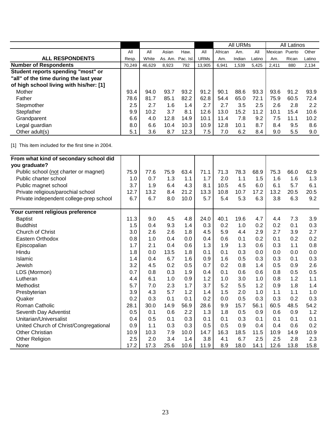|                                         |        |        |       |                   |             | All URMs<br>African<br>Am. |        |        |         | All Latinos |        |
|-----------------------------------------|--------|--------|-------|-------------------|-------------|----------------------------|--------|--------|---------|-------------|--------|
|                                         | All    | All    | Asian | Haw.              | All         |                            |        | All    | Mexican | Puerto      | Other  |
| <b>ALL RESPONDENTS</b>                  | Resp.  | White  |       | As. Am. Pac. Isl. | <b>URMs</b> | Am.                        | Indian | Latino | Am.     | Rican       | Latino |
| <b>Number of Respondents</b>            | 70,249 | 46,629 | 8,923 | 792               | 13,905      | 6,941                      | 1,539  | 5,425  | 2,411   | 880         | 2,134  |
| Student reports spending "most" or      |        |        |       |                   |             |                            |        |        |         |             |        |
| "all" of the time during the last year  |        |        |       |                   |             |                            |        |        |         |             |        |
| of high school living with his/her: [1] |        |        |       |                   |             |                            |        |        |         |             |        |
| Mother                                  | 93.4   | 94.0   | 93.7  | 93.2              | 91.2        | 90.1                       | 88.6   | 93.3   | 93.6    | 91.2        | 93.9   |
| Father                                  | 78.6   | 81.7   | 85.1  | 82.2              | 62.8        | 54.4                       | 65.0   | 72.1   | 75.9    | 60.5        | 72.4   |
| Stepmother                              | 2.5    | 2.7    | 1.6   | 1.4               | 2.7         | 2.7                        | 3.5    | 2.5    | 2.6     | 2.8         | 2.2    |
| Stepfather                              | 9.9    | 10.2   | 3.7   | 8.1               | 12.6        | 13.0                       | 15.2   | 11.2   | 10.1    | 15.4        | 10.6   |
| Grandparent                             | 6.6    | 4.0    | 12.8  | 14.9              | 10.1        | 11.4                       | 7.8    | 9.2    | 7.5     | 11.1        | 10.2   |
| Legal guardian                          | 8.0    | 6.6    | 10.4  | 10.3              | 10.9        | 12.8                       | 10.1   | 8.7    | 8.4     | 9.5         | 8.6    |
| Other adult(s)                          | 5.1    | 3.6    | 8.7   | 12.3              | 7.5         | 7.0                        | 6.2    | 8.4    | 9.0     | 5.5         | 9.0    |

| From what kind of secondary school did  |      |      |      |      |      |      |      |      |      |      |      |
|-----------------------------------------|------|------|------|------|------|------|------|------|------|------|------|
| you graduate?                           |      |      |      |      |      |      |      |      |      |      |      |
| Public school (not charter or magnet)   | 75.9 | 77.6 | 75.9 | 63.4 | 71.1 | 71.3 | 78.3 | 68.9 | 75.3 | 66.0 | 62.9 |
| Public charter school                   | 1.0  | 0.7  | 1.3  | 1.1  | 1.7  | 2.0  | 1.1  | 1.5  | 1.6  | 1.6  | 1.3  |
|                                         | 3.7  | 1.9  | 6.4  | 4.3  | 8.1  | 10.5 | 4.5  | 6.0  | 6.1  | 5.7  | 6.1  |
| Public magnet school                    |      | 13.2 |      | 21.2 |      |      |      | 17.2 | 13.2 | 20.5 | 20.5 |
| Private religious/parochial school      | 12.7 |      | 8.4  |      | 13.3 | 10.8 | 10.7 |      |      |      |      |
| Private independent college-prep school | 6.7  | 6.7  | 8.0  | 10.0 | 5.7  | 5.4  | 5.3  | 6.3  | 3.8  | 6.3  | 9.2  |
| Your current religious preference       |      |      |      |      |      |      |      |      |      |      |      |
| <b>Baptist</b>                          | 11.3 | 9.0  | 4.5  | 4.8  | 24.0 | 40.1 | 19.6 | 4.7  | 4.4  | 7.3  | 3.9  |
| <b>Buddhist</b>                         | 1.5  | 0.4  | 9.3  | 1.4  | 0.3  | 0.2  | 1.0  | 0.2  | 0.2  | 0.1  | 0.3  |
| Church of Christ                        | 3.0  | 2.6  | 2.6  | 1.8  | 4.5  | 5.9  | 4.4  | 2.9  | 2.7  | 3.9  | 2.7  |
| Eastern Orthodox                        | 0.8  | 1.0  | 0.4  | 0.0  | 0.4  | 0.6  | 0.1  | 0.2  | 0.1  | 0.2  | 0.2  |
| Episcopalian                            | 1.7  | 2.1  | 0.4  | 0.6  | 1.3  | 1.9  | 1.3  | 0.6  | 0.3  | 1.1  | 0.8  |
| Hindu                                   | 1.8  | 0.0  | 13.5 | 1.8  | 0.1  | 0.1  | 0.3  | 0.0  | 0.0  | 0.0  | 0.0  |
| Islamic                                 | 1.4  | 0.4  | 6.7  | 1.6  | 0.9  | 1.6  | 0.5  | 0.3  | 0.3  | 0.1  | 0.3  |
| Jewish                                  | 3.2  | 4.5  | 0.2  | 0.5  | 0.7  | 0.2  | 0.8  | 1.4  | 0.5  | 0.9  | 2.6  |
| LDS (Mormon)                            | 0.7  | 0.8  | 0.3  | 1.9  | 0.4  | 0.1  | 0.6  | 0.6  | 0.8  | 0.5  | 0.5  |
| Lutheran                                | 4.4  | 6.1  | 1.0  | 0.9  | 1.2  | 1.0  | 3.0  | 1.0  | 0.8  | 1.2  | 1.1  |
| Methodist                               | 5.7  | 7.0  | 2.3  | 1.7  | 3.7  | 5.2  | 5.5  | 1.2  | 0.9  | 1.8  | 1.4  |
| Presbyterian                            | 3.9  | 4.3  | 5.7  | 1.2  | 1.4  | 1.5  | 2.0  | 1.0  | 1.1  | 1.1  | 1.0  |
| Quaker                                  | 0.2  | 0.3  | 0.1  | 0.1  | 0.2  | 0.0  | 0.5  | 0.3  | 0.3  | 0.2  | 0.3  |
| Roman Catholic                          | 28.1 | 30.0 | 14.9 | 56.9 | 28.6 | 9.9  | 15.7 | 56.1 | 60.5 | 48.5 | 54.2 |
| Seventh Day Adventist                   | 0.5  | 0.1  | 0.6  | 2.2  | 1.3  | 1.8  | 0.5  | 0.9  | 0.6  | 0.9  | 1.2  |
| Unitarian/Universalist                  | 0.4  | 0.5  | 0.1  | 0.3  | 0.1  | 0.1  | 0.3  | 0.1  | 0.1  | 0.1  | 0.1  |
| United Church of Christ/Congregational  | 0.9  | 1.1  | 0.3  | 0.3  | 0.5  | 0.5  | 0.9  | 0.4  | 0.4  | 0.6  | 0.2  |
| <b>Other Christian</b>                  | 10.9 | 10.3 | 7.9  | 10.0 | 14.7 | 16.3 | 18.5 | 11.5 | 10.9 | 14.9 | 10.9 |
| Other Religion                          | 2.5  | 2.0  | 3.4  | 1.4  | 3.8  | 4.1  | 6.7  | 2.5  | 2.5  | 2.8  | 2.3  |
| None                                    | 17.2 | 17.3 | 25.6 | 10.6 | 11.9 | 8.9  | 18.0 | 14.1 | 12.6 | 13.8 | 15.8 |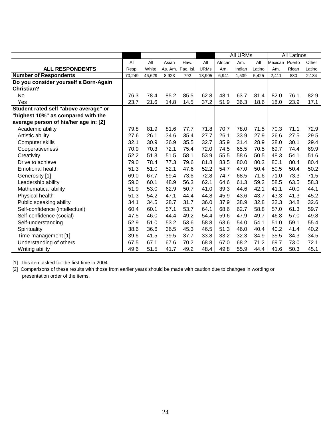|                                       |        |        |         |           |             | <b>All URMs</b> |        | <b>All Latinos</b> |                |       |        |
|---------------------------------------|--------|--------|---------|-----------|-------------|-----------------|--------|--------------------|----------------|-------|--------|
|                                       | All    | All    | Asian   | Haw.      | All         | African         | Am.    | All                | Mexican Puerto |       | Other  |
| <b>ALL RESPONDENTS</b>                | Resp.  | White  | As. Am. | Pac. Isl. | <b>URMs</b> | Am.             | Indian | Latino             | Am.            | Rican | Latino |
| <b>Number of Respondents</b>          | 70,249 | 46.629 | 8,923   | 792       | 13,905      | 6,941           | 1,539  | 5,425              | 2,411          | 880   | 2,134  |
| Do you consider yourself a Born-Again |        |        |         |           |             |                 |        |                    |                |       |        |
| Christian?                            |        |        |         |           |             |                 |        |                    |                |       |        |
| No                                    | 76.3   | 78.4   | 85.2    | 85.5      | 62.8        | 48.1            | 63.7   | 81.4               | 82.0           | 76.1  | 82.9   |
| Yes                                   | 23.7   | 21.6   | 14.8    | 14.5      | 37.2        | 51.9            | 36.3   | 18.6               | 18.0           | 23.9  | 17.1   |
| Student rated self "above average" or |        |        |         |           |             |                 |        |                    |                |       |        |
| "highest 10%" as compared with the    |        |        |         |           |             |                 |        |                    |                |       |        |
| average person of his/her age in: [2] |        |        |         |           |             |                 |        |                    |                |       |        |
| Academic ability                      | 79.8   | 81.9   | 81.6    | 77.7      | 71.8        | 70.7            | 78.0   | 71.5               | 70.3           | 71.1  | 72.9   |
| Artistic ability                      | 27.6   | 26.1   | 34.6    | 35.4      | 27.7        | 26.1            | 33.9   | 27.9               | 26.6           | 27.5  | 29.5   |
| Computer skills                       | 32.1   | 30.9   | 36.9    | 35.5      | 32.7        | 35.9            | 31.4   | 28.9               | 28.0           | 30.1  | 29.4   |
| Cooperativeness                       | 70.9   | 70.3   | 72.1    | 75.4      | 72.0        | 74.5            | 65.5   | 70.5               | 69.7           | 74.4  | 69.9   |
| Creativity                            | 52.2   | 51.8   | 51.5    | 58.1      | 53.9        | 55.5            | 58.6   | 50.5               | 48.3           | 54.1  | 51.6   |
| Drive to achieve                      | 79.0   | 78.4   | 77.3    | 79.6      | 81.8        | 83.5            | 80.0   | 80.3               | 80.1           | 80.4  | 80.4   |
| <b>Emotional health</b>               | 51.3   | 51.0   | 52.1    | 47.6      | 52.2        | 54.7            | 47.0   | 50.4               | 50.5           | 50.4  | 50.2   |
| Generosity [1]                        | 69.0   | 67.7   | 69.4    | 73.6      | 72.8        | 74.7            | 68.5   | 71.6               | 71.0           | 73.3  | 71.5   |
| Leadership ability                    | 59.0   | 60.1   | 48.9    | 56.3      | 62.1        | 64.6            | 61.3   | 59.2               | 58.5           | 63.5  | 58.3   |
| Mathematical ability                  | 51.9   | 53.0   | 62.9    | 50.7      | 41.0        | 39.3            | 44.6   | 42.1               | 41.1           | 40.0  | 44.1   |
| Physical health                       | 51.3   | 54.2   | 47.1    | 44.4      | 44.8        | 45.9            | 43.6   | 43.7               | 43.3           | 41.3  | 45.2   |
| Public speaking ability               | 34.1   | 34.5   | 28.7    | 31.7      | 36.0        | 37.9            | 38.9   | 32.8               | 32.3           | 34.8  | 32.6   |
| Self-confidence (intellectual)        | 60.4   | 60.1   | 57.1    | 53.7      | 64.1        | 68.6            | 62.7   | 58.8               | 57.0           | 61.3  | 59.7   |
| Self-confidence (social)              | 47.5   | 46.0   | 44.4    | 49.2      | 54.4        | 59.6            | 47.9   | 49.7               | 46.8           | 57.0  | 49.8   |
| Self-understanding                    | 52.9   | 51.0   | 53.2    | 53.6      | 58.8        | 63.6            | 54.0   | 54.1               | 51.0           | 59.1  | 55.4   |
| Spirituality                          | 38.6   | 36.6   | 36.5    | 45.3      | 46.5        | 51.3            | 46.0   | 40.4               | 40.2           | 41.4  | 40.2   |
| Time management [1]                   | 39.6   | 41.5   | 39.5    | 37.7      | 33.8        | 33.2            | 32.3   | 34.9               | 35.5           | 34.3  | 34.5   |
| Understanding of others               | 67.5   | 67.1   | 67.6    | 70.2      | 68.8        | 67.0            | 68.2   | 71.2               | 69.7           | 73.0  | 72.1   |
| Writing ability                       | 49.6   | 51.5   | 41.7    | 49.2      | 48.4        | 49.8            | 55.9   | 44.4               | 41.6           | 50.3  | 45.1   |

[2] Comparisons of these results with those from earlier years should be made with caution due to changes in wording or presentation order of the items.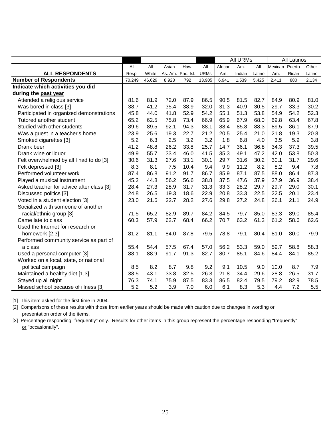|                                          |        |        |                  |      |             |         | <b>All URMs</b> |        |                | <b>All Latinos</b> |        |
|------------------------------------------|--------|--------|------------------|------|-------------|---------|-----------------|--------|----------------|--------------------|--------|
|                                          | All    | All    | Asian            | Haw. | All         | African | Am.             | All    | Mexican Puerto |                    | Other  |
| <b>ALL RESPONDENTS</b>                   | Resp.  | White  | As. Am. Pac. Isl |      | <b>URMs</b> | Am.     | Indian          | Latino | Am.            | Rican              | Latino |
| <b>Number of Respondents</b>             | 70,249 | 46,629 | 8,923            | 792  | 13,905      | 6,941   | 1,539           | 5,425  | 2,411          | 880                | 2,134  |
| Indicate which activities you did        |        |        |                  |      |             |         |                 |        |                |                    |        |
| during the past year                     |        |        |                  |      |             |         |                 |        |                |                    |        |
| Attended a religious service             | 81.6   | 81.9   | 72.0             | 87.9 | 86.5        | 90.5    | 81.5            | 82.7   | 84.9           | 80.9               | 81.0   |
| Was bored in class [3]                   | 38.7   | 41.2   | 35.4             | 38.9 | 32.0        | 31.3    | 40.9            | 30.5   | 29.7           | 33.3               | 30.2   |
| Participated in organized demonstrations | 45.8   | 44.0   | 41.8             | 52.9 | 54.2        | 55.1    | 51.3            | 53.8   | 54.9           | 54.2               | 52.3   |
| Tutored another student                  | 65.2   | 62.5   | 75.8             | 73.4 | 66.9        | 65.9    | 67.9            | 68.0   | 69.8           | 63.4               | 67.8   |
| Studied with other students              | 89.6   | 89.5   | 92.1             | 94.3 | 88.1        | 88.4    | 85.8            | 88.3   | 89.5           | 86.1               | 87.9   |
| Was a guest in a teacher's home          | 23.9   | 25.6   | 19.3             | 22.7 | 21.2        | 20.5    | 25.4            | 21.0   | 21.8           | 19.3               | 20.8   |
| Smoked cigarettes [3]                    | 5.2    | 6.3    | 2.5              | 3.2  | 3.2         | 1.8     | 6.8             | 4.0    | 3.5            | 5.9                | 3.8    |
| Drank beer                               | 41.2   | 48.8   | 26.2             | 33.8 | 25.7        | 14.7    | 36.1            | 36.8   | 34.3           | 37.3               | 39.5   |
| Drank wine or liquor                     | 49.9   | 55.7   | 33.4             | 46.0 | 41.5        | 35.3    | 49.1            | 47.2   | 42.0           | 53.8               | 50.3   |
| Felt overwhelmed by all I had to do [3]  | 30.6   | 31.3   | 27.6             | 33.1 | 30.1        | 29.7    | 31.6            | 30.2   | 30.1           | 31.7               | 29.6   |
| Felt depressed [3]                       | 8.3    | 8.1    | 7.5              | 10.4 | 9.4         | 9.9     | 11.2            | 8.2    | 8.2            | 9.4                | 7.8    |
| Performed volunteer work                 | 87.4   | 86.8   | 91.2             | 91.7 | 86.7        | 85.9    | 87.1            | 87.5   | 88.0           | 86.4               | 87.3   |
| Played a musical instrument              | 45.2   | 44.8   | 56.2             | 56.6 | 38.8        | 37.5    | 47.6            | 37.9   | 37.9           | 36.9               | 38.4   |
| Asked teacher for advice after class [3] | 28.4   | 27.3   | 28.9             | 31.7 | 31.3        | 33.3    | 28.2            | 29.7   | 29.7           | 29.0               | 30.1   |
| Discussed politics [3]                   | 24.8   | 26.5   | 19.3             | 18.6 | 22.9        | 20.8    | 33.3            | 22.5   | 22.5           | 20.1               | 23.4   |
| Voted in a student election [3]          | 23.0   | 21.6   | 22.7             | 28.2 | 27.6        | 29.8    | 27.2            | 24.8   | 26.1           | 21.1               | 24.9   |
| Socialized with someone of another       |        |        |                  |      |             |         |                 |        |                |                    |        |
| racial/ethnic group [3]                  | 71.5   | 65.2   | 82.9             | 89.7 | 84.2        | 84.5    | 79.7            | 85.0   | 83.3           | 89.0               | 85.4   |
| Came late to class                       | 60.3   | 57.9   | 62.7             | 68.4 | 66.2        | 70.7    | 63.2            | 61.3   | 61.2           | 58.6               | 62.6   |
| Used the Internet for research or        |        |        |                  |      |             |         |                 |        |                |                    |        |
| homework [2,3]                           | 81.2   | 81.1   | 84.0             | 87.8 | 79.5        | 78.8    | 79.1            | 80.4   | 81.0           | 80.0               | 79.9   |
| Performed community service as part of   |        |        |                  |      |             |         |                 |        |                |                    |        |
| a class                                  | 55.4   | 54.4   | 57.5             | 67.4 | 57.0        | 56.2    | 53.3            | 59.0   | 59.7           | 58.8               | 58.3   |
| Used a personal computer [3]             | 88.1   | 88.9   | 91.7             | 91.3 | 82.7        | 80.7    | 85.1            | 84.6   | 84.4           | 84.1               | 85.2   |
| Worked on a local, state, or national    |        |        |                  |      |             |         |                 |        |                |                    |        |
| political campaign                       | 8.5    | 8.2    | 8.7              | 9.8  | 9.2         | 9.1     | 10.5            | 9.0    | 10.0           | 8.7                | 7.9    |
| Maintained a healthy diet [1,3]          | 38.5   | 43.1   | 33.8             | 32.5 | 26.3        | 21.8    | 34.4            | 29.6   | 28.8           | 26.5               | 31.7   |
| Stayed up all night                      | 76.3   | 74.1   | 75.9             | 87.5 | 83.3        | 86.5    | 82.4            | 79.5   | 79.2           | 82.9               | 78.5   |
| Missed school because of illness [3]     | 5.2    | 5.2    | 3.9              | 7.0  | 6.0         | 6.1     | 8.3             | 5.3    | 4.4            | 7.2                | 5.5    |

[2] Comparisons of these results with those from earlier years should be made with caution due to changes in wording or presentation order of the items.

[3] Percentage responding "frequently" only. Results for other items in this group represent the percentage responding "frequently" or "occasionally".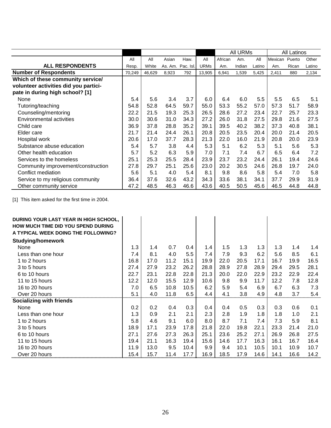|                                       |        |        |       |                   | <b>All URMs</b> |         |        |        |         | All Latinos |        |
|---------------------------------------|--------|--------|-------|-------------------|-----------------|---------|--------|--------|---------|-------------|--------|
|                                       | All    | All    | Asian | Haw.              | All             | African | Am.    | All    | Mexican | Puerto      | Other  |
| <b>ALL RESPONDENTS</b>                | Resp.  | White  |       | As. Am. Pac. Isl. | <b>URMs</b>     | Am.     | Indian | Latino | Am.     | Rican       | Latino |
| <b>Number of Respondents</b>          | 70,249 | 46,629 | 8,923 | 792               | 13,905          | 6,941   | 1,539  | 5,425  | 2,411   | 880         | 2,134  |
| Which of these community service/     |        |        |       |                   |                 |         |        |        |         |             |        |
| volunteer activities did you partici- |        |        |       |                   |                 |         |        |        |         |             |        |
| pate in during high school? [1]       |        |        |       |                   |                 |         |        |        |         |             |        |
| None                                  | 5.4    | 5.6    | 3.4   | 3.7               | 6.0             | 6.4     | 6.0    | 5.5    | 5.5     | 6.5         | 5.1    |
| Tutoring/teaching                     | 54.8   | 52.8   | 64.5  | 59.7              | 55.0            | 53.3    | 55.2   | 57.0   | 57.3    | 51.7        | 58.9   |
| Counseling/mentoring                  | 22.2   | 21.5   | 19.3  | 25.3              | 26.5            | 28.6    | 27.2   | 23.4   | 22.7    | 25.7        | 23.3   |
| <b>Environmental activities</b>       | 30.0   | 30.6   | 31.0  | 34.3              | 27.2            | 26.0    | 31.8   | 27.5   | 29.8    | 21.6        | 27.5   |
| Child care                            | 36.9   | 37.8   | 28.8  | 35.2              | 39.1            | 39.5    | 40.2   | 38.2   | 37.3    | 40.8        | 38.1   |
| Elder care                            | 21.7   | 21.4   | 24.4  | 26.1              | 20.8            | 20.5    | 23.5   | 20.4   | 20.0    | 21.4        | 20.5   |
| Hospital work                         | 20.6   | 17.0   | 37.7  | 28.3              | 21.3            | 22.0    | 16.0   | 21.9   | 20.8    | 20.0        | 23.9   |
| Substance abuse education             | 5.4    | 5.7    | 3.8   | 4.4               | 5.3             | 5.1     | 6.2    | 5.3    | 5.1     | 5.6         | 5.3    |
| Other health education                | 5.7    | 5.2    | 6.3   | 5.9               | 7.0             | 7.1     | 7.4    | 6.7    | 6.5     | 6.4         | 7.2    |
| Services to the homeless              | 25.1   | 25.3   | 25.5  | 28.4              | 23.9            | 23.7    | 23.2   | 24.4   | 26.1    | 19.4        | 24.6   |
| Community improvement/construction    | 27.8   | 29.7   | 25.1  | 25.6              | 23.0            | 20.2    | 30.5   | 24.6   | 26.8    | 19.7        | 24.0   |
| Conflict mediation                    | 5.6    | 5.1    | 4.0   | 5.4               | 8.1             | 9.8     | 8.6    | 5.8    | 5.4     | 7.0         | 5.8    |
| Service to my religious community     | 36.4   | 37.6   | 32.6  | 43.2              | 34.3            | 33.6    | 38.1   | 34.1   | 37.7    | 29.9        | 31.9   |
| Other community service               | 47.2   | 48.5   | 46.3  | 46.6              | 43.6            | 40.5    | 50.5   | 45.6   | 46.5    | 44.8        | 44.8   |

| DURING YOUR LAST YEAR IN HIGH SCHOOL,<br><b>HOW MUCH TIME DID YOU SPEND DURING</b><br>A TYPICAL WEEK DOING THE FOLLOWING? |      |      |      |      |      |      |      |      |      |      |      |
|---------------------------------------------------------------------------------------------------------------------------|------|------|------|------|------|------|------|------|------|------|------|
| <b>Studying/homework</b>                                                                                                  |      |      |      |      |      |      |      |      |      |      |      |
| None                                                                                                                      | 1.3  | 1.4  | 0.7  | 0.4  | 1.4  | 1.5  | 1.3  | 1.3  | 1.3  | 1.4  | 1.4  |
| Less than one hour                                                                                                        | 7.4  | 8.1  | 4.0  | 5.5  | 7.4  | 7.9  | 9.3  | 6.2  | 5.6  | 8.5  | 6.1  |
| 1 to 2 hours                                                                                                              | 16.8 | 17.0 | 11.2 | 15.1 | 19.9 | 22.0 | 20.5 | 17.1 | 16.7 | 19.9 | 16.5 |
| 3 to 5 hours                                                                                                              | 27.4 | 27.9 | 23.2 | 26.2 | 28.8 | 28.9 | 27.8 | 28.9 | 29.4 | 29.5 | 28.1 |
| 6 to 10 hours                                                                                                             | 22.7 | 23.1 | 22.8 | 22.8 | 21.3 | 20.0 | 22.0 | 22.9 | 23.2 | 22.9 | 22.4 |
| 11 to 15 hours                                                                                                            | 12.2 | 12.0 | 15.5 | 12.9 | 10.6 | 9.8  | 9.9  | 11.7 | 12.2 | 7.8  | 12.8 |
| 16 to 20 hours                                                                                                            | 7.0  | 6.5  | 10.8 | 10.5 | 6.2  | 5.9  | 5.4  | 6.9  | 6.7  | 6.3  | 7.3  |
| Over 20 hours                                                                                                             | 5.1  | 4.0  | 11.8 | 6.5  | 4.4  | 4.1  | 3.8  | 4.9  | 4.8  | 3.7  | 5.4  |
| <b>Socializing with friends</b>                                                                                           |      |      |      |      |      |      |      |      |      |      |      |
| None                                                                                                                      | 0.2  | 0.2  | 0.4  | 0.3  | 0.4  | 0.4  | 0.5  | 0.3  | 0.3  | 0.6  | 0.1  |
| Less than one hour                                                                                                        | 1.3  | 0.9  | 2.1  | 2.1  | 2.3  | 2.8  | 1.9  | 1.8  | 1.8  | 1.0  | 2.1  |
| 1 to 2 hours                                                                                                              | 5.8  | 4.6  | 9.1  | 6.0  | 8.0  | 8.7  | 7.1  | 7.4  | 7.3  | 5.9  | 8.1  |
| 3 to 5 hours                                                                                                              | 18.9 | 17.1 | 23.9 | 17.8 | 21.8 | 22.0 | 19.8 | 22.1 | 23.3 | 21.4 | 21.0 |
| 6 to 10 hours                                                                                                             | 27.1 | 27.6 | 27.3 | 26.3 | 25.1 | 23.6 | 25.2 | 27.1 | 26.9 | 26.8 | 27.5 |
| 11 to 15 hours                                                                                                            | 19.4 | 21.1 | 16.3 | 19.4 | 15.6 | 14.6 | 17.7 | 16.3 | 16.1 | 16.7 | 16.4 |
| 16 to 20 hours                                                                                                            | 11.9 | 13.0 | 9.5  | 10.4 | 9.9  | 9.4  | 10.1 | 10.5 | 10.1 | 10.9 | 10.7 |
| Over 20 hours                                                                                                             | 15.4 | 15.7 | 11.4 | 17.7 | 16.9 | 18.5 | 17.9 | 14.6 | 14.1 | 16.6 | 14.2 |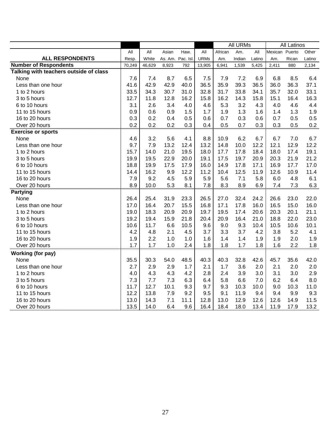|                                        |        |        |         |          | All URMs    |         |        |        | All Latinos    |       |         |
|----------------------------------------|--------|--------|---------|----------|-------------|---------|--------|--------|----------------|-------|---------|
|                                        | All    | All    | Asian   | Haw.     | All         | African | Am.    | All    | Mexican Puerto |       | Other   |
| <b>ALL RESPONDENTS</b>                 | Resp.  | White  | As. Am. | Pac. Isl | <b>URMs</b> | Am.     | Indian | Latino | Am.            | Rican | Latino  |
| <b>Number of Respondents</b>           | 70,249 | 46,629 | 8,923   | 792      | 13,905      | 6,941   | 1,539  | 5,425  | 2,411          | 880   | 2,134   |
| Talking with teachers outside of class |        |        |         |          |             |         |        |        |                |       |         |
| None                                   | 7.6    | 7.4    | 8.7     | 6.5      | 7.5         | 7.9     | 7.2    | 6.9    | 6.8            | 8.5   | 6.4     |
| Less than one hour                     | 41.6   | 42.9   | 42.9    | 40.0     | 36.5        | 35.9    | 39.3   | 36.5   | 36.0           | 36.3  | 37.1    |
| 1 to 2 hours                           | 33.5   | 34.3   | 30.7    | 31.0     | 32.8        | 31.7    | 33.8   | 34.1   | 35.7           | 32.0  | 33.1    |
| 3 to 5 hours                           | 12.7   | 11.8   | 12.8    | 16.2     | 15.8        | 16.2    | 14.3   | 15.8   | 15.1           | 16.4  | 16.3    |
| 6 to 10 hours                          | 3.1    | 2.6    | 3.4     | 4.0      | 4.6         | 5.3     | 3.2    | 4.3    | 4.0            | 4.6   | 4.4     |
| 11 to 15 hours                         | 0.9    | 0.6    | 0.9     | 1.5      | 1.7         | 1.9     | 1.3    | 1.6    | 1.4            | 1.3   | 1.9     |
| 16 to 20 hours                         | 0.3    | 0.2    | 0.4     | 0.5      | 0.6         | 0.7     | 0.3    | 0.6    | 0.7            | 0.5   | 0.5     |
| Over 20 hours                          | 0.2    | 0.2    | 0.2     | 0.3      | 0.4         | 0.5     | 0.7    | 0.3    | 0.3            | 0.5   | $0.2\,$ |
| <b>Exercise or sports</b>              |        |        |         |          |             |         |        |        |                |       |         |
| None                                   | 4.6    | 3.2    | 5.6     | 4.1      | 8.8         | 10.9    | 6.2    | 6.7    | 6.7            | 7.0   | 6.7     |
| Less than one hour                     | 9.7    | 7.9    | 13.2    | 12.4     | 13.2        | 14.8    | 10.0   | 12.2   | 12.1           | 12.9  | 12.2    |
| 1 to 2 hours                           | 15.7   | 14.0   | 21.0    | 19.5     | 18.0        | 17.7    | 17.8   | 18.4   | 18.0           | 17.4  | 19.1    |
| 3 to 5 hours                           | 19.9   | 19.5   | 22.9    | 20.0     | 19.1        | 17.5    | 19.7   | 20.9   | 20.3           | 21.9  | 21.2    |
| 6 to 10 hours                          | 18.8   | 19.9   | 17.5    | 17.9     | 16.0        | 14.9    | 17.8   | 17.1   | 16.9           | 17.7  | 17.0    |
| 11 to 15 hours                         | 14.4   | 16.2   | 9.9     | 12.2     | 11.2        | 10.4    | 12.5   | 11.9   | 12.6           | 10.9  | 11.4    |
| 16 to 20 hours                         | 7.9    | 9.2    | 4.5     | 5.9      | 5.9         | 5.6     | 7.1    | 5.8    | 6.0            | 4.8   | 6.1     |
| Over 20 hours                          | 8.9    | 10.0   | 5.3     | 8.1      | 7.8         | 8.3     | 8.9    | 6.9    | 7.4            | 7.3   | 6.3     |
| <b>Partying</b>                        |        |        |         |          |             |         |        |        |                |       |         |
| None                                   | 26.4   | 25.4   | 31.9    | 23.3     | 26.5        | 27.0    | 32.4   | 24.2   | 26.6           | 23.0  | 22.0    |
| Less than one hour                     | 17.0   | 16.4   | 20.7    | 15.5     | 16.8        | 17.1    | 17.8   | 16.0   | 16.5           | 15.0  | 16.0    |
| 1 to 2 hours                           | 19.0   | 18.3   | 20.9    | 20.9     | 19.7        | 19.5    | 17.4   | 20.6   | 20.3           | 20.1  | 21.1    |
| 3 to 5 hours                           | 19.2   | 19.4   | 15.9    | 21.8     | 20.4        | 20.9    | 16.4   | 21.0   | 18.8           | 22.0  | 23.0    |
| 6 to 10 hours                          | 10.6   | 11.7   | 6.6     | 10.5     | 9.6         | 9.0     | 9.3    | 10.4   | 10.5           | 10.6  | 10.1    |
| 11 to 15 hours                         | 4.2    | 4.8    | 2.1     | 4.5      | 3.7         | 3.3     | 3.7    | 4.2    | 3.8            | 5.2   | 4.1     |
| 16 to 20 hours                         | 1.9    | 2.2    | 1.0     | 1.0      | 1.6         | 1.4     | 1.4    | 1.9    | 1.9            | 2.0   | 1.9     |
| Over 20 hours                          | 1.7    | 1.7    | 1.0     | 2.4      | 1.8         | 1.8     | 1.7    | 1.8    | 1.6            | 2.2   | 1.8     |
| Working (for pay)                      |        |        |         |          |             |         |        |        |                |       |         |
| None                                   | 35.5   | 30.3   | 54.0    | 48.5     | 40.3        | 40.3    | 32.8   | 42.6   | 45.7           | 35.6  | 42.0    |
| Less than one hour                     | 2.7    | 2.9    | 2.9     | 1.7      | 2.1         | 1.7     | 3.6    | 2.0    | 2.1            | 2.0   | 2.0     |
| 1 to 2 hours                           | 4.0    | 4.3    | 4.3     | 4.2      | 2.8         | 2.4     | 3.9    | 3.0    | 3.1            | 3.0   | 2.9     |
| 3 to 5 hours                           | 7.3    | 7.7    | 7.3     | 6.3      | 6.4         | 5.8     | 6.6    | 7.0    | 6.2            | 6.4   | 8.0     |
| 6 to 10 hours                          | 11.7   | 12.7   | 10.1    | 9.3      | 9.7         | 9.3     | 10.3   | 10.0   | 9.0            | 10.3  | 11.0    |
| 11 to 15 hours                         | 12.2   | 13.8   | 7.9     | 9.2      | 9.5         | 9.1     | 11.9   | 9.4    | 9.4            | 9.9   | 9.3     |
| 16 to 20 hours                         | 13.0   | 14.3   | 7.1     | 11.1     | 12.8        | 13.0    | 12.9   | 12.6   | 12.6           | 14.9  | 11.5    |
| Over 20 hours                          | 13.5   | 14.0   | 6.4     | 9.6      | 16.4        | 18.4    | 18.0   | 13.4   | 11.9           | 17.9  | 13.2    |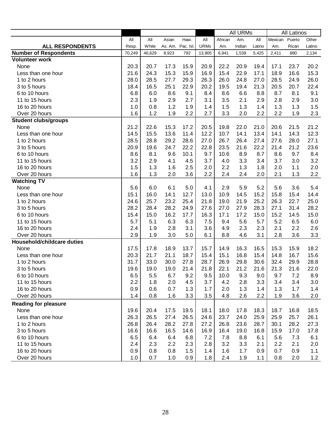|                              |        |              |                  |      |             |         | <b>All URMs</b> |        |         | <b>All Latinos</b> |        |
|------------------------------|--------|--------------|------------------|------|-------------|---------|-----------------|--------|---------|--------------------|--------|
|                              | All    | All          | Asian            | Haw. | All         | African | Am.             | All    | Mexican | Puerto             | Other  |
| <b>ALL RESPONDENTS</b>       | Resp.  | <b>White</b> | As. Am. Pac. Isl |      | <b>URMs</b> | Am.     | Indian          | Latino | Am.     | Rican              | Latino |
| <b>Number of Respondents</b> | 70,249 | 46,629       | 8,923            | 792  | 13,905      | 6,941   | 1,539           | 5,425  | 2,411   | 880                | 2,134  |
| <b>Volunteer work</b>        |        |              |                  |      |             |         |                 |        |         |                    |        |
| None                         | 20.3   | 20.7         | 17.3             | 15.9 | 20.9        | 22.2    | 20.9            | 19.4   | 17.1    | 23.7               | 20.2   |
| Less than one hour           | 21.6   | 24.3         | 15.3             | 15.9 | 16.9        | 15.4    | 22.9            | 17.1   | 18.9    | 16.6               | 15.3   |
| 1 to 2 hours                 | 28.0   | 28.5         | 27.7             | 29.3 | 26.3        | 26.0    | 24.8            | 27.0   | 28.5    | 24.9               | 26.0   |
| 3 to 5 hours                 | 18.4   | 16.5         | 25.1             | 22.9 | 20.2        | 19.5    | 19.4            | 21.3   | 20.5    | 20.7               | 22.4   |
| 6 to 10 hours                | 6.8    | 6.0          | 8.6              | 9.1  | 8.4         | 8.6     | 6.6             | 8.8    | 8.7     | 8.1                | 9.1    |
| 11 to 15 hours               | 2.3    | 1.9          | 2.9              | 2.7  | 3.1         | 3.5     | 2.1             | 2.9    | 2.8     | 2.9                | 3.0    |
| 16 to 20 hours               | 1.0    | 0.8          | 1.2              | 1.9  | 1.4         | 1.5     | 1.3             | 1.4    | 1.3     | 1.3                | 1.5    |
| Over 20 hours                | 1.6    | 1.2          | 1.9              | 2.2  | 2.7         | 3.3     | 2.0             | 2.2    | 2.2     | 1.9                | 2.3    |
| <b>Student clubs/groups</b>  |        |              |                  |      |             |         |                 |        |         |                    |        |
| None                         | 21.2   | 22.6         | 15.3             | 17.2 | 20.5        | 19.8    | 22.0            | 21.0   | 20.6    | 21.5               | 21.2   |
| Less than one hour           | 14.5   | 15.5         | 13.6             | 11.4 | 12.2        | 10.7    | 14.1            | 13.4   | 14.1    | 14.3               | 12.3   |
| 1 to 2 hours                 | 28.5   | 28.8         | 29.2             | 28.6 | 27.0        | 26.7    | 26.4            | 27.4   | 27.6    | 28.0               | 27.1   |
| 3 to 5 hours                 | 20.9   | 19.6         | 24.7             | 22.2 | 22.8        | 23.5    | 21.6            | 22.2   | 21.4    | 21.2               | 23.6   |
| 6 to 10 hours                | 8.6    | 8.1          | 9.6              | 10.1 | 9.7         | 10.6    | 8.9             | 8.7    | 8.6     | 9.7                | 8.4    |
| 11 to 15 hours               | 3.2    | 2.9          | 4.1              | 4.5  | 3.7         | 4.0     | 3.3             | 3.4    | 3.7     | 3.0                | 3.2    |
| 16 to 20 hours               | 1.5    | 1.3          | 1.6              | 2.5  | 2.0         | 2.2     | 1.3             | 1.8    | 2.0     | 1.1                | 2.0    |
| Over 20 hours                | 1.6    | 1.3          | 2.0              | 3.6  | 2.2         | 2.4     | 2.4             | 2.0    | 2.1     | 1.3                | 2.2    |
| <b>Watching TV</b>           |        |              |                  |      |             |         |                 |        |         |                    |        |
| None                         | 5.6    | 6.0          | 6.1              | 5.0  | 4.1         | 2.9     | 5.9             | 5.2    | 5.6     | 3.6                | 5.4    |
| Less than one hour           | 15.1   | 16.0         | 14.1             | 12.7 | 13.0        | 10.9    | 14.5            | 15.2   | 15.8    | 15.4               | 14.4   |
| 1 to 2 hours                 | 24.6   | 25.7         | 23.2             | 25.4 | 21.8        | 19.0    | 21.9            | 25.2   | 26.3    | 22.7               | 25.0   |
| 3 to 5 hours                 | 28.2   | 28.4         | 28.2             | 24.9 | 27.6        | 27.0    | 27.9            | 28.3   | 27.1    | 31.4               | 28.2   |
| 6 to 10 hours                | 15.4   | 15.0         | 16.2             | 17.7 | 16.3        | 17.1    | 17.2            | 15.0   | 15.2    | 14.5               | 15.0   |
| 11 to 15 hours               | 5.7    | 5.1          | 6.3              | 6.3  | 7.5         | 9.4     | 5.6             | 5.7    | 5.2     | 6.5                | 6.0    |
| 16 to 20 hours               | 2.4    | 1.9          | 2.8              | 3.1  | 3.6         | 4.9     | 2.3             | 2.3    | 2.1     | 2.2                | 2.6    |
| Over 20 hours                | 2.9    | 1.9          | 3.0              | 5.0  | 6.1         | 8.8     | 4.6             | 3.1    | 2.8     | 3.6                | 3.3    |
| Household/childcare duties   |        |              |                  |      |             |         |                 |        |         |                    |        |
| None                         | 17.5   | 17.8         | 18.9             | 13.7 | 15.7        | 14.9    | 16.3            | 16.5   | 15.3    | 15.9               | 18.2   |
| Less than one hour           | 20.3   | 21.7         | 21.1             | 18.7 | 15.4        | 15.1    | 16.8            | 15.4   | 14.8    | 16.7               | 15.6   |
| 1 to 2 hours                 | 31.7   | 33.0         | 30.0             | 27.8 | 28.7        | 26.9    | 29.8            | 30.6   | 32.4    | 29.9               | 28.8   |
| 3 to 5 hours                 | 19.6   | 19.0         | 19.0             | 21.4 | 21.8        | 22.1    | 21.2            | 21.6   | 21.3    | 21.6               | 22.0   |
| 6 to 10 hours                | 6.5    | 5.5          | 6.7              | 9.2  | 9.5         | 10.0    | 9.3             | 9.0    | 9.7     | 7.2                | 8.9    |
| 11 to 15 hours               | 2.2    | 1.8          | 2.0              | 4.5  | 3.7         | 4.2     | 2.8             | 3.3    | 3.4     | 3.4                | 3.0    |
| 16 to 20 hours               | 0.9    | 0.6          | 0.7              | 1.3  | 1.7         | 2.0     | 1.3             | 1.4    | 1.3     | 1.7                | 1.4    |
| Over 20 hours                | 1.4    | 0.8          | 1.6              | 3.3  | 3.5         | 4.8     | 2.6             | 2.2    | 1.9     | 3.6                | 2.0    |
| <b>Reading for pleasure</b>  |        |              |                  |      |             |         |                 |        |         |                    |        |
| None                         | 19.6   | 20.4         | 17.5             | 19.5 | 18.1        | 18.0    | 17.8            | 18.3   | 18.7    | 16.8               | 18.5   |
| Less than one hour           | 26.3   | 26.5         | 27.4             | 26.5 | 24.6        | 23.7    | 24.0            | 25.9   | 25.9    | 25.7               | 26.1   |
| 1 to 2 hours                 | 26.8   | 26.4         | 28.2             | 27.8 | 27.2        | 26.8    | 23.6            | 28.7   | 30.1    | 28.2               | 27.3   |
| 3 to 5 hours                 | 16.6   | 16.6         | 16.5             | 14.6 | 16.9        | 16.4    | 19.0            | 16.8   | 15.9    | 17.0               | 17.8   |
| 6 to 10 hours                | 6.5    | 6.4          | 6.4              | 6.8  | 7.2         | 7.8     | 8.8             | 6.1    | 5.6     | 7.3                | 6.1    |
| 11 to 15 hours               | 2.4    | 2.3          | 2.2              | 2.3  | 2.8         | 3.2     | 3.3             | 2.1    | 2.2     | 2.1                | 2.0    |
| 16 to 20 hours               | 0.9    | 0.8          | 0.8              | 1.5  | 1.4         | 1.6     | 1.7             | 0.9    | 0.7     | 0.9                | 1.1    |
| Over 20 hours                | 1.0    | 0.7          | 1.0              | 0.9  | 1.8         | 2.4     | 1.9             | 1.1    | 0.8     | 2.0                | 1.2    |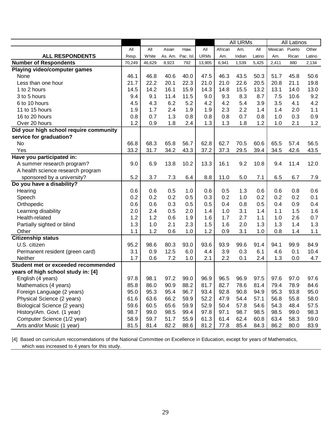|                                        |        |              |         |           | <b>All URMs</b> |         |        |        | All Latinos |        |        |
|----------------------------------------|--------|--------------|---------|-----------|-----------------|---------|--------|--------|-------------|--------|--------|
|                                        | All    | All          | Asian   | Haw.      | All             | African | Am.    | All    | Mexican     | Puerto | Other  |
| <b>ALL RESPONDENTS</b>                 | Resp.  | <b>White</b> | As. Am. | Pac. Isl. | <b>URMs</b>     | Am.     | Indian | Latino | Am.         | Rican  | Latino |
| <b>Number of Respondents</b>           | 70,249 | 46,629       | 8,923   | 792       | 13,905          | 6,941   | 1,539  | 5,425  | 2,411       | 880    | 2,134  |
| Playing video/computer games           |        |              |         |           |                 |         |        |        |             |        |        |
| None                                   | 46.1   | 46.8         | 40.6    | 40.0      | 47.5            | 46.3    | 43.5   | 50.3   | 51.7        | 45.8   | 50.6   |
| Less than one hour                     | 21.7   | 22.2         | 20.1    | 22.3      | 21.0            | 21.0    | 22.6   | 20.5   | 20.8        | 21.1   | 19.8   |
| 1 to 2 hours                           | 14.5   | 14.2         | 16.1    | 15.9      | 14.3            | 14.8    | 15.5   | 13.2   | 13.1        | 14.0   | 13.0   |
| 3 to 5 hours                           | 9.4    | 9.1          | 11.4    | 11.5      | 9.0             | 9.3     | 8.3    | 8.7    | 7.5         | 10.6   | 9.2    |
| 6 to 10 hours                          | 4.5    | 4.3          | 6.2     | 5.2       | 4.2             | 4.2     | 5.4    | 3.9    | 3.5         | 4.1    | 4.2    |
| 11 to 15 hours                         | 1.9    | 1.7          | 2.4     | 1.9       | 1.9             | 2.3     | 2.2    | 1.4    | 1.4         | 2.0    | 1.1    |
| 16 to 20 hours                         | 0.8    | 0.7          | 1.3     | 0.8       | 0.8             | 0.8     | 0.7    | 0.8    | 1.0         | 0.3    | 0.9    |
| Over 20 hours                          | 1.2    | 0.9          | 1.8     | 2.4       | 1.3             | 1.3     | 1.8    | 1.2    | 1.0         | 2.1    | 1.2    |
| Did your high school require community |        |              |         |           |                 |         |        |        |             |        |        |
| service for graduation?                |        |              |         |           |                 |         |        |        |             |        |        |
| <b>No</b>                              | 66.8   | 68.3         | 65.8    | 56.7      | 62.8            | 62.7    | 70.5   | 60.6   | 65.5        | 57.4   | 56.5   |
| Yes                                    | 33.2   | 31.7         | 34.2    | 43.3      | 37.2            | 37.3    | 29.5   | 39.4   | 34.5        | 42.6   | 43.5   |
| Have you participated in:              |        |              |         |           |                 |         |        |        |             |        |        |
| A summer research program?             | 9.0    | 6.9          | 13.8    | 10.2      | 13.3            | 16.1    | 9.2    | 10.8   | 9.4         | 11.4   | 12.0   |
| A health science research program      |        |              |         |           |                 |         |        |        |             |        |        |
| sponsored by a university?             | 5.2    | 3.7          | 7.3     | 6.4       | 8.8             | 11.0    | 5.0    | 7.1    | 6.5         | 6.7    | 7.9    |
| Do you have a disability?              |        |              |         |           |                 |         |        |        |             |        |        |
| Hearing                                | 0.6    | 0.6          | 0.5     | 1.0       | 0.6             | 0.5     | 1.3    | 0.6    | 0.6         | 0.8    | 0.6    |
| Speech                                 | 0.2    | 0.2          | 0.2     | 0.5       | 0.3             | 0.2     | 1.0    | 0.2    | 0.2         | 0.2    | 0.1    |
| Orthopedic                             | 0.6    | 0.6          | 0.3     | 0.5       | 0.5             | 0.4     | 0.8    | 0.5    | 0.4         | 0.9    | 0.4    |
| Learning disability                    | 2.0    | 2.4          | 0.5     | 2.0       | 1.4             | 1.0     | 3.1    | 1.4    | 1.1         | 1.5    | 1.6    |
| Health-related                         | 1.2    | 1.2          | 0.6     | 1.9       | 1.6             | 1.7     | 2.7    | 1.1    | 1.0         | 2.6    | 0.7    |
| Partially sighted or blind             | 1.3    | 1.0          | 2.1     | 2.3       | 1.5             | 1.6     | 2.0    | 1.3    | 1.3         | 1.4    | 1.3    |
| Other                                  | 1.1    | 1.2          | 0.6     | 1.0       | 1.2             | 0.9     | 3.1    | 1.0    | 0.8         | 1.4    | 1.1    |
| <b>Citizenship status</b>              |        |              |         |           |                 |         |        |        |             |        |        |
| U.S. citizen                           | 95.2   | 98.6         | 80.3    | 93.0      | 93.6            | 93.9    | 99.6   | 91.4   | 94.1        | 99.9   | 84.9   |
| Permanent resident (green card)        | 3.1    | 0.9          | 12.5    | 6.0       | 4.4             | 3.9     | 0.3    | 6.1    | 4.6         | 0.1    | 10.4   |
| <b>Neither</b>                         | 1.7    | 0.6          | 7.2     | 1.0       | 2.1             | 2.2     | 0.1    | 2.4    | 1.3         | 0.0    | 4.7    |
| Student met or exceeded recommended    |        |              |         |           |                 |         |        |        |             |        |        |
| years of high school study in: [4]     |        |              |         |           |                 |         |        |        |             |        |        |
| English (4 years)                      | 97.8   | 98.1         | 97.2    | 99.0      | 96.9            | 96.5    | 96.9   | 97.5   | 97.6        | 97.0   | 97.6   |
| Mathematics (4 years)                  | 85.8   | 86.0         | 90.9    | 88.2      | 81.7            | 82.7    | 78.6   | 81.4   | 79.4        | 78.9   | 84.6   |
| Foreign Language (2 years)             | 95.0   | 95.3         | 95.4    | 96.7      | 93.4            | 92.8    | 90.8   | 94.9   | 95.3        | 93.8   | 95.0   |
| Physical Science (2 years)             | 61.6   | 63.6         | 66.2    | 59.9      | 52.2            | 47.9    | 54.4   | 57.1   | 56.8        | 55.8   | 58.0   |
| Biological Science (2 years)           | 59.6   | 60.5         | 65.6    | 59.9      | 52.9            | 50.4    | 57.8   | 54.6   | 54.3        | 48.4   | 57.5   |
| History/Am. Govt. (1 year)             | 98.7   | 99.0         | 98.5    | 99.4      | 97.8            | 97.1    | 98.7   | 98.5   | 98.5        | 99.0   | 98.3   |
| Computer Science (1/2 year)            | 58.9   | 59.7         | 51.7    | 55.9      | 61.3            | 61.4    | 62.4   | 60.8   | 63.4        | 58.3   | 59.0   |
| Arts and/or Music (1 year)             | 81.5   | 81.4         | 82.2    | 88.6      | 81.2            | 77.8    | 85.4   | 84.3   | 86.2        | 80.0   | 83.9   |

[4] Based on curriculum reccomendations of the National Committee on Excellence in Education, except for years of Mathematics, which was increased to 4 years for this study.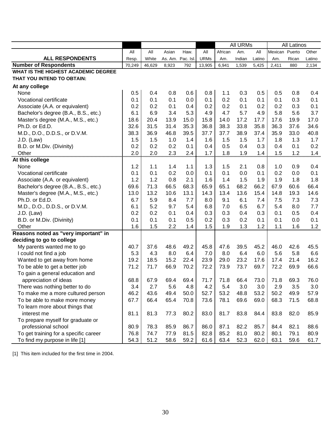|                                            |        |        |       |                  |             | <b>All URMs</b> |        |        | <b>All Latinos</b> |       |         |
|--------------------------------------------|--------|--------|-------|------------------|-------------|-----------------|--------|--------|--------------------|-------|---------|
|                                            | All    | All    | Asian | Haw.             | All         | African         | Am.    | All    | Mexican Puerto     |       | Other   |
| <b>ALL RESPONDENTS</b>                     | Resp.  | White  |       | As. Am. Pac. Isl | <b>URMs</b> | Am.             | Indian | Latino | Am.                | Rican | Latino  |
| <b>Number of Respondents</b>               | 70,249 | 46,629 | 8,923 | 792              | 13,905      | 6,941           | 1,539  | 5,425  | 2,411              | 880   | 2,134   |
| <b>WHAT IS THE HIGHEST ACADEMIC DEGREE</b> |        |        |       |                  |             |                 |        |        |                    |       |         |
| THAT YOU INTEND TO OBTAIN:                 |        |        |       |                  |             |                 |        |        |                    |       |         |
| At any college                             |        |        |       |                  |             |                 |        |        |                    |       |         |
| None                                       | 0.5    | 0.4    | 0.8   | 0.6              | 0.8         | 1.1             | 0.3    | 0.5    | 0.5                | 0.8   | 0.4     |
| Vocational certificate                     | 0.1    | 0.1    | 0.1   | 0.0              | 0.1         | 0.2             | 0.1    | 0.1    | 0.1                | 0.3   | 0.1     |
| Associate (A.A. or equivalent)             | 0.2    | 0.2    | 0.1   | 0.4              | 0.2         | 0.2             | 0.1    | 0.2    | 0.2                | 0.3   | 0.1     |
| Bachelor's degree (B.A., B.S., etc.)       | 6.1    | 6.9    | 3.4   | 5.3              | 4.9         | 4.7             | 5.7    | 4.9    | 5.8                | 5.6   | 3.7     |
| Master's degree (M.A., M.S., etc.)         | 18.6   | 20.4   | 13.9  | 15.0             | 15.8        | 14.0            | 17.2   | 17.7   | 17.6               | 19.9  | 17.0    |
| Ph.D. or Ed.D.                             | 32.6   | 31.5   | 31.4  | 35.3             | 36.8        | 38.3            | 33.8   | 35.8   | 36.3               | 37.6  | 34.6    |
| M.D., D.O., D.D.S., or D.V.M.              | 38.3   | 36.9   | 46.8  | 39.5             | 37.7        | 37.7            | 38.9   | 37.4   | 35.9               | 33.0  | 40.8    |
| $J.D.$ (Law)                               | 1.5    | 1.5    | 1.0   | 1.4              | 1.6         | 1.5             | 1.5    | 1.7    | 1.8                | 1.3   | 1.7     |
| B.D. or M.Div. (Divinity)                  | 0.2    | 0.2    | 0.2   | 0.1              | 0.4         | 0.5             | 0.4    | 0.3    | 0.4                | 0.1   | 0.2     |
| Other                                      | 2.0    | 2.0    | 2.3   | 2.4              | 1.7         | 1.8             | 1.9    | 1.4    | 1.5                | 1.2   | 1.4     |
| At this college                            |        |        |       |                  |             |                 |        |        |                    |       |         |
| None                                       | 1.2    | 1.1    | 1.4   | 1.1              | 1.3         | 1.5             | 2.1    | 0.8    | 1.0                | 0.9   | 0.4     |
| Vocational certificate                     | 0.1    | 0.1    | 0.2   | 0.0              | 0.1         | 0.1             | 0.0    | 0.1    | 0.2                | 0.0   | 0.1     |
| Associate (A.A. or equivalent)             | 1.2    | 1.2    | 0.8   | 2.1              | 1.6         | 1.4             | 1.5    | 1.9    | 1.9                | 1.8   | 1.8     |
| Bachelor's degree (B.A., B.S., etc.)       | 69.6   | 71.3   | 66.5  | 68.3             | 65.9        | 65.1            | 68.2   | 66.2   | 67.9               | 60.6  | 66.4    |
| Master's degree (M.A., M.S., etc.)         | 13.0   | 13.2   | 10.6  | 13.1             | 14.3        | 13.4            | 13.6   | 15.4   | 14.8               | 19.3  | 14.6    |
| Ph.D. or Ed.D.                             | 6.7    | 5.9    | 8.4   | 7.7              | 8.0         | 9.1             | 6.1    | 7.4    | 7.5                | 7.3   | 7.3     |
| M.D., D.O., D.D.S., or D.V.M.              | 6.1    | 5.2    | 9.7   | 5.4              | 6.8         | 7.0             | 6.5    | 6.7    | 5.4                | 8.0   | 7.7     |
| $J.D.$ (Law)                               | 0.2    | 0.2    | 0.1   | 0.4              | 0.3         | 0.3             | 0.4    | 0.3    | 0.1                | 0.5   | 0.4     |
| B.D. or M.Div. (Divinity)                  | 0.1    | 0.1    | 0.1   | 0.5              | 0.2         | 0.3             | 0.2    | 0.1    | 0.1                | 0.0   | 0.1     |
| Other                                      | 1.6    | 1.5    | 2.2   | 1.4              | 1.5         | 1.9             | 1.3    | 1.2    | 1.1                | 1.6   | 1.2     |
| Reasons noted as "very important" in       |        |        |       |                  |             |                 |        |        |                    |       |         |
| deciding to go to college                  |        |        |       |                  |             |                 |        |        |                    |       |         |
| My parents wanted me to go                 | 40.7   | 37.6   | 48.6  | 49.2             | 45.8        | 47.6            | 39.5   | 45.2   | 46.0               | 42.6  | 45.5    |
| I could not find a job                     | 5.3    | 4.3    | 8.0   | 6.4              | 7.0         | 8.0             | 6.4    | 6.0    | 5.6                | 5.8   | 6.6     |
| Wanted to get away from home               | 19.2   | 18.5   | 15.2  | 22.4             | 23.9        | 29.0            | 23.2   | 17.6   | 17.4               | 21.4  | 16.2    |
| To be able to get a better job             | 71.2   | 71.7   | 66.9  | 70.2             | 72.2        | 73.9            | 73.7   | 69.7   | 72.2               | 69.9  | 66.6    |
| To gain a general education and            |        |        |       |                  |             |                 |        |        |                    |       |         |
| appreciation of ideas                      | 68.8   | 67.9   | 69.4  | 69.4             | 71.7        | 71.8            | 66.4   | 73.0   | 71.8               | 69.3  | 76.0    |
| There was nothing better to do             | 3.4    | 2.7    | 5.6   | 4.8              | 4.2         | 5.4             | 3.0    | 3.0    | 2.9                | 3.5   | $3.0\,$ |
| To make me a more cultured person          | 46.2   | 43.6   | 49.4  | 50.0             | 52.7        | 53.2            | 48.8   | 53.2   | 50.2               | 49.9  | 57.9    |
| To be able to make more money              | 67.7   | 66.4   | 65.4  | 70.8             | 73.6        | 78.1            | 69.6   | 69.0   | 68.3               | 71.5  | 68.8    |
| To learn more about things that            |        |        |       |                  |             |                 |        |        |                    |       |         |
| interest me                                | 81.1   | 81.3   | 77.3  | 80.2             | 83.0        | 81.7            | 83.8   | 84.4   | 83.8               | 82.0  | 85.9    |
| To prepare myself for graduate or          |        |        |       |                  |             |                 |        |        |                    |       |         |
| professional school                        | 80.9   | 78.3   | 85.9  | 86.7             | 86.0        | 87.1            | 82.2   | 85.7   | 84.4               | 82.1  | 88.6    |
| To get training for a specific career      | 76.8   | 74.7   | 77.9  | 81.5             | 82.8        | 85.2            | 81.0   | 80.2   | 80.1               | 79.1  | 80.9    |
| To find my purpose in life [1]             | 54.3   | 51.2   | 58.6  | 59.2             | 61.6        | 63.4            | 52.3   | 62.0   | 63.1               | 59.6  | 61.7    |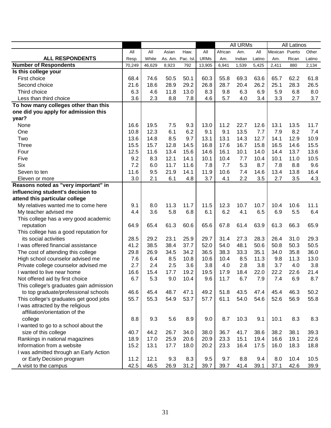|                                         |        |        |                  |      | <b>All URMs</b> |         |        | <b>All Latinos</b> |                |       |        |
|-----------------------------------------|--------|--------|------------------|------|-----------------|---------|--------|--------------------|----------------|-------|--------|
|                                         | All    | All    | Asian            | Haw. | All             | African | Am.    | All                | Mexican Puerto |       | Other  |
| <b>ALL RESPONDENTS</b>                  | Resp.  | White  | As. Am. Pac. Isl |      | <b>URMs</b>     | Am.     | Indian | Latino             | Am.            | Rican | Latino |
| <b>Number of Respondents</b>            | 70,249 | 46,629 | 8,923            | 792  | 13,905          | 6,941   | 1,539  | 5,425              | 2,411          | 880   | 2,134  |
| Is this college your                    |        |        |                  |      |                 |         |        |                    |                |       |        |
| First choice                            | 68.4   | 74.6   | 50.5             | 50.1 | 60.3            | 55.8    | 69.3   | 63.6               | 65.7           | 62.2  | 61.8   |
| Second choice                           | 21.6   | 18.6   | 28.9             | 29.2 | 26.8            | 28.7    | 20.4   | 26.2               | 25.1           | 28.3  | 26.5   |
| Third choice                            | 6.3    | 4.6    | 11.8             | 13.0 | 8.3             | 9.8     | 6.3    | 6.9                | 5.9            | 6.8   | 8.0    |
| Less than third choice                  | 3.6    | 2.3    | 8.8              | 7.8  | 4.6             | 5.7     | 4.0    | 3.4                | 3.3            | 2.7   | 3.7    |
| To how many colleges other than this    |        |        |                  |      |                 |         |        |                    |                |       |        |
| one did you apply for admission this    |        |        |                  |      |                 |         |        |                    |                |       |        |
| year?                                   |        |        |                  |      |                 |         |        |                    |                |       |        |
| None                                    | 16.6   | 19.5   | 7.5              | 9.3  | 13.0            | 11.2    | 22.7   | 12.6               | 13.1           | 13.5  | 11.7   |
| One                                     | 10.8   | 12.3   | 6.1              | 6.2  | 9.1             | 9.1     | 13.5   | 7.7                | 7.9            | 8.2   | 7.4    |
| Two                                     | 13.6   | 14.8   | 8.5              | 9.7  | 13.1            | 13.1    | 14.3   | 12.7               | 14.1           | 12.9  | 10.9   |
| <b>Three</b>                            | 15.5   | 15.7   | 12.8             | 14.5 | 16.8            | 17.6    | 16.7   | 15.8               | 16.5           | 14.6  | 15.5   |
| Four                                    | 12.5   | 11.6   | 13.4             | 15.6 | 14.6            | 16.1    | 10.1   | 14.0               | 14.4           | 13.7  | 13.6   |
| Five                                    | 9.2    | 8.3    | 12.1             | 14.1 | 10.1            | 10.4    | 7.7    | 10.4               | 10.1           | 11.0  | 10.5   |
| <b>Six</b>                              | 7.2    | 6.0    | 11.7             | 11.6 | 7.8             | 7.7     | 5.3    | 8.7                | 7.8            | 8.8   | 9.6    |
| Seven to ten                            | 11.6   | 9.5    | 21.9             | 14.1 | 11.9            | 10.6    | 7.4    | 14.6               | 13.4           | 13.8  | 16.4   |
| Eleven or more                          | 3.0    | 2.1    | 6.1              | 4.8  | 3.7             | 4.1     | 2.2    | 3.5                | 2.7            | 3.5   | 4.3    |
| Reasons noted as "very important" in    |        |        |                  |      |                 |         |        |                    |                |       |        |
| influencing student's decision to       |        |        |                  |      |                 |         |        |                    |                |       |        |
| attend this particular college          |        |        |                  |      |                 |         |        |                    |                |       |        |
| My relatives wanted me to come here     | 9.1    | 8.0    | 11.3             | 11.7 | 11.5            | 12.3    | 10.7   | 10.7               | 10.4           | 10.6  | 11.1   |
| My teacher advised me                   | 4.4    | 3.6    | 5.8              | 6.8  | 6.1             | 6.2     | 4.1    | 6.5                | 6.9            | 5.5   | 6.4    |
| This college has a very good academic   |        |        |                  |      |                 |         |        |                    |                |       |        |
| reputation                              | 64.9   | 65.4   | 61.3             | 60.6 | 65.6            | 67.8    | 61.4   | 63.9               | 61.3           | 66.3  | 65.9   |
| This college has a good reputation for  |        |        |                  |      |                 |         |        |                    |                |       |        |
| its social activities                   | 28.5   | 29.2   | 23.1             | 25.9 | 29.7            | 31.4    | 27.3   | 28.3               | 26.4           | 31.0  | 29.3   |
| I was offered financial assistance      | 41.2   | 38.5   | 38.4             | 37.7 | 52.0            | 54.0    | 48.1   | 50.6               | 50.8           | 50.3  | 50.5   |
| The cost of attending this college      | 29.8   | 26.9   | 34.5             | 34.2 | 36.5            | 38.3    | 33.3   | 35.1               | 34.0           | 35.8  | 36.0   |
| High school counselor advised me        | 7.6    | 6.4    | 8.5              | 10.8 | 10.6            | 10.4    | 8.5    | 11.3               | 9.8            | 11.3  | 13.0   |
| Private college counselor advised me    | 2.7    | 2.4    | 2.5              | 3.6  | 3.8             | 4.0     | 2.8    | 3.8                | 3.7            | 4.0   | 3.8    |
| I wanted to live near home              | 16.6   | 15.4   | 17.7             | 19.2 | 19.5            | 17.9    | 18.4   | 22.0               | 22.2           | 22.6  | 21.4   |
| Not offered aid by first choice         | 6.7    | 5.3    | 9.0              | 10.4 | 9.6             | 11.7    | 6.7    | 7.9                | 7.4            | 6.9   | 8.7    |
| This college's graduates gain admission |        |        |                  |      |                 |         |        |                    |                |       |        |
| to top graduate/professional schools    | 46.6   | 45.4   | 48.7             | 47.1 | 49.2            | 51.8    | 43.5   | 47.4               | 45.4           | 46.3  | 50.2   |
| This college's graduates get good jobs  | 55.7   | 55.3   | 54.9             | 53.7 | 57.7            | 61.1    | 54.0   | 54.6               | 52.6           | 56.9  | 55.8   |
| I was attracted by the religious        |        |        |                  |      |                 |         |        |                    |                |       |        |
| affiliation/orientation of the          |        |        |                  |      |                 |         |        |                    |                |       |        |
| college                                 | 8.8    | 9.3    | 5.6              | 8.9  | 9.0             | 8.7     | 10.3   | 9.1                | 10.1           | 8.3   | 8.3    |
| I wanted to go to a school about the    |        |        |                  |      |                 |         |        |                    |                |       |        |
| size of this college                    | 40.7   | 44.2   | 26.7             | 34.0 | 38.0            | 36.7    | 41.7   | 38.6               | 38.2           | 38.1  | 39.3   |
| Rankings in national magazines          | 18.9   | 17.0   | 25.9             | 20.6 | 20.9            | 23.3    | 15.1   | 19.4               | 16.6           | 19.1  | 22.6   |
| Information from a website              | 15.2   | 13.1   | 17.7             | 18.0 | 20.2            | 23.3    | 16.4   | 17.5               | 16.0           | 18.3  | 18.8   |
| I was admitted through an Early Action  |        |        |                  |      |                 |         |        |                    |                |       |        |
| or Early Decision program               | 11.2   | 12.1   | 9.3              | 8.3  | 9.5             | 9.7     | 8.8    | 9.4                | 8.0            | 10.4  | 10.5   |
| A visit to the campus                   | 42.5   | 46.5   | 26.9             | 31.2 | 39.7            | 39.7    | 41.4   | 39.1               | 37.1           | 42.6  | 39.9   |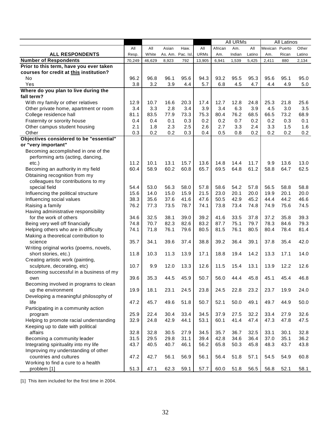|                                                    |            |            |            |            |             | <b>All URMs</b> |        |            | <b>All Latinos</b> |       |            |
|----------------------------------------------------|------------|------------|------------|------------|-------------|-----------------|--------|------------|--------------------|-------|------------|
|                                                    | All        | All        | Asian      | Haw.       | All         | African         | Am.    | All        | Mexican Puerto     |       | Other      |
| <b>ALL RESPONDENTS</b>                             | Resp.      | White      | As. Am.    | Pac. Isl.  | <b>URMs</b> | Am.             | Indian | Latino     | Am.                | Rican | Latino     |
| <b>Number of Respondents</b>                       | 70,249     | 46,629     | 8,923      | 792        | 13,905      | 6,941           | 1,539  | 5,425      | 2,411              | 880   | 2,134      |
| Prior to this term, have you ever taken            |            |            |            |            |             |                 |        |            |                    |       |            |
| courses for credit at this institution?            |            |            |            |            |             |                 |        |            |                    |       |            |
| No                                                 | 96.2       | 96.8       | 96.1       | 95.6       | 94.3        | 93.2            | 95.5   | 95.3       | 95.6               | 95.1  | 95.0       |
| Yes                                                | 3.8        | 3.2        | 3.9        | 4.4        | 5.7         | 6.8             | 4.5    | 4.7        | 4.4                | 4.9   | 5.0        |
| Where do you plan to live during the               |            |            |            |            |             |                 |        |            |                    |       |            |
| fall term?                                         |            |            |            |            |             |                 |        |            |                    |       |            |
| With my family or other relatives                  | 12.9       | 10.7       | 16.6       | 20.3       | 17.4        | 12.7            | 12.8   | 24.8       | 25.3               | 21.8  | 25.6       |
| Other private home, apartment or room              | 3.4        | 3.3        | 2.8        | 3.4        | 3.9         | 3.4             | 6.3    | 3.9        | 4.5                | 3.0   | 3.5        |
| College residence hall                             | 81.1       | 83.5       | 77.9       | 73.3       | 75.3        | 80.4            | 76.2   | 68.5       | 66.5               | 73.2  | 68.9       |
| Fraternity or sorority house                       | 0.4        | 0.4        | 0.1        | 0.3        | 0.2         | 0.2             | 0.7    | 0.2        | 0.2                | 0.3   | 0.1        |
| Other campus student housing                       | 2.1<br>0.3 | 1.8<br>0.2 | 2.3<br>0.2 | 2.5<br>0.3 | 2.6<br>0.4  | 2.7             | 3.3    | 2.4<br>0.2 | 3.3<br>0.2         | 1.5   | 1.6<br>0.2 |
| Other<br>Objectives considered to be "essential"   |            |            |            |            |             | 0.5             | 0.8    |            |                    | 0.2   |            |
| or "very important"                                |            |            |            |            |             |                 |        |            |                    |       |            |
| Becoming accomplished in one of the                |            |            |            |            |             |                 |        |            |                    |       |            |
| performing arts (acting, dancing,                  |            |            |            |            |             |                 |        |            |                    |       |            |
| $etc.$ )                                           | 11.2       | 10.1       | 13.1       | 15.7       | 13.6        | 14.8            | 14.4   | 11.7       | 9.9                | 13.6  | 13.0       |
| Becoming an authority in my field                  | 60.4       | 58.9       | 60.2       | 60.8       | 65.7        | 69.5            | 64.8   | 61.2       | 58.8               | 64.7  | 62.5       |
| Obtaining recognition from my                      |            |            |            |            |             |                 |        |            |                    |       |            |
| colleagues for contributions to my                 |            |            |            |            |             |                 |        |            |                    |       |            |
| special field                                      | 54.4       | 53.0       | 56.3       | 58.0       | 57.8        | 58.6            | 54.2   | 57.8       | 56.5               | 58.8  | 58.8       |
| Influencing the political structure                | 15.6       | 14.0       | 15.0       | 15.9       | 21.5        | 23.0            | 20.1   | 20.0       | 19.9               | 20.1  | 20.0       |
| Influencing social values                          | 38.3       | 35.6       | 37.6       | 41.6       | 47.6        | 50.5            | 42.9   | 45.2       | 44.4               | 44.2  | 46.6       |
| Raising a family                                   | 76.2       | 77.3       | 73.5       | 78.7       | 74.1        | 73.8            | 73.4   | 74.8       | 74.9               | 75.6  | 74.5       |
| Having administrative responsibility               |            |            |            |            |             |                 |        |            |                    |       |            |
| for the work of others                             | 34.6       | 32.5       | 38.1       | 39.0       | 39.2        | 41.6            | 33.5   | 37.8       | 37.2               | 35.8  | 39.3       |
| Being very well off financially                    | 74.8       | 70.7       | 82.3       | 82.6       | 83.2        | 87.7            | 75.1   | 79.7       | 78.3               | 84.6  | 79.3       |
| Helping others who are in difficulty               | 74.1       | 71.8       | 76.1       | 79.6       | 80.5        | 81.5            | 76.1   | 80.5       | 80.4               | 78.4  | 81.4       |
| Making a theoretical contribution to               |            |            |            |            |             |                 |        |            |                    |       |            |
| science                                            | 35.7       | 34.1       | 39.6       | 37.4       | 38.8        | 39.2            | 36.4   | 39.1       | 37.8               | 35.4  | 42.0       |
| Writing original works (poems, novels,             |            |            |            |            |             |                 |        |            |                    |       |            |
| short stories, etc.)                               | 11.8       | 10.3       | 11.3       | 13.9       | 17.1        | 18.8            | 19.4   | 14.2       | 13.3               | 17.1  | 14.0       |
| Creating artistic work (painting,                  |            |            |            |            |             |                 |        |            |                    |       |            |
| sculpture, decorating, etc)                        | 10.7       | 9.9        | 12.0       | 13.3       | 12.6        | 11.5            | 15.4   | 13.1       | 13.9               | 12.2  | 12.6       |
| Becoming successful in a business of my            |            |            |            |            |             |                 |        |            |                    |       |            |
| own                                                | 39.6       | 35.3       | 44.5       | 45.9       | 50.7        | 56.0            | 44.4   | 45.8       | 45.1               | 45.4  | 46.8       |
| Becoming involved in programs to clean             |            |            |            |            |             |                 |        |            |                    |       |            |
| up the environment                                 | 19.9       | 18.1       | 23.1       | 24.5       | 23.8        | 24.5            | 22.8   | 23.2       | 23.7               | 19.9  | 24.0       |
| Developing a meaningful philosophy of              | 47.2       | 45.7       |            |            | 50.7        |                 |        |            |                    |       |            |
| life<br>Participating in a community action        |            |            | 49.6       | 51.8       |             | 52.1            | 50.0   | 49.1       | 49.7               | 44.9  | 50.0       |
|                                                    | 25.9       | 22.4       | 30.4       | 33.4       | 34.5        | 37.9            | 27.5   | 32.2       | 33.4               | 27.9  | 32.6       |
| program<br>Helping to promote racial understanding | 32.9       | 24.8       | 42.9       | 44.1       | 53.1        | 60.1            | 41.4   | 47.4       | 47.3               | 47.8  | 47.5       |
| Keeping up to date with political                  |            |            |            |            |             |                 |        |            |                    |       |            |
| affairs                                            | 32.8       | 32.8       | 30.5       | 27.9       | 34.5        | 35.7            | 36.7   | 32.5       | 33.1               | 30.1  | 32.8       |
| Becoming a community leader                        | 31.5       | 29.5       | 29.8       | 31.1       | 39.4        | 42.8            | 34.6   | 36.4       | 37.0               | 35.1  | 36.2       |
| Integrating spirituality into my life              | 43.7       | 40.5       | 40.7       | 46.1       | 56.2        | 65.8            | 50.3   | 45.8       | 48.3               | 43.7  | 43.8       |
| Improving my understanding of other                |            |            |            |            |             |                 |        |            |                    |       |            |
| countries and cultures                             | 47.2       | 42.7       | 56.1       | 56.9       | 56.1        | 56.4            | 51.8   | 57.1       | 54.5               | 54.9  | 60.8       |
| Working to find a cure to a health                 |            |            |            |            |             |                 |        |            |                    |       |            |
| problem [1]                                        | 51.3       | 47.1       | 62.3       | 59.1       | 57.7        | 60.0            | 51.8   | 56.5       | 56.8               | 52.1  | 58.1       |
|                                                    |            |            |            |            |             |                 |        |            |                    |       |            |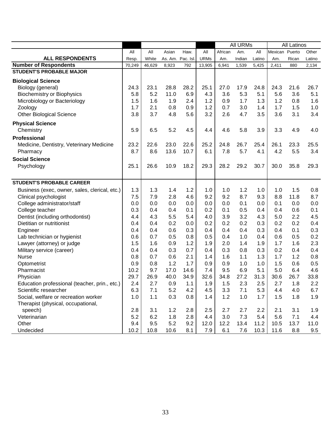|                                               |        |        |                  |      |             |         | <b>All URMs</b> |        |         | All Latinos |        |
|-----------------------------------------------|--------|--------|------------------|------|-------------|---------|-----------------|--------|---------|-------------|--------|
|                                               | All    | All    | Asian            | Haw. | All         | African | Am.             | All    | Mexican | Puerto      | Other  |
| <b>ALL RESPONDENTS</b>                        | Resp.  | White  | As. Am. Pac. Isl |      | <b>URMs</b> | Am.     | Indian          | Latino | Am.     | Rican       | Latino |
| <b>Number of Respondents</b>                  | 70,249 | 46,629 | 8,923            | 792  | 13,905      | 6,941   | 1,539           | 5,425  | 2,411   | 880         | 2,134  |
| <b>STUDENT'S PROBABLE MAJOR</b>               |        |        |                  |      |             |         |                 |        |         |             |        |
| <b>Biological Science</b>                     |        |        |                  |      |             |         |                 |        |         |             |        |
| Biology (general)                             | 24.3   | 23.1   | 28.8             | 28.2 | 25.1        | 27.0    | 17.9            | 24.8   | 24.3    | 21.6        | 26.7   |
| <b>Biochemistry or Biophysics</b>             | 5.8    | 5.2    | 11.0             | 6.9  | 4.3         | 3.6     | 5.3             | 5.1    | 5.6     | 3.6         | 5.1    |
| Microbiology or Bacteriology                  | 1.5    | 1.6    | 1.9              | 2.4  | 1.2         | 0.9     | 1.7             | 1.3    | 1.2     | 0.8         | 1.6    |
| Zoology                                       | 1.7    | 2.1    | 0.8              | 0.9  | 1.2         | 0.7     | 3.0             | 1.4    | 1.7     | 1.5         | 1.0    |
| <b>Other Biological Science</b>               | 3.8    | 3.7    | 4.8              | 5.6  | 3.2         | 2.6     | 4.7             | 3.5    | 3.6     | 3.1         | 3.4    |
| <b>Physical Science</b>                       |        |        |                  |      |             |         |                 |        |         |             |        |
| Chemistry                                     | 5.9    | 6.5    | 5.2              | 4.5  | 4.4         | 4.6     | 5.8             | 3.9    | 3.3     | 4.9         | 4.0    |
| Professional                                  |        |        |                  |      |             |         |                 |        |         |             |        |
| Medicine, Dentistry, Veterinary Medicine      | 23.2   | 22.6   | 23.0             | 22.6 | 25.2        | 24.8    | 26.7            | 25.4   | 26.1    | 23.3        | 25.5   |
| Pharmacy                                      | 8.7    | 8.6    | 13.6             | 10.7 | 6.1         | 7.8     | 5.7             | 4.1    | 4.2     | 5.5         | 3.4    |
| <b>Social Science</b>                         |        |        |                  |      |             |         |                 |        |         |             |        |
| Psychology                                    | 25.1   | 26.6   | 10.9             | 18.2 | 29.3        | 28.2    | 29.2            | 30.7   | 30.0    | 35.8        | 29.3   |
|                                               |        |        |                  |      |             |         |                 |        |         |             |        |
| <b>STUDENT'S PROBABLE CAREER</b>              |        |        |                  |      |             |         |                 |        |         |             |        |
| Business (exec, owner, sales, clerical, etc.) | 1.3    | 1.3    | 1.4              | 1.2  | 1.0         | 1.0     | 1.2             | 1.0    | 1.0     | 1.5         | 0.8    |
| Clinical psychologist                         | 7.5    | 7.9    | 2.8              | 4.6  | 9.2         | 9.2     | 8.7             | 9.3    | 8.8     | 11.8        | 8.7    |
| College administrator/staff                   | 0.0    | 0.0    | 0.0              | 0.0  | 0.0         | 0.0     | 0.1             | 0.0    | 0.1     | 0.0         | 0.0    |
| College teacher                               | 0.3    | 0.4    | 0.4              | 0.1  | 0.2         | 0.1     | 0.5             | 0.4    | 0.4     | 0.6         | 0.1    |
| Dentist (including orthodontist)              | 4.4    | 4.3    | 5.5              | 5.4  | 4.0         | 3.9     | 3.2             | 4.3    | 5.0     | 2.2         | 4.5    |
| Dietitian or nutritionist                     | 0.4    | 0.4    | 0.2              | 0.0  | 0.2         | 0.2     | 0.2             | 0.3    | 0.2     | 0.2         | 0.4    |
| Engineer                                      | 0.4    | 0.4    | 0.6              | 0.3  | 0.4         | 0.4     | 0.4             | 0.3    | 0.4     | 0.1         | 0.3    |
| Lab technician or hygienist                   | 0.6    | 0.7    | 0.5              | 0.8  | 0.5         | 0.4     | 1.0             | 0.4    | 0.6     | 0.5         | 0.2    |
| Lawyer (attorney) or judge                    | 1.5    | 1.6    | 0.9              | 1.2  | 1.9         | 2.0     | 1.4             | 1.9    | 1.7     | 1.6         | 2.3    |
| Military service (career)                     | 0.4    | 0.4    | 0.3              | 0.7  | 0.4         | 0.3     | 0.8             | 0.3    | 0.2     | 0.4         | 0.4    |
| <b>Nurse</b>                                  | 0.8    | 0.7    | 0.6              | 2.1  | 1.4         | 1.6     | 1.1             | 1.3    | 1.7     | 1.2         | 0.8    |
| Optometrist                                   | 0.9    | 0.8    | 1.2              | 1.7  | 0.9         | 0.9     | 1.0             | 1.0    | 1.5     | 0.6         | 0.5    |
| Pharmacist                                    | 10.2   | 9.7    | 17.0             | 14.6 | 7.4         | 9.5     | 6.9             | 5.1    | 5.0     | 6.4         | 4.6    |
| Physician                                     | 29.7   | 26.9   | 40.0             | 34.9 | 32.6        | 34.8    | 27.2            | 31.3   | 30.6    | 26.7        | 33.8   |
| Education professional (teacher, prin., etc.) | 2.4    | 2.7    | 0.9              | 1.1  | 1.9         | 1.5     | 2.3             | 2.5    | 2.7     | 1.8         | 2.2    |
| Scientific researcher                         | 6.3    | 7.1    | 5.2              | 4.2  | 4.5         | 3.3     | 7.1             | 5.3    | 4.4     | 4.0         | 6.7    |
| Social, welfare or recreation worker          | 1.0    | 1.1    | 0.3              | 0.8  | 1.4         | 1.2     | 1.0             | 1.7    | 1.5     | 1.8         | 1.9    |
| Therapist (physical, occupational,            |        |        |                  |      |             |         |                 |        |         |             |        |
| speech)                                       | 2.8    | 3.1    | 1.2              | 2.8  | 2.5         | 2.7     | 2.7             | 2.2    | 2.1     | 3.1         | 1.9    |
| Veterinarian                                  | 5.2    | 6.2    | 1.8              | 2.8  | 4.4         | 3.0     | 7.3             | 5.4    | 5.6     | 7.1         | 4.4    |
| Other                                         | 9.4    | 9.5    | 5.2              | 9.2  | 12.0        | 12.2    | 13.4            | 11.2   | 10.5    | 13.7        | 11.0   |
| Undecided                                     | 10.2   | 10.8   | 10.6             | 8.1  | 7.9         | 6.1     | 7.6             | 10.3   | 11.6    | 8.8         | 9.5    |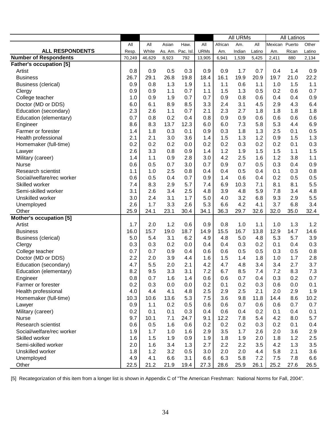|                                |        |        |                   |      | <b>All URMs</b> |         |        | All Latinos |                |       |        |
|--------------------------------|--------|--------|-------------------|------|-----------------|---------|--------|-------------|----------------|-------|--------|
|                                | All    | All    | Asian             | Haw. | All             | African | Am.    | All         | Mexican Puerto |       | Other  |
| <b>ALL RESPONDENTS</b>         | Resp.  | White  | As. Am. Pac. Isl. |      | <b>URMs</b>     | Am.     | Indian | Latino      | Am.            | Rican | Latino |
| <b>Number of Respondents</b>   | 70,249 | 46,629 | 8,923             | 792  | 13,905          | 6,941   | 1,539  | 5,425       | 2,411          | 880   | 2,134  |
| <b>Father's occupation [5]</b> |        |        |                   |      |                 |         |        |             |                |       |        |
| Artist                         | 0.8    | 0.9    | 0.5               | 0.3  | 0.9             | 0.9     | 1.7    | 0.7         | 0.4            | 1.4   | 0.9    |
| <b>Business</b>                | 26.7   | 29.1   | 26.8              | 19.8 | 18.4            | 16.1    | 19.9   | 20.9        | 19.7           | 21.0  | 22.2   |
| <b>Business (clerical)</b>     | 0.9    | 0.8    | 1.3               | 1.9  | 1.1             | 1.1     | 0.6    | 1.1         | 1.0            | 1.5   | 1.1    |
| Clergy                         | 0.9    | 0.9    | 1.1               | 0.7  | 1.1             | 1.5     | 1.3    | 0.5         | 0.2            | 0.6   | 0.7    |
| College teacher                | 1.0    | 0.9    | 1.9               | 0.7  | 0.7             | 0.9     | 0.8    | 0.6         | 0.4            | 0.4   | 0.9    |
| Doctor (MD or DDS)             | 6.0    | 6.1    | 8.9               | 8.5  | 3.3             | 2.4     | 3.1    | 4.5         | 2.9            | 4.3   | 6.4    |
| Education (secondary)          | 2.3    | 2.6    | 1.1               | 0.7  | 2.1             | 2.3     | 2.7    | 1.8         | 1.8            | 1.8   | 1.8    |
| Education (elementary)         | 0.7    | 0.8    | 0.2               | 0.4  | 0.8             | 0.9     | 0.9    | 0.6         | 0.6            | 0.6   | 0.6    |
| Engineer                       | 8.6    | 8.3    | 13.7              | 12.3 | 6.0             | 6.0     | 7.3    | 5.8         | 5.3            | 4.4   | 6.9    |
| Farmer or forester             | 1.4    | 1.8    | 0.3               | 0.1  | 0.9             | 0.3     | 1.8    | 1.3         | 2.5            | 0.1   | 0.5    |
| Health professional            | 2.1    | 2.1    | 3.0               | 3.6  | 1.4             | 1.5     | 1.3    | 1.2         | 0.9            | 1.5   | 1.3    |
| Homemaker (full-time)          | 0.2    | 0.2    | 0.2               | 0.0  | 0.2             | 0.2     | 0.3    | 0.2         | 0.2            | 0.1   | 0.3    |
| Lawyer                         | 2.6    | 3.3    | 0.8               | 0.9  | 1.4             | 1.2     | 1.9    | 1.5         | 1.5            | 1.1   | 1.5    |
| Military (career)              | 1.4    | 1.1    | 0.9               | 2.8  | 3.0             | 4.2     | 2.5    | 1.6         | 1.2            | 3.8   | 1.1    |
| <b>Nurse</b>                   | 0.6    | 0.5    | 0.7               | 3.0  | 0.7             | 0.9     | 0.7    | 0.5         | 0.3            | 0.4   | 0.9    |
| <b>Research scientist</b>      | 1.1    | 1.0    | 2.5               | 0.8  | 0.4             | 0.4     | 0.5    | 0.4         | 0.1            | 0.3   | 0.8    |
| Social/welfare/rec worker      | 0.6    | 0.5    | 0.4               | 0.7  | 0.9             | 1.4     | 0.6    | 0.4         | 0.2            | 0.5   | 0.5    |
| Skilled worker                 | 7.4    | 8.3    | 2.9               | 5.7  | 7.4             | 6.9     | 10.3   | 7.1         | 8.1            | 8.1   | 5.5    |
| Semi-skilled worker            | 3.1    | 2.6    | 3.4               | 2.5  | 4.8             | 3.9     | 4.8    | 5.9         | 7.8            | 3.4   | 4.8    |
| Unskilled worker               | 3.0    | 2.4    | 3.1               | 1.7  | 5.0             | 4.0     | 3.2    | 6.8         | 9.3            | 2.9   | 5.5    |
| Unemployed                     | 2.6    | 1.7    | 3.3               | 2.6  | 5.3             | 6.6     | 4.2    | 4.1         | 3.7            | 6.8   | 3.4    |
| Other                          | 25.9   | 24.1   | 23.1              | 30.4 | 34.1            | 36.3    | 29.7   | 32.6        | 32.0           | 35.0  | 32.4   |
| <b>Mother's occupation [5]</b> |        |        |                   |      |                 |         |        |             |                |       |        |
| Artist                         | 1.7    | 2.0    | 1.2               | 0.6  | 0.9             | 0.8     | 1.0    | 1.1         | 1.0            | 1.3   | 1.2    |
| <b>Business</b>                | 16.0   | 15.7   | 19.0              | 18.7 | 14.9            | 15.5    | 16.7   | 13.8        | 12.9           | 14.7  | 14.6   |
| <b>Business (clerical)</b>     | 5.0    | 5.4    | 3.1               | 6.2  | 4.9             | 4.8     | 5.0    | 4.8         | 5.3            | 5.7   | 3.9    |
| Clergy                         | 0.3    | 0.3    | 0.2               | 0.0  | 0.4             | 0.4     | 0.3    | 0.2         | 0.1            | 0.4   | 0.3    |
| College teacher                | 0.7    | 0.7    | 0.9               | 0.4  | 0.6             | 0.6     | 0.5    | 0.5         | 0.3            | 0.5   | 0.8    |
| Doctor (MD or DDS)             | 2.2    | 2.0    | 3.9               | 4.4  | 1.6             | 1.5     | 1.4    | 1.8         | 1.0            | 1.7   | 2.8    |
| Education (secondary)          | 4.7    | 5.5    | 2.0               | 2.1  | 4.2             | 4.7     | 4.8    | 3.4         | 3.4            | 2.7   | 3.7    |
| Education (elementary)         | 8.2    | 9.5    | 3.3               | 3.1  | 7.2             | 6.7     | 8.5    | 7.4         | 7.2            | 8.3   | 7.3    |
| Engineer                       | 0.8    | 0.7    | 1.6               | 1.4  | 0.6             | 0.6     | 0.7    | 0.4         | 0.3            | 0.2   | 0.7    |
| Farmer or forester             | 0.2    | 0.3    | 0.0               | 0.0  | 0.2             | 0.1     | 0.2    | 0.3         | 0.6            | 0.0   | 0.1    |
| Health professional            | 4.0    | 4.4    | 4.1               | 4.8  | 2.5             | 2.9     | 2.5    | 2.1         | 2.0            | 2.9   | 1.9    |
| Homemaker (full-time)          | 10.3   | 10.6   | 13.6              | 5.3  | 7.5             | 3.6     | 9.8    | 11.8        | 14.4           | 8.6   | 10.2   |
| Lawyer                         | 0.9    | 1.1    | 0.2               | 0.5  | 0.6             | 0.6     | 0.7    | 0.6         | 0.6            | 0.7   | 0.7    |
| Military (career)              | 0.2    | 0.1    | 0.1               | 0.3  | 0.4             | 0.6     | 0.4    | 0.2         | 0.1            | 0.4   | 0.1    |
| <b>Nurse</b>                   | 9.7    | 10.1   | 7.1               | 24.7 | 9.1             | 12.2    | 7.8    | 5.4         | 4.2            | 8.0   | 5.7    |
| <b>Research scientist</b>      | 0.6    | 0.5    | 1.6               | 0.6  | 0.2             | 0.2     | 0.2    | 0.3         | 0.2            | 0.1   | 0.4    |
| Social/welfare/rec worker      | 1.9    | 1.7    | 1.0               | 1.6  | 2.9             | 3.5     | 1.7    | 2.6         | 2.0            | 3.6   | 2.9    |
| Skilled worker                 | 1.6    | 1.5    | 1.9               | 0.9  | 1.9             | 1.8     | 1.9    | 2.0         | 1.8            | 1.2   | 2.5    |
| Semi-skilled worker            | 2.0    | 1.6    | 3.4               | 1.3  | 2.7             | 2.2     | 2.2    | 3.5         | 4.2            | 1.3   | 3.5    |
| Unskilled worker               | 1.8    | 1.2    | 3.2               | 0.5  | 3.0             | 2.0     | 2.0    | 4.4         | 5.8            | 2.1   | 3.6    |
| Unemployed                     | 4.9    | 4.1    | 6.6               | 3.1  | 6.6             | 6.3     | 5.8    | 7.2         | 7.5            | 7.8   | 6.6    |
| Other                          | 22.5   | 21.2   | 21.9              | 19.4 | 27.3            | 28.6    | 25.9   | 26.1        | 25.2           | 27.6  | 26.5   |

[5] Recategorization of this item from a longer list is shown in Appendix C of "The American Freshman: National Norms for Fall, 2004".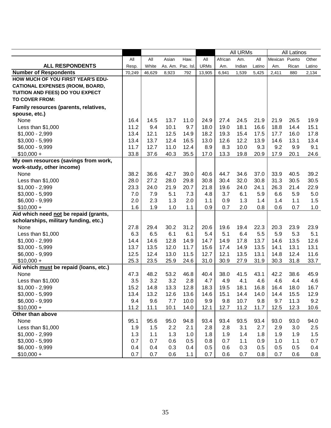|                                        |        |        |         | <b>All URMs</b> |             |         |        |        | All Latinos    |       |         |
|----------------------------------------|--------|--------|---------|-----------------|-------------|---------|--------|--------|----------------|-------|---------|
|                                        | All    | All    | Asian   | Haw.            | All         | African | Am.    | All    | Mexican Puerto |       | Other   |
| <b>ALL RESPONDENTS</b>                 | Resp.  | White  | As. Am. | Pac. Isl.       | <b>URMs</b> | Am.     | Indian | Latino | Am.            | Rican | Latino  |
| <b>Number of Respondents</b>           | 70,249 | 46,629 | 8,923   | 792             | 13,905      | 6,941   | 1,539  | 5,425  | 2,411          | 880   | 2,134   |
| HOW MUCH OF YOU FIRST YEAR'S EDU-      |        |        |         |                 |             |         |        |        |                |       |         |
| <b>CATIONAL EXPENSES (ROOM, BOARD,</b> |        |        |         |                 |             |         |        |        |                |       |         |
| TUITION AND FEES) DO YOU EXPECT        |        |        |         |                 |             |         |        |        |                |       |         |
| <b>TO COVER FROM:</b>                  |        |        |         |                 |             |         |        |        |                |       |         |
| Family resources (parents, relatives,  |        |        |         |                 |             |         |        |        |                |       |         |
| spouse, etc.)                          |        |        |         |                 |             |         |        |        |                |       |         |
| None                                   | 16.4   | 14.5   | 13.7    | 11.0            | 24.9        | 27.4    | 24.5   | 21.9   | 21.9           | 26.5  | 19.9    |
| Less than $$1,000$                     | 11.2   | 9.4    | 10.1    | 9.7             | 18.0        | 19.0    | 18.1   | 16.6   | 18.8           | 14.4  | 15.1    |
| $$1,000 - 2,999$                       | 13.4   | 12.1   | 12.5    | 14.9            | 18.2        | 19.3    | 15.4   | 17.5   | 17.7           | 16.0  | 17.8    |
| $$3,000 - 5,999$                       | 13.4   | 13.7   | 12.4    | 16.5            | 13.0        | 12.6    | 12.2   | 13.9   | 14.6           | 13.1  | 13.4    |
| \$6,000 - 9,999                        | 11.7   | 12.7   | 11.0    | 12.4            | 8.9         | 8.3     | 10.0   | 9.3    | 9.2            | 9.9   | 9.1     |
| $$10,000 +$                            | 33.8   | 37.6   | 40.3    | 35.5            | 17.0        | 13.3    | 19.8   | 20.9   | 17.9           | 20.1  | 24.6    |
| My own resources (savings from work,   |        |        |         |                 |             |         |        |        |                |       |         |
| work-study, other income)              |        |        |         |                 |             |         |        |        |                |       |         |
| None                                   | 38.2   | 36.6   | 42.7    | 39.0            | 40.6        | 44.7    | 34.6   | 37.0   | 33.9           | 40.5  | 39.2    |
| Less than \$1,000                      | 28.0   | 27.2   | 28.0    | 29.8            | 30.8        | 30.4    | 32.0   | 30.8   | 31.3           | 30.5  | 30.5    |
| $$1,000 - 2,999$                       | 23.3   | 24.0   | 21.9    | 20.7            | 21.8        | 19.6    | 24.0   | 24.1   | 26.3           | 21.4  | 22.9    |
| $$3,000 - 5,999$                       | 7.0    | 7.9    | 5.1     | 7.3             | 4.8         | 3.7     | 6.1    | 5.9    | 6.6            | 5.9   | $5.0\,$ |
| $$6,000 - 9,999$                       | 2.0    | 2.3    | 1.3     | 2.0             | 1.1         | 0.9     | 1.3    | 1.4    | 1.4            | 1.1   | 1.5     |
| $$10,000 +$                            | 1.6    | 1.9    | 1.0     | 1.1             | 0.9         | 0.7     | 2.0    | 0.8    | 0.6            | 0.7   | 1.0     |
| Aid which need not be repaid (grants,  |        |        |         |                 |             |         |        |        |                |       |         |
| scholarships, military funding, etc.)  |        |        |         |                 |             |         |        |        |                |       |         |
| None                                   | 27.8   | 29.4   | 30.2    | 31.2            | 20.6        | 19.6    | 19.4   | 22.3   | 20.3           | 23.9  | 23.9    |
| Less than \$1,000                      | 6.3    | 6.5    | 6.1     | 6.1             | 5.4         | 5.1     | 6.4    | 5.5    | 5.9            | 5.3   | 5.1     |
| $$1,000 - 2,999$                       | 14.4   | 14.6   | 12.8    | 14.9            | 14.7        | 14.9    | 17.8   | 13.7   | 14.6           | 13.5  | 12.6    |
| $$3,000 - 5,999$                       | 13.7   | 13.5   | 12.0    | 11.7            | 15.6        | 17.4    | 14.9   | 13.5   | 14.1           | 13.1  | 13.1    |
| \$6,000 - 9,999                        | 12.5   | 12.4   | 13.0    | 11.5            | 12.7        | 12.1    | 13.5   | 13.1   | 14.8           | 12.4  | 11.6    |
| $$10,000 +$                            | 25.3   | 23.5   | 25.9    | 24.6            | 31.0        | 30.9    | 27.9   | 31.9   | 30.3           | 31.8  | 33.7    |
| Aid which must be repaid (loans, etc.) |        |        |         |                 |             |         |        |        |                |       |         |
| None                                   | 47.3   | 48.2   | 53.2    | 46.8            | 40.4        | 38.0    | 41.5   | 43.1   | 42.2           | 38.6  | 45.9    |
| Less than \$1,000                      | 3.5    | 3.2    | 3.2     | 2.8             | 4.7         | 4.9     | 4.1    | 4.6    | 4.6            | 4.4   | 4.6     |
| $$1,000 - 2,999$                       | 15.2   | 14.8   | 13.3    | 12.8            | 18.3        | 19.5    | 18.1   | 16.8   | 16.4           | 18.0  | 16.7    |
| $$3,000 - 5,999$                       | 13.4   | 13.2   | 12.6    | 13.6            | 14.6        | 15.1    | 14.4   | 14.0   | 14.4           | 15.5  | 12.9    |
| \$6,000 - 9,999                        | 9.4    | 9.6    | 7.7     | 10.0            | 9.9         | 9.8     | 10.7   | 9.8    | 9.7            | 11.3  | 9.2     |
| $$10,000 +$                            | 11.2   | 11.1   | 10.1    | 14.0            | 12.1        | 12.7    | 11.2   | 11.7   | 12.5           | 12.3  | 10.6    |
| Other than above                       |        |        |         |                 |             |         |        |        |                |       |         |
| None                                   | 95.1   | 95.6   | 95.0    | 94.8            | 93.4        | 93.4    | 93.5   | 93.4   | 93.0           | 93.0  | 94.0    |
| Less than $$1,000$                     | 1.9    | 1.5    | 2.2     | 2.1             | 2.8         | 2.8     | 3.1    | 2.7    | 2.9            | 3.0   | 2.5     |
| $$1,000 - 2,999$                       | 1.3    | 1.1    | 1.3     | 1.0             | 1.8         | 1.9     | 1.4    | 1.8    | 1.9            | 1.9   | 1.5     |
| $$3,000 - 5,999$                       | 0.7    | 0.7    | 0.6     | 0.5             | 0.8         | 0.7     | 1.1    | 0.9    | 1.0            | 1.1   | 0.7     |
| \$6,000 - 9,999                        | 0.4    | 0.4    | 0.3     | 0.4             | 0.5         | 0.6     | 0.3    | 0.5    | 0.5            | 0.5   | 0.4     |
| $$10,000 +$                            | 0.7    | 0.7    | 0.6     | 1.1             | 0.7         | 0.6     | 0.7    | 0.8    | 0.7            | 0.6   | 0.8     |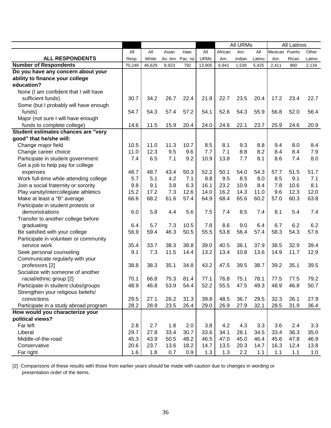|                                        |        |        |       |                  |             |         | <b>All URMs</b> |        |                | <b>All Latinos</b> |        |
|----------------------------------------|--------|--------|-------|------------------|-------------|---------|-----------------|--------|----------------|--------------------|--------|
|                                        | All    | All    | Asian | Haw.             | All         | African | Am.             | All    | Mexican Puerto |                    | Other  |
| <b>ALL RESPONDENTS</b>                 | Resp.  | White  |       | As. Am. Pac. Isl | <b>URMs</b> | Am.     | Indian          | Latino | Am.            | Rican              | Latino |
| <b>Number of Respondents</b>           | 70,249 | 46,629 | 8,923 | 792              | 13,905      | 6,941   | 1,539           | 5,425  | 2,411          | 880                | 2,134  |
| Do you have any concern about your     |        |        |       |                  |             |         |                 |        |                |                    |        |
| ability to finance your college        |        |        |       |                  |             |         |                 |        |                |                    |        |
| education?                             |        |        |       |                  |             |         |                 |        |                |                    |        |
| None (I am confident that I will have  |        |        |       |                  |             |         |                 |        |                |                    |        |
| sufficient funds)                      | 30.7   | 34.2   | 26.7  | 22.4             | 21.9        | 22.7    | 23.5            | 20.4   | 17.2           | 23.4               | 22.7   |
| Some (but I probably will have enough  |        |        |       |                  |             |         |                 |        |                |                    |        |
| funds)                                 | 54.7   | 54.3   | 57.4  | 57.2             | 54.1        | 52.6    | 54.3            | 55.9   | 56.8           | 52.0               | 56.4   |
| Major (not sure I will have enough     |        |        |       |                  |             |         |                 |        |                |                    |        |
| funds to complete college)             | 14.6   | 11.5   | 15.9  | 20.4             | 24.0        | 24.6    | 22.1            | 23.7   | 25.9           | 24.6               | 20.9   |
| Student estimates chances are "very    |        |        |       |                  |             |         |                 |        |                |                    |        |
| good" that he/she will:                |        |        |       |                  |             |         |                 |        |                |                    |        |
| Change major field                     | 10.5   | 11.0   | 11.3  | 10.7             | 8.5         | 8.1     | 9.3             | 8.8    | 9.4            | 8.0                | 8.4    |
| Change career choice                   | 11.0   | 12.3   | 9.5   | 9.6              | 7.7         | 7.1     | 8.8             | 8.2    | 8.4            | 8.4                | 7.9    |
| Participate in student government      | 7.4    | 6.5    | 7.1   | 9.2              | 10.9        | 13.8    | 7.7             | 8.1    | 8.6            | 7.4                | 8.0    |
| Get a job to help pay for college      |        |        |       |                  |             |         |                 |        |                |                    |        |
| expenses                               | 48.7   | 48.7   | 43.4  | 50.3             | 52.2        | 50.1    | 54.0            | 54.3   | 57.7           | 51.5               | 51.7   |
| Work full-time while attending college | 5.7    | 5.1    | 4.2   | 7.1              | 8.8         | 9.5     | 8.5             | 8.0    | 8.5            | 9.1                | 7.1    |
| Join a social fraternity or sorority   | 9.8    | 9.1    | 3.8   | 6.3              | 16.1        | 23.2    | 10.9            | 8.4    | 7.8            | 10.6               | 8.1    |
| Play varsity/intercollegiate athletics | 15.2   | 17.2   | 7.3   | 12.6             | 14.0        | 16.2    | 14.3            | 11.0   | 9.6            | 12.3               | 12.0   |
| Make at least a "B" average            | 66.6   | 68.2   | 61.6  | 57.4             | 64.9        | 68.4    | 65.6            | 60.2   | 57.0           | 60.3               | 63.8   |
| Participate in student protests or     |        |        |       |                  |             |         |                 |        |                |                    |        |
| demonstrations                         | 6.0    | 5.8    | 4.4   | 5.6              | 7.5         | 7.4     | 8.5             | 7.4    | 8.1            | 5.4                | 7.4    |
| Transfer to another college before     |        |        |       |                  |             |         |                 |        |                |                    |        |
| graduating                             | 6.4    | 5.7    | 7.3   | 10.5             | 7.8         | 8.6     | 9.0             | 6.4    | 6.7            | 6.2                | 6.2    |
| Be satisfied with your college         | 56.9   | 59.4   | 46.3  | 50.5             | 55.5        | 53.8    | 56.4            | 57.4   | 58.3           | 54.3               | 57.6   |
| Participate in volunteer or community  |        |        |       |                  |             |         |                 |        |                |                    |        |
| service work                           | 35.4   | 33.7   | 38.3  | 38.8             | 39.0        | 40.5    | 36.1            | 37.9   | 38.5           | 32.9               | 39.4   |
| Seek personal counseling               | 9.1    | 7.3    | 11.5  | 14.4             | 13.2        | 13.4    | 10.8            | 13.6   | 14.9           | 11.7               | 12.9   |
| Communicate regularly with your        |        |        |       |                  |             |         |                 |        |                |                    |        |
| professors [2]                         | 38.8   | 38.3   | 35.1  | 34.8             | 43.2        | 47.5    | 39.5            | 38.7   | 39.2           | 35.1               | 39.5   |
| Socialize with someone of another      |        |        |       |                  |             |         |                 |        |                |                    |        |
| racial/ethnic group [2]                | 70.1   | 66.8   | 75.3  | 81.4             | 77.1        | 76.8    | 75.1            | 78.1   | 77.5           | 77.5               | 79.2   |
| Participate in student clubs/groups    | 48.9   | 46.8   | 53.9  | 54.4             | 52.2        | 55.5    | 47.5            | 49.3   | 48.9           | 46.8               | 50.7   |
| Strengthen your religious beliefs/     |        |        |       |                  |             |         |                 |        |                |                    |        |
| convictions                            | 29.5   | 27.1   | 26.2  | 31.3             | 39.8        | 48.5    | 36.7            | 29.5   | 32.3           | 26.1               | 27.9   |
| Participate in a study abroad program  | 28.2   | 28.9   | 23.5  | 26.4             | 29.0        | 26.9    | 27.9            | 32.1   | 28.5           | 31.9               | 36.4   |
| How would you characterize your        |        |        |       |                  |             |         |                 |        |                |                    |        |
| political views?                       |        |        |       |                  |             |         |                 |        |                |                    |        |
| Far left                               | 2.8    | 2.7    | 1.8   | 2.0              | 3.8         | 4.2     | 4.3             | 3.3    | 3.6            | 2.4                | 3.3    |
| Liberal                                | 29.7   | 27.8   | 33.4  | 30.7             | 33.6        | 34.1    | 28.1            | 34.5   | 33.4           | 36.3               | 35.0   |
| Middle-of-the-road                     | 45.3   | 43.9   | 50.5  | 48.2             | 46.5        | 47.0    | 45.0            | 46.4   | 45.6           | 47.8               | 46.9   |
| Conservative                           | 20.6   | 23.7   | 13.6  | 18.2             | 14.7        | 13.5    | 20.3            | 14.7   | 16.3           | 12.4               | 13.8   |
| Far right                              | 1.6    | 1.8    | 0.7   | 0.9              | 1.3         | 1.3     | 2.2             | 1.1    | 1.1            | 1.1                | 1.0    |

[2] Comparisons of these results with those from earlier years should be made with caution due to changes in wording or presentation order of the items.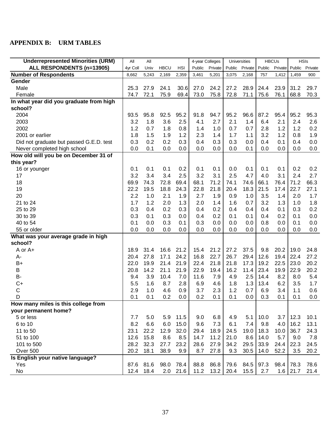## <span id="page-39-0"></span>**APPENDIX B: URM TABLES**

| <b>Underrepresented Minorities (URM)</b> | All      | All   |             |            | 4-year Colleges |         |        | Universities |        | <b>HBCUs</b> | <b>HSIs</b>    |      |
|------------------------------------------|----------|-------|-------------|------------|-----------------|---------|--------|--------------|--------|--------------|----------------|------|
| ALL RESPONDENTS (n=13905)                | 4yr Coll | Univ  | <b>HBCU</b> | <b>HSI</b> | Public          | Private | Public | Private      | Public | Private      | Public Private |      |
| <b>Number of Respondents</b>             | 8,662    | 5,243 | 2,169       | 2,359      | 3,461           | 5,201   | 3,075  | 2,168        | 757    | 1,412        | 1,459          | 900  |
| Gender                                   |          |       |             |            |                 |         |        |              |        |              |                |      |
| Male                                     | 25.3     | 27.9  | 24.1        | 30.6       | 27.0            | 24.2    | 27.2   | 28.9         | 24.4   | 23.9         | 31.2           | 29.7 |
| Female                                   | 74.7     | 72.1  | 75.9        | 69.4       | 73.0            | 75.8    | 72.8   | 71.1         | 75.6   | 76.1         | 68.8           | 70.3 |
| In what year did you graduate from high  |          |       |             |            |                 |         |        |              |        |              |                |      |
| school?                                  |          |       |             |            |                 |         |        |              |        |              |                |      |
| 2004                                     | 93.5     | 95.8  | 92.5        | 95.2       | 91.8            | 94.7    | 95.2   | 96.6         | 87.2   | 95.4         | 95.2           | 95.3 |
| 2003                                     | 3.2      | 1.8   | 3.6         | 2.5        | 4.1             | 2.7     | 2.1    | 1.4          | 6.4    | 2.1          | 2.4            | 2.6  |
| 2002                                     | 1.2      | 0.7   | 1.8         | 0.8        | 1.4             | 1.0     | 0.7    | 0.7          | 2.8    | 1.2          | 1.2            | 0.2  |
| 2001 or earlier                          | 1.8      | 1.5   | 1.9         | 1.2        | 2.3             | 1.4     | 1.7    | 1.1          | 3.2    | 1.2          | 0.8            | 1.9  |
| Did not graduate but passed G.E.D. test  | 0.3      | 0.2   | 0.2         | 0.3        | 0.4             | 0.3     | 0.3    | 0.0          | 0.4    | 0.1          | 0.4            | 0.0  |
| Never completed high school              | 0.0      | 0.1   | 0.0         | 0.0        | 0.0             | 0.0     | 0.0    | 0.1          | 0.0    | 0.0          | 0.0            | 0.0  |
| How old will you be on December 31 of    |          |       |             |            |                 |         |        |              |        |              |                |      |
| this year?                               |          |       |             |            |                 |         |        |              |        |              |                |      |
| 16 or younger                            | 0.1      | 0.1   | 0.1         | 0.2        | 0.1             | 0.1     | 0.0    | 0.1          | 0.1    | 0.1          | 0.2            | 0.2  |
| 17                                       | 3.2      | 3.4   | 3.4         | 2.5        | 3.2             | 3.1     | 2.5    | 4.7          | 4.0    | 3.1          | 2.4            | 2.7  |
| 18                                       | 69.9     | 74.3  | 72.8        | 69.4       | 68.1            | 71.2    | 74.1   | 74.6         | 66.1   | 76.4         | 71.2           | 66.3 |
| 19                                       | 22.2     | 19.5  | 18.8        | 24.3       | 22.8            | 21.8    | 20.4   | 18.3         | 21.5   | 17.4         | 22.7           | 27.1 |
| 20                                       | 2.2      | 1.0   | 2.1         | 1.9        | 2.7             | 1.9     | 0.9    | 1.0          | 3.5    | 1.4          | 2.0            | 1.7  |
| 21 to 24                                 | 1.7      | 1.2   | 2.0         | 1.3        | 2.0             | 1.4     | 1.6    | 0.7          | 3.2    | 1.3          | 1.0            | 1.8  |
| 25 to 29                                 | 0.3      | 0.4   | 0.2         | 0.3        | 0.4             | 0.2     | 0.4    | 0.4          | 0.4    | 0.1          | 0.3            | 0.2  |
| 30 to 39                                 | 0.3      | 0.1   | 0.3         | 0.0        | 0.4             | 0.2     | 0.1    | 0.1          | 0.4    | 0.2          | 0.1            | 0.0  |
| 40 to 54                                 | 0.1      | 0.0   | 0.3         | 0.1        | 0.3             | 0.0     | 0.0    | 0.0          | 0.8    | 0.0          | 0.1            | 0.0  |
| 55 or older                              | 0.0      | 0.0   | 0.0         | 0.0        | 0.0             | 0.0     | 0.0    | 0.0          | 0.0    | 0.0          | 0.0            | 0.0  |
| What was your average grade in high      |          |       |             |            |                 |         |        |              |        |              |                |      |
| school?                                  |          |       |             |            |                 |         |        |              |        |              |                |      |
| A or A+                                  | 18.9     | 31.4  | 16.6        | 21.2       | 15.4            | 21.2    | 27.2   | 37.5         | 9.8    | 20.2         | 19.0           | 24.8 |
| А-                                       | 20.4     | 27.8  | 17.1        | 24.2       | 16.8            | 22.7    | 26.7   | 29.4         | 12.6   | 19.4         | 22.4           | 27.2 |
| $B+$                                     | 22.0     | 19.9  | 21.4        | 21.9       | 22.4            | 21.8    | 21.8   | 17.3         | 19.2   | 22.5         | 23.0           | 20.2 |
| $\sf B$                                  | 20.8     | 14.2  | 21.1        | 21.9       | 22.9            | 19.4    | 16.2   | 11.4         | 23.4   | 19.9         | 22.9           | 20.2 |
| <b>B-</b>                                | 9.4      | 3.9   | 10.4        | 7.0        | 11.6            | 7.9     | 4.9    | 2.5          | 14.4   | 8.2          | 8.0            | 5.4  |
| $C+$                                     | 5.5      | 1.6   | 8.7         | 2.8        | 6.9             | 4.6     | 1.8    | 1.3          | 13.4   | 6.2          | 3.5            | 1.7  |
| $\mathsf C$                              | 2.9      | 1.0   | 4.6         | 0.9        | 3.7             | 2.3     | 1.2    | 0.7          | 6.9    | 3.4          | 1.1            | 0.6  |
| D                                        | 0.1      | 0.1   | 0.2         | 0.0        | 0.2             | 0.1     | 0.1    | 0.0          | 0.3    | 0.1          | 0.1            | 0.0  |
| How many miles is this college from      |          |       |             |            |                 |         |        |              |        |              |                |      |
| your permanent home?                     |          |       |             |            |                 |         |        |              |        |              |                |      |
| 5 or less                                | 7.7      | 5.0   | 5.9         | 11.5       | 9.0             | 6.8     | 4.9    | 5.1          | 10.0   | 3.7          | 12.3           | 10.1 |
| 6 to 10                                  | 8.2      | 6.6   | 6.0         | 15.0       | 9.6             | 7.3     | 6.1    | 7.4          | 9.8    | 4.0          | 16.2           | 13.1 |
| 11 to 50                                 | 23.1     | 22.2  | 12.9        | 32.0       | 29.4            | 18.9    | 24.5   | 19.0         | 18.3   | 10.0         | 36.7           | 24.3 |
| 51 to 100                                | 12.6     | 15.8  | 8.6         | 8.5        | 14.7            | 11.2    | 21.0   | 8.6          | 14.0   | 5.7          | 9.0            | 7.8  |
| 101 to 500                               | 28.2     | 32.3  | 27.7        | 23.2       | 28.6            | 27.9    | 34.2   | 29.5         | 33.9   | 24.4         | 22.3           | 24.5 |
| Over 500                                 | 20.2     | 18.1  | 38.9        | 9.9        | 8.7             | 27.8    | 9.3    | 30.5         | 14.0   | 52.2         | 3.5            | 20.2 |
| Is English your native language?         |          |       |             |            |                 |         |        |              |        |              |                |      |
| Yes                                      | 87.6     | 81.6  | 98.0        | 78.4       | 88.8            | 86.8    | 79.6   | 84.5         | 97.3   | 98.4         | 78.3           | 78.6 |
| No                                       | 12.4     | 18.4  |             | 2.0 21.6   | 11.2            | 13.2    | 20.4   | 15.5         | 2.7    |              | $1.6$   21.7   | 21.4 |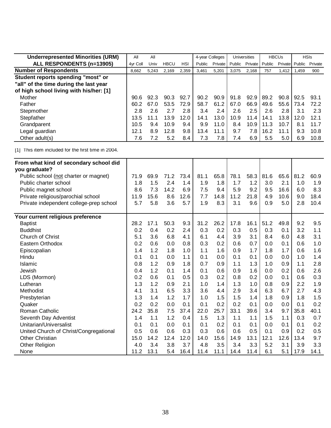| <b>Underrepresented Minorities (URM)</b> | All      | All   |             |               |        | 4-year Colleges |        | <b>Universities</b> |        | <b>HBCUs</b> | <b>HSIs</b>    |         |
|------------------------------------------|----------|-------|-------------|---------------|--------|-----------------|--------|---------------------|--------|--------------|----------------|---------|
| ALL RESPONDENTS (n=13905)                | 4yr Coll | Univ  | <b>HBCU</b> | HSI           | Public | Private         | Public | Private             | Public |              | Private Public | Private |
| <b>Number of Respondents</b>             | 8,662    | 5.243 | 2,169       | 2,359         | 3,461  | 5,201           | 3.075  | 2,168               | 757    | 1,412        | .459           | 900     |
| Student reports spending "most" or       |          |       |             |               |        |                 |        |                     |        |              |                |         |
| "all" of the time during the last year   |          |       |             |               |        |                 |        |                     |        |              |                |         |
| of high school living with his/her: [1]  |          |       |             |               |        |                 |        |                     |        |              |                |         |
| Mother                                   | 90.6     | 92.3  | 90.3        | 92.7          | 90.2   | 90.9            | 91.8   | 92.9                | 89.2   | 90.8         | 92.5           | 93.1    |
| Father                                   | 60.2     | 67.0  | 53.5        | 72.9          | 58.7   | 61.2            | 67.0   | 66.9                | 49.6   | 55.6         | 73.4           | 72.2    |
| Stepmother                               | 2.8      | 2.6   | 2.7         | $2.8^{\circ}$ | 3.4    | $2.4^{\circ}$   | 2.6    | $2.5^{\circ}$       | 2.6    | 2.8          | 3.1            | 2.3     |
| Stepfather                               | 13.5     |       | 13.9        | 12.0          | 14.1   | 13.0            | 10.9   | 11.4 l              | 14.1   | 13.8         | 12.0           | 12.1    |
| Grandparent                              | 10.5     | 9.4   | 10.9        | 9.4           | 9.9    | 11.0            | 8.4    | 10.9                | 11.3   | 10.7         | 8.1            | 11.7    |
| Legal guardian                           | 12.1     | 8.9   | 12.8        | 9.8           | 13.4   | 11.1            | 9.7    | 7.8                 | 16.2   | 11.1         | 9.3            | 10.8    |
| Other adult(s)                           | 7.6      | 7.2   | 5.2         | 8.4           | 7.3    | 7.8             | 7.4    | 6.9                 | 5.5    | 5.0          | 6.9            | 10.8    |

| From what kind of secondary school did  |      |      |      |      |      |      |      |      |      |      |      |      |
|-----------------------------------------|------|------|------|------|------|------|------|------|------|------|------|------|
| you graduate?                           |      |      |      |      |      |      |      |      |      |      |      |      |
| Public school (not charter or magnet)   | 71.9 | 69.9 | 71.2 | 73.4 | 81.1 | 65.8 | 78.1 | 58.3 | 81.6 | 65.6 | 81.2 | 60.9 |
| Public charter school                   | 1.8  | 1.5  | 2.4  |      | 1.9  | 1.8  |      | 1.2  |      | 2.1  |      |      |
|                                         |      |      |      | 1.4  |      |      | 1.7  |      | 3.0  |      | 1.0  | 1.9  |
| Public magnet school                    | 8.6  | 7.3  | 14.2 | 6.9  | 7.5  | 9.4  | 5.9  | 9.2  | 9.5  | 16.6 | 6.0  | 8.3  |
| Private religious/parochial school      | 11.9 | 15.6 | 8.6  | 12.6 | 7.7  | 14.8 | 11.2 | 21.8 | 4.9  | 10.6 | 9.0  | 18.4 |
| Private independent college-prep school | 5.7  | 5.8  | 3.6  | 5.7  | 1.9  | 8.3  | 3.1  | 9.6  | 0.9  | 5.0  | 2.8  | 10.4 |
| Your current religious preference       |      |      |      |      |      |      |      |      |      |      |      |      |
| <b>Baptist</b>                          | 28.2 | 17.1 | 50.3 | 9.3  | 31.2 | 26.2 | 17.8 | 16.1 | 51.2 | 49.8 | 9.2  | 9.5  |
| <b>Buddhist</b>                         | 0.2  | 0.4  | 0.2  | 2.4  | 0.3  | 0.2  | 0.3  | 0.5  | 0.3  | 0.1  | 3.2  | 1.1  |
| Church of Christ                        | 5.1  | 3.6  | 6.8  | 4.1  | 6.1  | 4.4  | 3.9  | 3.1  | 8.4  | 6.0  | 4.8  | 3.1  |
| Eastern Orthodox                        | 0.2  | 0.6  | 0.0  | 0.8  | 0.3  | 0.2  | 0.6  | 0.7  | 0.0  | 0.1  | 0.6  | 1.0  |
| Episcopalian                            | 1.4  | 1.2  | 1.8  | 1.0  | 1.1  | 1.6  | 0.9  | 1.7  | 1.8  | 1.7  | 0.6  | 1.6  |
| Hindu                                   | 0.1  | 0.1  | 0.0  | 1.1  | 0.1  | 0.0  | 0.1  | 0.1  | 0.0  | 0.0  | 1.0  | 1.4  |
| Islamic                                 | 0.8  | 1.2  | 0.9  | 1.8  | 0.7  | 0.9  | 1.1  | 1.3  | 1.0  | 0.9  | 1.1  | 2.8  |
| Jewish                                  | 0.4  | 1.2  | 0.1  | 1.4  | 0.1  | 0.6  | 0.9  | 1.6  | 0.0  | 0.2  | 0.6  | 2.6  |
| LDS (Mormon)                            | 0.2  | 0.6  | 0.1  | 0.5  | 0.3  | 0.2  | 0.8  | 0.2  | 0.0  | 0.1  | 0.6  | 0.3  |
| Lutheran                                | 1.3  | 1.2  | 0.9  | 2.1  | 1.0  | 1.4  | 1.3  | 1.0  | 0.8  | 0.9  | 2.2  | 1.9  |
| Methodist                               | 4.1  | 3.1  | 6.5  | 3.3  | 3.6  | 4.4  | 2.9  | 3.4  | 6.3  | 6.7  | 2.7  | 4.3  |
| Presbyterian                            | 1.3  | 1.4  | 1.2  | 1.7  | 1.0  | 1.5  | 1.5  | 1.4  | 1.8  | 0.9  | 1.8  | 1.5  |
| Quaker                                  | 0.2  | 0.2  | 0.0  | 0.1  | 0.1  | 0.2  | 0.2  | 0.1  | 0.0  | 0.0  | 0.1  | 0.2  |
| Roman Catholic                          | 24.2 | 35.8 | 7.5  | 37.4 | 22.0 | 25.7 | 33.1 | 39.6 | 3.4  | 9.7  | 35.8 | 40.1 |
| Seventh Day Adventist                   | 1.4  | 1.1  | 1.2  | 0.4  | 1.5  | 1.3  | 1.1  | 1.1  | 1.5  | 1.1  | 0.3  | 0.7  |
| Unitarian/Universalist                  | 0.1  | 0.1  | 0.0  | 0.1  | 0.1  | 0.2  | 0.1  | 0.1  | 0.0  | 0.1  | 0.1  | 0.2  |
| United Church of Christ/Congregational  | 0.5  | 0.6  | 0.6  | 0.3  | 0.3  | 0.6  | 0.6  | 0.5  | 0.1  | 0.9  | 0.2  | 0.5  |
| <b>Other Christian</b>                  | 15.0 | 14.2 | 12.4 | 12.0 | 14.0 | 15.6 | 14.9 | 13.1 | 12.1 | 12.6 | 13.4 | 9.7  |
| Other Religion                          | 4.0  | 3.4  | 3.8  | 3.7  | 4.8  | 3.5  | 3.4  | 3.3  | 5.2  | 3.1  | 3.9  | 3.3  |
| None                                    | 11.2 | 13.1 | 5.4  | 16.4 | 11.4 | 11.1 | 14.4 | 11.4 | 6.1  | 5.1  | 17.9 | 14.1 |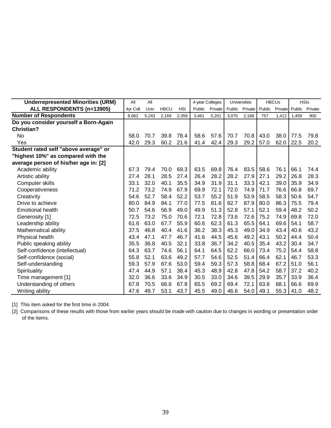| <b>Underrepresented Minorities (URM)</b> | All      | All   |             |            |        | 4-year Colleges |        | <b>Universities</b> |        | <b>HBCUs</b> |        | <b>HSIs</b> |
|------------------------------------------|----------|-------|-------------|------------|--------|-----------------|--------|---------------------|--------|--------------|--------|-------------|
| ALL RESPONDENTS (n=13905)                | 4yr Coll | Univ  | <b>HBCU</b> | <b>HSI</b> | Public | Private         | Public | Private             | Public | Private      | Public | Private     |
| <b>Number of Respondents</b>             | 8,662    | 5,243 | 2,169       | 2,359      | 3,461  | 5,201           | 3,075  | 2,168               | 757    | 1,412        | 1,459  | 900         |
| Do you consider yourself a Born-Again    |          |       |             |            |        |                 |        |                     |        |              |        |             |
| <b>Christian?</b>                        |          |       |             |            |        |                 |        |                     |        |              |        |             |
| No                                       | 58.0     | 70.7  | 39.8        | 78.4       | 58.6   | 57.6            | 70.7   | 70.8                | 43.0   | 38.0         | 77.5   | 79.8        |
| Yes                                      | 42.0     | 29.3  | 60.2        | 21.6       | 41.4   | 42.4            | 29.3   | 29.2                | 57.0   | 62.0         | 22.5   | 20.2        |
| Student rated self "above average" or    |          |       |             |            |        |                 |        |                     |        |              |        |             |
| "highest 10%" as compared with the       |          |       |             |            |        |                 |        |                     |        |              |        |             |
| average person of his/her age in: [2]    |          |       |             |            |        |                 |        |                     |        |              |        |             |
| Academic ability                         | 67.3     | 79.4  | 70.0        | 69.3       | 63.5   | 69.8            | 76.4   | 83.5                | 58.6   | 76.1         | 66.1   | 74.4        |
| Artistic ability                         | 27.4     | 28.1  | 28.5        | 27.4       | 26.4   | 28.2            | 28.2   | 27.9                | 27.1   | 29.2         | 26.8   | 28.3        |
| Computer skills                          | 33.1     | 32.0  | 40.1        | 35.5       | 34.9   | 31.9            | 31.1   | 33.3                | 42.1   | 39.0         | 35.9   | 34.9        |
| Cooperativeness                          | 71.2     | 73.2  | 74.9        | 67.9       | 69.9   | 72.1            | 72.0   | 74.9                | 71.7   | 76.6         | 66.8   | 69.7        |
| Creativity                               | 54.6     | 52.7  | 58.4        | 52.2       | 53.7   | 55.2            | 51.9   | 53.9                | 58.5   | 58.3         | 50.6   | 54.7        |
| Drive to achieve                         | 80.0     | 84.9  | 84.1        | 77.0       | 77.5   | 81.6            | 82.7   | 87.9                | 80.0   | 86.3         | 75.5   | 79.4        |
| <b>Emotional health</b>                  | 50.7     | 54.6  | 56.9        | 49.0       | 49.9   | 51.3            | 52.8   | 57.1                | 52.1   | 59.4         | 48.2   | 50.2        |
| Generosity [1]                           | 72.5     | 73.2  | 75.0        | 70.6       | 72.1   | 72.8            | 73.6   | 72.6                | 75.2   | 74.9         | 69.8   | 72.0        |
| Leadership ability                       | 61.6     | 63.0  | 67.7        | 55.9       | 60.6   | 62.3            | 61.3   | 65.5                | 64.1   | 69.6         | 54.1   | 58.7        |
| Mathematical ability                     | 37.5     | 46.8  | 40.4        | 41.6       | 36.2   | 38.3            | 45.3   | 49.0                | 34.9   | 43.4         | 40.6   | 43.2        |
| Physical health                          | 43.4     | 47.1  | 47.7        | 46.7       | 41.6   | 44.5            | 45.6   | 49.2                | 43.1   | 50.2         | 44.4   | 50.4        |
| Public speaking ability                  | 35.5     | 36.8  | 40.5        | 32.1       | 33.8   | 36.7            | 34.2   | 40.5                | 35.4   | 43.2         | 30.4   | 34.7        |
| Self-confidence (intellectual)           | 64.3     | 63.7  | 74.6        | 56.1       | 64.1   | 64.5            | 62.2   | 66.0                | 73.4   | 75.2         | 54.4   | 58.8        |
| Self-confidence (social)                 | 55.8     | 52.1  | 63.6        | 49.2       | 57.7   | 54.6            | 52.5   | 51.4                | 66.4   | 62.1         | 46.7   | 53.3        |
| Self-understanding                       | 59.3     | 57.9  | 67.6        | 53.0       | 59.4   | 59.3            | 57.3   | 58.8                | 68.4   | 67.2         | 51.0   | 56.1        |
| Spirituality                             | 47.4     | 44.9  | 57.1        | 38.4       | 45.3   | 48.9            | 42.8   | 47.8                | 54.2   | 58.7         | 37.2   | 40.2        |
| Time management [1]                      | 32.0     | 36.6  | 33.6        | 34.9       | 30.5   | 33.0            | 34.6   | 39.5                | 29.9   | 35.7         | 33.9   | 36.4        |
| Understanding of others                  | 67.8     | 70.5  | 66.6        | 67.8       | 65.5   | 69.2            | 69.4   | 72.1                | 63.8   | 68.1         | 66.6   | 69.9        |
| Writing ability                          | 47.6     | 49.7  | 53.1        | 43.7       | 45.5   | 49.0            | 46.6   | 54.0                | 49.1   | 55.3         | 41.0   | 48.2        |

[2] Comparisons of these results with those from earlier years should be made with caution due to changes in wording or presentation order of the items.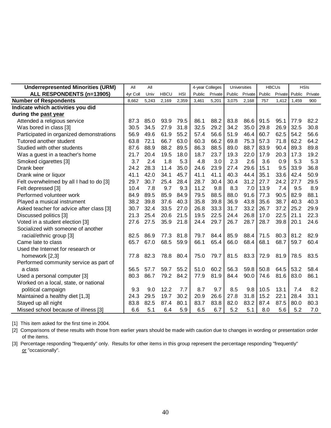| <b>Underrepresented Minorities (URM)</b> | All      | All   |             |            | 4-year Colleges |         |        | Universities |        | <b>HBCUs</b> |        | <b>HSIs</b> |
|------------------------------------------|----------|-------|-------------|------------|-----------------|---------|--------|--------------|--------|--------------|--------|-------------|
| ALL RESPONDENTS (n=13905)                | 4vr Coll | Univ  | <b>HBCU</b> | <b>HSI</b> | Public          | Private | Public | Private      | Public | Private      | Public | Private     |
| <b>Number of Respondents</b>             | 8,662    | 5,243 | 2,169       | 2,359      | 3,461           | 5,201   | 3,075  | 2,168        | 757    | 1,412        | 1,459  | 900         |
| Indicate which activities you did        |          |       |             |            |                 |         |        |              |        |              |        |             |
| during the past year                     |          |       |             |            |                 |         |        |              |        |              |        |             |
| Attended a religious service             | 87.3     | 85.0  | 93.9        | 79.5       | 86.1            | 88.2    | 83.8   | 86.6         | 91.5   | 95.1         | 77.9   | 82.2        |
| Was bored in class [3]                   | 30.5     | 34.5  | 27.9        | 31.8       | 32.5            | 29.2    | 34.2   | 35.0         | 29.8   | 26.9         | 32.5   | 30.8        |
| Participated in organized demonstrations | 56.9     | 49.6  | 61.9        | 55.2       | 57.4            | 56.6    | 51.9   | 46.4         | 60.7   | 62.5         | 54.2   | 56.6        |
| Tutored another student                  | 63.8     | 72.1  | 66.7        | 63.0       | 60.3            | 66.2    | 69.8   | 75.3         | 57.3   | 71.8         | 62.2   | 64.2        |
| Studied with other students              | 87.6     | 88.9  | 88.2        | 89.5       | 86.3            | 88.5    | 89.0   | 88.7         | 83.9   | 90.4         | 89.3   | 89.8        |
| Was a guest in a teacher's home          | 21.7     | 20.4  | 19.5        | 18.0       | 18.7            | 23.7    | 19.3   | 22.0         | 17.9   | 20.3         | 17.3   | 19.2        |
| Smoked cigarettes [3]                    | 3.7      | 2.4   | 1.8         | 5.3        | 4.8             | 3.0     | 2.3    | 2.6          | 3.6    | 0.9          | 5.3    | 5.3         |
| Drank beer                               | 24.2     | 28.3  | 11.4        | 35.0       | 24.6            | 23.9    | 27.4   | 29.6         | 15.1   | 9.5          | 33.9   | 36.8        |
| Drank wine or liquor                     | 41.1     | 42.0  | 34.1        | 45.7       | 41.1            | 41.1    | 40.3   | 44.4         | 35.1   | 33.6         | 42.4   | 50.9        |
| Felt overwhelmed by all I had to do [3]  | 29.7     | 30.7  | 25.4        | 28.4       | 28.7            | 30.4    | 30.4   | 31.2         | 27.7   | 24.2         | 27.7   | 29.5        |
| Felt depressed [3]                       | 10.4     | 7.8   | 9.7         | 9.3        | 11.2            | 9.8     | 8.3    | 7.0          | 13.9   | 7.4          | 9.5    | 8.9         |
| Performed volunteer work                 | 84.9     | 89.5  | 85.9        | 84.9       | 79.5            | 88.5    | 88.0   | 91.6         | 77.3   | 90.5         | 82.9   | 88.1        |
| Played a musical instrument              | 38.2     | 39.8  | 37.6        | 40.3       | 35.8            | 39.8    | 36.9   | 43.8         | 35.6   | 38.7         | 40.3   | 40.3        |
| Asked teacher for advice after class [3] | 30.7     | 32.4  | 33.5        | 27.0       | 26.8            | 33.3    | 31.7   | 33.2         | 26.7   | 37.2         | 25.2   | 29.9        |
| Discussed politics [3]                   | 21.3     | 25.4  | 20.6        | 21.5       | 19.5            | 22.5    | 24.4   | 26.8         | 17.0   | 22.5         | 21.1   | 22.3        |
| Voted in a student election [3]          | 27.6     | 27.5  | 35.9        | 21.8       | 24.4            | 29.7    | 26.7   | 28.7         | 28.7   | 39.8         | 20.1   | 24.6        |
| Socialized with someone of another       |          |       |             |            |                 |         |        |              |        |              |        |             |
| racial/ethnic group [3]                  | 82.5     | 86.9  | 77.3        | 81.8       | 79.7            | 84.4    | 85.9   | 88.4         | 71.5   | 80.3         | 81.2   | 82.9        |
| Came late to class                       | 65.7     | 67.0  | 68.5        | 59.9       | 66.1            | 65.4    | 66.0   | 68.4         | 68.1   | 68.7         | 59.7   | 60.4        |
| Used the Internet for research or        |          |       |             |            |                 |         |        |              |        |              |        |             |
| homework [2,3]                           | 77.8     | 82.3  | 78.8        | 80.4       | 75.0            | 79.7    | 81.5   | 83.3         | 72.9   | 81.9         | 78.5   | 83.5        |
| Performed community service as part of   |          |       |             |            |                 |         |        |              |        |              |        |             |
| a class                                  | 56.5     | 57.7  | 59.7        | 55.2       | 51.0            | 60.2    | 56.3   | 59.8         | 50.8   | 64.5         | 53.2   | 58.4        |
| Used a personal computer [3]             | 80.3     | 86.7  | 79.2        | 84.2       | 77.9            | 81.9    | 84.4   | 90.0         | 74.6   | 81.6         | 83.0   | 86.1        |
| Worked on a local, state, or national    |          |       |             |            |                 |         |        |              |        |              |        |             |
| political campaign                       | 9.3      | 9.0   | 12.2        | 7.7        | 8.7             | 9.7     | 8.5    | 9.8          | 10.5   | 13.1         | 7.4    | 8.2         |
| Maintained a healthy diet [1,3]          | 24.3     | 29.5  | 19.7        | 30.2       | 20.9            | 26.6    | 27.8   | 31.8         | 15.2   | 22.1         | 28.4   | 33.1        |
| Stayed up all night                      | 83.8     | 82.5  | 87.4        | 80.1       | 83.7            | 83.8    | 82.0   | 83.2         | 87.4   | 87.5         | 80.0   | 80.3        |
| Missed school because of illness [3]     | 6.6      | 5.1   | 6.4         | 5.9        | 6.5             | 6.7     | 5.2    | 5.1          | 8.0    | 5.6          | 5.2    | 7.0         |

[2] Comparisons of these results with those from earlier years should be made with caution due to changes in wording or presentation order of the items.

[3] Percentage responding "frequently" only. Results for other items in this group represent the percentage responding "frequently" or "occasionally".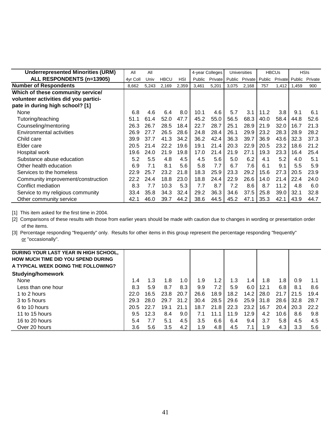| <b>Underrepresented Minorities (URM)</b> | All      | All   |             |       |        | 4-year Colleges |       | <b>Universities</b>           |      | <b>HBCUs</b>   |       | <b>HSIs</b> |
|------------------------------------------|----------|-------|-------------|-------|--------|-----------------|-------|-------------------------------|------|----------------|-------|-------------|
| ALL RESPONDENTS (n=13905)                | 4yr Coll | Univ  | <b>HBCU</b> | HSI   | Public |                 |       | Private Public Private Public |      | Private Public |       | Private     |
| <b>Number of Respondents</b>             | 8,662    | 5,243 | 2,169       | 2,359 | 3,461  | 5,201           | 3,075 | 2,168                         | 757  | 1,412          | 1,459 | 900         |
| Which of these community service/        |          |       |             |       |        |                 |       |                               |      |                |       |             |
| volunteer activities did you partici-    |          |       |             |       |        |                 |       |                               |      |                |       |             |
| pate in during high school? [1]          |          |       |             |       |        |                 |       |                               |      |                |       |             |
| None                                     | 6.8      | 4.6   | 6.4         | 8.0   | 10.1   | 4.6             | 5.7   | 3.1                           | 11.2 | 3.8            | 9.1   | 6.1         |
| Tutoring/teaching                        | 51.1     | 61.4  | 52.0        | 47.7  | 45.2   | 55.0            | 56.5  | 68.3                          | 40.0 | 58.4           | 44.8  | 52.6        |
| Counseling/mentoring                     | 26.3     | 26.7  | 28.5        | 18.4  | 22.7   | 28.7            | 25.1  | 28.9                          | 21.9 | 32.0           | 16.7  | 21.3        |
| Environmental activities                 | 26.9     | 27.7  | 26.5        | 28.6  | 24.8   | 28.4            | 26.1  | 29.9                          | 23.2 | 28.3           | 28.9  | 28.2        |
| Child care                               | 39.9     | 37.7  | 41.3        | 34.2  | 36.2   | 42.4            | 36.3  | 39.7                          | 36.9 | 43.6           | 32.3  | 37.3        |
| Elder care                               | 20.5     | 21.4  | 22.2        | 19.6  | 19.1   | 21.4            | 20.3  | 22.9                          | 20.5 | 23.2           | 18.6  | 21.2        |
| Hospital work                            | 19.6     | 24.0  | 21.9        | 19.8  | 17.0   | 21.4            | 21.9  | 27.1                          | 19.3 | 23.3           | 16.4  | 25.4        |
| Substance abuse education                | 5.2      | 5.5   | 4.8         | 4.5   | 4.5    | 5.6             | 5.0   | 6.2                           | 4.1  | 5.2            | 4.0   | 5.1         |
| Other health education                   | 6.9      | 7.1   | 8.1         | 5.6   | 5.8    | 7.7             | 6.7   | 7.6                           | 6.1  | 9.1            | 5.5   | 5.9         |
| Services to the homeless                 | 22.9     | 25.7  | 23.2        | 21.8  | 18.3   | 25.9            | 23.3  | 29.2                          | 15.6 | 27.3           | 20.5  | 23.9        |
| Community improvement/construction       | 22.2     | 24.4  | 18.8        | 23.0  | 18.8   | 24.4            | 22.9  | 26.6                          | 14.0 | 21.4           | 22.4  | 24.0        |
| Conflict mediation                       | 8.3      | 7.7   | 10.3        | 5.3   | 7.7    | 8.7             | 7.2   | 8.6                           | 8.7  | 11.2           | 4.8   | 6.0         |
| Service to my religious community        | 33.4     | 35.8  | 34.3        | 32.4  | 29.2   | 36.3            | 34.6  | 37.5                          | 25.8 | 39.0           | 32.1  | 32.8        |
| Other community service                  | 42.1     | 46.0  | 39.7        | 44.2  | 38.6   | 44.5            | 45.2  | 47.1                          | 35.3 | 42.1           | 43.9  | 44.7        |

[2] Comparisons of these results with those from earlier years should be made with caution due to changes in wording or presentation order of the items.

[3] Percentage responding "frequently" only. Results for other items in this group represent the percentage responding "frequently" or "occasionally".

| DURING YOUR LAST YEAR IN HIGH SCHOOL,     |      |      |      |      |      |      |      |      |      |      |      |      |
|-------------------------------------------|------|------|------|------|------|------|------|------|------|------|------|------|
| <b>HOW MUCH TIME DID YOU SPEND DURING</b> |      |      |      |      |      |      |      |      |      |      |      |      |
| A TYPICAL WEEK DOING THE FOLLOWING?       |      |      |      |      |      |      |      |      |      |      |      |      |
| <b>Studying/homework</b>                  |      |      |      |      |      |      |      |      |      |      |      |      |
| None                                      | 1.4  | 1.3  | 1.8  | 1.0  | 1.9  | 1.2  | 1.3  | 1.4  | 1.8  | 1.8  | 0.9  | 1.1  |
| Less than one hour                        | 8.3  | 5.9  | 8.7  | 8.3  | 9.9  | 7.2  | 5.9  | 6.0  | 12.1 | 6.8  | 8.1  | 8.6  |
| 1 to 2 hours                              | 22.0 | 16.5 | 23.8 | 20.7 | 26.6 | 18.9 | 18.2 | 14.2 | 28.0 | 21.7 | 21.5 | 19.4 |
| 3 to 5 hours                              | 29.3 | 28.0 | 29.7 | 31.2 | 30.4 | 28.5 | 29.6 | 25.9 | 31.8 | 28.6 | 32.8 | 28.7 |
| 6 to 10 hours                             | 20.5 | 22.7 | 19.1 | 21.1 | 18.7 | 21.8 | 22.3 | 23.2 | 16.7 | 20.4 | 20.3 | 22.2 |
| 11 to 15 hours                            | 9.5  | 12.3 | 8.4  | 9.0  | 7.1  | 11.1 | 11.9 | 12.9 | 4.2  | 10.6 | 8.6  | 9.8  |
| 16 to 20 hours                            | 5.4  | 7.7  | 5.1  | 4.5  | 3.5  | 6.6  | 6.4  | 9.4  | 3.7  | 5.8  | 4.5  | 4.5  |
| Over 20 hours                             | 3.6  | 5.6  | 3.5  | 4.2  | 1.9  | 4.8  | 4.5  | 7.1  | 1.9  | 4.3  | 3.3  | 5.6  |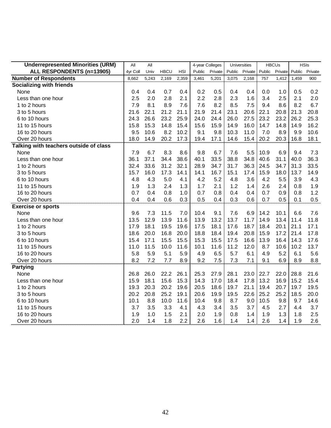| <b>Underrepresented Minorities (URM)</b> | All      | All   |             |            | 4-year Colleges |         |        | Universities |        | <b>HBCUs</b> |        | <b>HSIs</b> |
|------------------------------------------|----------|-------|-------------|------------|-----------------|---------|--------|--------------|--------|--------------|--------|-------------|
| ALL RESPONDENTS (n=13905)                | 4yr Coll | Univ  | <b>HBCU</b> | <b>HSI</b> | Public          | Private | Public | Private      | Public | Private      | Public | Private     |
| <b>Number of Respondents</b>             | 8,662    | 5,243 | 2,169       | 2,359      | 3,461           | 5,201   | 3,075  | 2,168        | 757    | 1,412        | 1,459  | 900         |
| <b>Socializing with friends</b>          |          |       |             |            |                 |         |        |              |        |              |        |             |
| None                                     | 0.4      | 0.4   | 0.7         | 0.4        | 0.2             | 0.5     | 0.4    | 0.4          | 0.0    | 1.0          | 0.5    | 0.2         |
| Less than one hour                       | 2.5      | 2.0   | 2.8         | 2.1        | 2.2             | 2.8     | 2.3    | 1.6          | 3.4    | 2.5          | 2.1    | 2.0         |
| 1 to 2 hours                             | 7.9      | 8.1   | 8.9         | 7.6        | 7.6             | 8.2     | 8.5    | 7.5          | 9.4    | 8.6          | 8.2    | 6.7         |
| 3 to 5 hours                             | 21.6     | 22.1  | 21.2        | 21.1       | 21.9            | 21.4    | 23.1   | 20.6         | 22.1   | 20.8         | 21.3   | 20.8        |
| 6 to 10 hours                            | 24.3     | 26.6  | 23.2        | 25.9       | 24.0            | 24.4    | 26.0   | 27.5         | 23.2   | 23.2         | 26.2   | 25.3        |
| 11 to 15 hours                           | 15.8     | 15.3  | 14.8        | 15.4       | 15.6            | 15.9    | 14.9   | 16.0         | 14.7   | 14.8         | 14.9   | 16.2        |
| 16 to 20 hours                           | 9.5      | 10.6  | 8.2         | 10.2       | 9.1             | 9.8     | 10.3   | 11.0         | 7.0    | 8.9          | 9.9    | 10.6        |
| Over 20 hours                            | 18.0     | 14.9  | 20.2        | 17.3       | 19.4            | 17.1    | 14.6   | 15.4         | 20.2   | 20.3         | 16.8   | 18.1        |
| Talking with teachers outside of class   |          |       |             |            |                 |         |        |              |        |              |        |             |
| None                                     | 7.9      | 6.7   | 8.3         | 8.6        | 9.8             | 6.7     | 7.6    | 5.5          | 10.9   | 6.9          | 9.4    | 7.3         |
| Less than one hour                       | 36.1     | 37.1  | 34.4        | 38.6       | 40.1            | 33.5    | 38.8   | 34.8         | 40.6   | 31.1         | 40.0   | 36.3        |
| 1 to 2 hours                             | 32.4     | 33.6  | 31.2        | 32.1       | 28.9            | 34.7    | 31.7   | 36.3         | 24.5   | 34.7         | 31.3   | 33.5        |
| 3 to 5 hours                             | 15.7     | 16.0  | 17.3        | 14.1       | 14.1            | 16.7    | 15.1   | 17.4         | 15.9   | 18.0         | 13.7   | 14.9        |
| 6 to 10 hours                            | 4.8      | 4.3   | 5.0         | 4.1        | 4.2             | 5.2     | 4.8    | 3.6          | 4.2    | 5.5          | 3.9    | 4.3         |
| 11 to 15 hours                           | 1.9      | 1.3   | 2.4         | 1.3        | 1.7             | 2.1     | 1.2    | 1.4          | 2.6    | 2.4          | 0.8    | 1.9         |
| 16 to 20 hours                           | 0.7      | 0.4   | 0.8         | 1.0        | 0.7             | 0.8     | 0.4    | 0.4          | 0.7    | 0.9          | 0.8    | 1.2         |
| Over 20 hours                            | 0.4      | 0.4   | 0.6         | 0.3        | 0.5             | 0.4     | 0.3    | 0.6          | 0.7    | 0.5          | 0.1    | 0.5         |
| <b>Exercise or sports</b>                |          |       |             |            |                 |         |        |              |        |              |        |             |
| None                                     | 9.6      | 7.3   | 11.5        | 7.0        | 10.4            | 9.1     | 7.6    | 6.9          | 14.2   | 10.1         | 6.6    | 7.6         |
| Less than one hour                       | 13.5     | 12.9  | 13.9        | 11.6       | 13.9            | 13.2    | 13.7   | 11.7         | 14.9   | 13.4         | 11.4   | 11.8        |
| 1 to 2 hours                             | 17.9     | 18.1  | 19.5        | 19.6       | 17.5            | 18.1    | 17.6   | 18.7         | 18.4   | 20.1         | 21.1   | 17.1        |
| 3 to 5 hours                             | 18.6     | 20.0  | 16.8        | 20.0       | 18.8            | 18.4    | 19.4   | 20.8         | 15.9   | 17.2         | 21.4   | 17.8        |
| 6 to 10 hours                            | 15.4     | 17.1  | 15.5        | 15.5       | 15.3            | 15.5    | 17.5   | 16.6         | 13.9   | 16.4         | 14.3   | 17.6        |
| 11 to 15 hours                           | 11.0     | 11.5  | 10.0        | 11.6       | 10.1            | 11.6    | 11.2   | 12.0         | 8.7    | 10.6         | 10.2   | 13.7        |
| 16 to 20 hours                           | 5.8      | 5.9   | 5.1         | 5.9        | 4.9             | 6.5     | 5.7    | 6.1          | 4.9    | 5.2          | 6.1    | 5.6         |
| Over 20 hours                            | 8.2      | 7.2   | 7.7         | 8.9        | 9.2             | 7.5     | 7.3    | 7.1          | 9.1    | 6.9          | 8.9    | 8.8         |
| <b>Partying</b>                          |          |       |             |            |                 |         |        |              |        |              |        |             |
| None                                     | 26.8     | 26.0  | 22.2        | 26.1       | 25.3            | 27.9    | 28.1   | 23.0         | 22.7   | 22.0         | 28.8   | 21.6        |
| Less than one hour                       | 15.9     | 18.1  | 15.6        | 15.3       | 14.3            | 17.0    | 18.4   | 17.8         | 13.2   | 16.9         | 15.2   | 15.4        |
| 1 to 2 hours                             | 19.3     | 20.3  | 20.2        | 19.6       | 20.5            | 18.6    | 19.7   | 21.1         | 19.4   | 20.7         | 19.7   | 19.5        |
| 3 to 5 hours                             | 20.2     | 20.8  | 25.2        | 19.1       | 20.6            | 19.9    | 19.5   | 22.6         | 25.2   | 25.2         | 18.5   | 20.0        |
| 6 to 10 hours                            | 10.1     | 8.8   | 10.0        | 11.6       | 10.4            | 9.8     | 8.7    | 9.0          | 10.5   | 9.8          | 9.7    | 14.6        |
| 11 to 15 hours                           | 3.7      | 3.5   | 3.3         | 4.1        | 4.3             | 3.4     | 3.5    | 3.7          | 4.5    | 2.7          | 4.4    | 3.7         |
| 16 to 20 hours                           | 1.9      | 1.0   | 1.5         | 2.1        | 2.0             | 1.9     | 0.8    | 1.4          | 1.9    | 1.3          | 1.8    | 2.5         |
| Over 20 hours                            | 2.0      | 1.4   | 1.8         | 2.2        | 2.6             | 1.6     | 1.4    | 1.4          | 2.6    | 1.4          | 1.9    | 2.6         |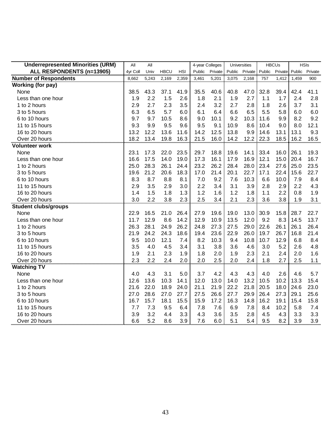| <b>Underrepresented Minorities (URM)</b> | All      | All   |             |            | 4-year Colleges |         |        | Universities |        | <b>HBCUs</b> |       | <b>HSIs</b>    |
|------------------------------------------|----------|-------|-------------|------------|-----------------|---------|--------|--------------|--------|--------------|-------|----------------|
| ALL RESPONDENTS (n=13905)                | 4yr Coll | Univ  | <b>HBCU</b> | <b>HSI</b> | Public          | Private | Public | Private      | Public | Private      |       | Public Private |
| <b>Number of Respondents</b>             | 8,662    | 5,243 | 2,169       | 2,359      | 3,461           | 5,201   | 3,075  | 2,168        | 757    | 1,412        | 1,459 | 900            |
| <b>Working (for pay)</b>                 |          |       |             |            |                 |         |        |              |        |              |       |                |
| None                                     | 38.5     | 43.3  | 37.1        | 41.9       | 35.5            | 40.6    | 40.8   | 47.0         | 32.8   | 39.4         | 42.4  | 41.1           |
| Less than one hour                       | 1.9      | 2.2   | 1.5         | 2.6        | 1.8             | 2.1     | 1.9    | 2.7          | 1.1    | 1.7          | 2.4   | 2.8            |
| 1 to 2 hours                             | 2.9      | 2.7   | 2.3         | 3.5        | 2.4             | 3.2     | 2.7    | 2.8          | 1.8    | 2.6          | 3.7   | 3.1            |
| 3 to 5 hours                             | 6.3      | 6.5   | 5.7         | 6.0        | 6.1             | 6.4     | 6.6    | 6.5          | 5.5    | 5.8          | 6.0   | 6.0            |
| 6 to 10 hours                            | 9.7      | 9.7   | 10.5        | 8.6        | 9.0             | 10.1    | 9.2    | 10.3         | 11.6   | 9.9          | 8.2   | 9.2            |
| 11 to 15 hours                           | 9.3      | 9.9   | 9.5         | 9.6        | 9.5             | 9.1     | 10.9   | 8.6          | 10.4   | 9.0          | 8.0   | 12.1           |
| 16 to 20 hours                           | 13.2     | 12.2  | 13.6        | 11.6       | 14.2            | 12.5    | 13.8   | 9.9          | 14.6   | 13.1         | 13.1  | 9.3            |
| Over 20 hours                            | 18.2     | 13.4  | 19.8        | 16.3       | 21.5            | 16.0    | 14.2   | 12.2         | 22.3   | 18.5         | 16.2  | 16.5           |
| <b>Volunteer work</b>                    |          |       |             |            |                 |         |        |              |        |              |       |                |
| None                                     | 23.1     | 17.3  | 22.0        | 23.5       | 29.7            | 18.8    | 19.6   | 14.1         | 33.4   | 16.0         | 26.1  | 19.3           |
| Less than one hour                       | 16.6     | 17.5  | 14.0        | 19.0       | 17.3            | 16.1    | 17.9   | 16.9         | 12.1   | 15.0         | 20.4  | 16.7           |
| 1 to 2 hours                             | 25.0     | 28.3  | 26.1        | 24.4       | 23.2            | 26.2    | 28.4   | 28.0         | 23.4   | 27.6         | 25.0  | 23.5           |
| 3 to 5 hours                             | 19.6     | 21.2  | 20.6        | 18.3       | 17.0            | 21.4    | 20.1   | 22.7         | 17.1   | 22.4         | 15.6  | 22.7           |
| 6 to 10 hours                            | 8.3      | 8.7   | 8.8         | 8.1        | 7.0             | 9.2     | 7.6    | 10.3         | 6.6    | 10.0         | 7.9   | 8.4            |
| 11 to 15 hours                           | 2.9      | 3.5   | 2.9         | 3.0        | 2.2             | 3.4     | 3.1    | 3.9          | 2.8    | 2.9          | 2.2   | 4.3            |
| 16 to 20 hours                           | 1.4      | 1.5   | 1.8         | 1.3        | 1.2             | 1.6     | 1.2    | 1.8          | 1.1    | 2.2          | 0.8   | 1.9            |
| Over 20 hours                            | 3.0      | 2.2   | 3.8         | 2.3        | 2.5             | 3.4     | 2.1    | 2.3          | 3.6    | 3.8          | 1.9   | 3.1            |
| <b>Student clubs/groups</b>              |          |       |             |            |                 |         |        |              |        |              |       |                |
| None                                     | 22.9     | 16.5  | 21.0        | 26.4       | 27.9            | 19.6    | 19.0   | 13.0         | 30.9   | 15.8         | 28.7  | 22.7           |
| Less than one hour                       | 11.7     | 12.9  | 8.6         | 14.2       | 12.9            | 10.9    | 13.5   | 12.0         | 9.2    | 8.3          | 14.5  | 13.7           |
| 1 to 2 hours                             | 26.3     | 28.1  | 24.9        | 26.2       | 24.8            | 27.3    | 27.5   | 29.0         | 22.6   | 26.1         | 26.1  | 26.4           |
| 3 to 5 hours                             | 21.9     | 24.2  | 24.3        | 18.6       | 19.4            | 23.6    | 22.9   | 26.0         | 19.7   | 26.7         | 16.8  | 21.4           |
| 6 to 10 hours                            | 9.5      | 10.0  | 12.1        | 7.4        | 8.2             | 10.3    | 9.4    | 10.8         | 10.7   | 12.9         | 6.8   | 8.4            |
| 11 to 15 hours                           | 3.5      | 4.0   | 4.5         | 3.4        | 3.1             | 3.8     | 3.6    | 4.6          | 3.0    | 5.2          | 2.6   | 4.8            |
| 16 to 20 hours                           | 1.9      | 2.1   | 2.3         | 1.9        | 1.8             | 2.0     | 1.9    | 2.3          | 2.1    | 2.4          | 2.0   | 1.6            |
| Over 20 hours                            | 2.3      | 2.2   | 2.4         | 2.0        | 2.0             | 2.5     | 2.0    | 2.4          | 1.8    | 2.7          | 2.5   | 1.1            |
| <b>Watching TV</b>                       |          |       |             |            |                 |         |        |              |        |              |       |                |
| None                                     | 4.0      | 4.3   | 3.1         | 5.0        | 3.7             | 4.2     | 4.3    | 4.3          | 4.0    | 2.6          | 4.6   | 5.7            |
| Less than one hour                       | 12.6     | 13.6  | 10.3        | 14.1       | 12.0            | 13.0    | 14.0   | 13.2         | 10.5   | 10.2         | 13.3  | 15.4           |
| 1 to 2 hours                             | 21.6     | 22.0  | 18.9        | 24.0       | 21.1            | 21.9    | 22.2   | 21.8         | 20.5   | 18.0         | 24.6  | 23.0           |
| 3 to 5 hours                             | 27.0     | 28.6  | 27.0        | 27.7       | 27.5            | 26.6    | 27.7   | 29.9         | 26.4   | 27.3         | 29.1  | 25.6           |
| 6 to 10 hours                            | 16.7     | 15.7  | 18.1        | 15.5       | 15.9            | 17.2    | 16.3   | 14.8         | 16.2   | 19.1         | 15.4  | 15.8           |
| 11 to 15 hours                           | 7.7      | 7.3   | 9.5         | 6.4        | 7.8             | 7.6     | 6.9    | 7.8          | 8.4    | 10.2         | 5.8   | 7.4            |
| 16 to 20 hours                           | 3.9      | 3.2   | 4.4         | 3.3        | 4.3             | 3.6     | 3.5    | 2.8          | 4.5    | 4.3          | 3.3   | 3.3            |
| Over 20 hours                            | 6.6      | 5.2   | 8.6         | 3.9        | 7.6             | 6.0     | 5.1    | 5.4          | 9.5    | 8.2          | 3.9   | 3.9            |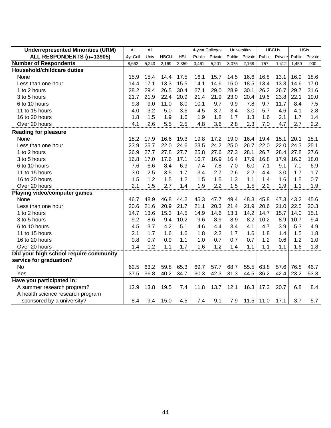| <b>Underrepresented Minorities (URM)</b> | All      | All   |             |            | 4-year Colleges |         |        | Universities |        | <b>HBCUs</b> |        | <b>HSIs</b> |
|------------------------------------------|----------|-------|-------------|------------|-----------------|---------|--------|--------------|--------|--------------|--------|-------------|
| ALL RESPONDENTS (n=13905)                | 4yr Coll | Univ  | <b>HBCU</b> | <b>HSI</b> | Public          | Private | Public | Private      | Public | Private      | Public | Private     |
| <b>Number of Respondents</b>             | 8,662    | 5,243 | 2,169       | 2,359      | 3,461           | 5,201   | 3,075  | 2,168        | 757    | 1,412        | 1,459  | 900         |
| Household/childcare duties               |          |       |             |            |                 |         |        |              |        |              |        |             |
| None                                     | 15.9     | 15.4  | 14.4        | 17.5       | 16.1            | 15.7    | 14.5   | 16.6         | 16.8   | 13.1         | 16.9   | 18.6        |
| Less than one hour                       | 14.4     | 17.1  | 13.3        | 15.5       | 14.1            | 14.6    | 16.0   | 18.5         | 13.4   | 13.3         | 14.6   | 17.0        |
| 1 to 2 hours                             | 28.2     | 29.4  | 26.5        | 30.4       | 27.1            | 29.0    | 28.9   | 30.1         | 26.2   | 26.7         | 29.7   | 31.6        |
| 3 to 5 hours                             | 21.7     | 21.9  | 22.4        | 20.9       | 21.4            | 21.9    | 23.0   | 20.4         | 19.6   | 23.8         | 22.1   | 19.0        |
| 6 to 10 hours                            | 9.8      | 9.0   | 11.0        | 8.0        | 10.1            | 9.7     | 9.9    | 7.8          | 9.7    | 11.7         | 8.4    | 7.5         |
| 11 to 15 hours                           | 4.0      | 3.2   | 5.0         | 3.6        | 4.5             | 3.7     | 3.4    | 3.0          | 5.7    | 4.6          | 4.1    | 2.8         |
| 16 to 20 hours                           | 1.8      | 1.5   | 1.9         | 1.6        | 1.9             | 1.8     | 1.7    | 1.3          | 1.6    | 2.1          | 1.7    | 1.4         |
| Over 20 hours                            | 4.1      | 2.6   | 5.5         | 2.5        | 4.8             | 3.6     | 2.8    | 2.3          | 7.0    | 4.7          | 2.7    | 2.2         |
| <b>Reading for pleasure</b>              |          |       |             |            |                 |         |        |              |        |              |        |             |
| None                                     | 18.2     | 17.9  | 16.6        | 19.3       | 19.8            | 17.2    | 19.0   | 16.4         | 19.4   | 15.1         | 20.1   | 18.1        |
| Less than one hour                       | 23.9     | 25.7  | 22.0        | 24.6       | 23.5            | 24.2    | 25.0   | 26.7         | 22.0   | 22.0         | 24.3   | 25.1        |
| 1 to 2 hours                             | 26.9     | 27.7  | 27.8        | 27.7       | 25.8            | 27.6    | 27.3   | 28.1         | 26.7   | 28.4         | 27.8   | 27.6        |
| 3 to 5 hours                             | 16.8     | 17.0  | 17.6        | 17.1       | 16.7            | 16.9    | 16.4   | 17.9         | 16.8   | 17.9         | 16.6   | 18.0        |
| 6 to 10 hours                            | 7.6      | 6.6   | 8.4         | 6.9        | 7.4             | 7.8     | 7.0    | 6.0          | 7.1    | 9.1          | 7.0    | 6.9         |
| 11 to 15 hours                           | 3.0      | 2.5   | 3.5         | 1.7        | 3.4             | 2.7     | 2.6    | 2.2          | 4.4    | 3.0          | 1.7    | 1.7         |
| 16 to 20 hours                           | 1.5      | 1.2   | 1.5         | 1.2        | 1.5             | 1.5     | 1.3    | 1.1          | 1.4    | 1.6          | 1.5    | 0.7         |
| Over 20 hours                            | 2.1      | 1.5   | 2.7         | 1.4        | 1.9             | 2.2     | 1.5    | 1.5          | 2.2    | 2.9          | 1.1    | 1.9         |
| <b>Playing video/computer games</b>      |          |       |             |            |                 |         |        |              |        |              |        |             |
| None                                     | 46.7     | 48.9  | 46.8        | 44.2       | 45.3            | 47.7    | 49.4   | 48.3         | 45.8   | 47.3         | 43.2   | 45.6        |
| Less than one hour                       | 20.6     | 21.6  | 20.9        | 21.7       | 21.1            | 20.3    | 21.4   | 21.9         | 20.6   | 21.0         | 22.5   | 20.3        |
| 1 to 2 hours                             | 14.7     | 13.6  | 15.3        | 14.5       | 14.9            | 14.6    | 13.1   | 14.2         | 14.7   | 15.7         | 14.0   | 15.1        |
| 3 to 5 hours                             | 9.2      | 8.6   | 9.4         | 10.2       | 9.6             | 8.9     | 8.9    | 8.2          | 10.2   | 8.9          | 10.7   | 9.4         |
| 6 to 10 hours                            | 4.5      | 3.7   | 4.2         | 5.1        | 4.6             | 4.4     | 3.4    | 4.1          | 4.7    | 3.9          | 5.3    | 4.9         |
| 11 to 15 hours                           | 2.1      | 1.7   | 1.6         | 1.6        | 1.8             | 2.2     | 1.7    | 1.6          | 1.8    | 1.4          | 1.5    | 1.8         |
| 16 to 20 hours                           | 0.8      | 0.7   | 0.9         | 1.1        | 1.0             | 0.7     | 0.7    | 0.7          | 1.2    | 0.6          | 1.2    | 1.0         |
| Over 20 hours                            | 1.4      | 1.2   | 1.1         | 1.7        | 1.6             | 1.2     | 1.4    | 1.1          | 1.1    | 1.1          | 1.6    | 1.8         |
| Did your high school require community   |          |       |             |            |                 |         |        |              |        |              |        |             |
| service for graduation?                  |          |       |             |            |                 |         |        |              |        |              |        |             |
| No                                       | 62.5     | 63.2  | 59.8        | 65.3       | 69.7            | 57.7    | 68.7   | 55.5         | 63.8   | 57.6         | 76.8   | 46.7        |
| Yes                                      | 37.5     | 36.8  | 40.2        | 34.7       | 30.3            | 42.3    | 31.3   | 44.5         | 36.2   | 42.4         | 23.2   | 53.3        |
| Have you participated in:                |          |       |             |            |                 |         |        |              |        |              |        |             |
| A summer research program?               | 12.9     | 13.8  | 19.5        | 7.4        | 11.8            | 13.7    | 12.1   | 16.3         | 17.3   | 20.7         | 6.8    | 8.4         |
| A health science research program        |          |       |             |            |                 |         |        |              |        |              |        |             |
| sponsored by a university?               | 8.4      | 9.4   | 15.0        | 4.5        | 7.4             | 9.1     | 7.9    | $11.5$ 11.0  |        | 17.1         | 3.7    | 5.7         |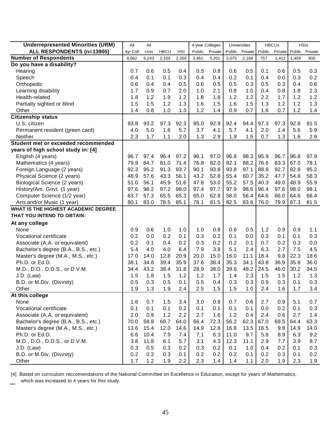| <b>Underrepresented Minorities (URM)</b> | All      | All   |             |            | 4-year Colleges |         |        | Universities |        | <b>HBCUs</b> |       | <b>HSIs</b>    |
|------------------------------------------|----------|-------|-------------|------------|-----------------|---------|--------|--------------|--------|--------------|-------|----------------|
| ALL RESPONDENTS (n=13905)                | 4yr Coll | Univ  | <b>HBCU</b> | <b>HSI</b> | Public          | Private | Public | Private      | Public | Private      |       | Public Private |
| <b>Number of Respondents</b>             | 8,662    | 5,243 | 2,169       | 2,359      | 3,461           | 5,201   | 3,075  | 2,168        | 757    | 1,412        | 1,459 | 900            |
| Do you have a disability?                |          |       |             |            |                 |         |        |              |        |              |       |                |
| Hearing                                  | 0.7      | 0.6   | 0.5         | 0.4        | 0.5             | 0.8     | 0.6    | 0.5          | 0.1    | 0.6          | 0.5   | 0.3            |
| Speech                                   | 0.4      | 0.1   | 0.1         | 0.3        | 0.4             | 0.4     | 0.2    | 0.1          | 0.4    | 0.0          | 0.3   | 0.2            |
| Orthopedic                               | 0.6      | 0.4   | 0.4         | 0.5        | 0.6             | 0.5     | 0.5    | 0.3          | 0.5    | 0.3          | 0.4   | 0.6            |
| Learning disability                      | 1.7      | 0.9   | 0.7         | 2.0        | 1.0             | 2.1     | 0.8    | 1.0          | 0.4    | 0.8          | 1.8   | 2.3            |
| Health-related                           | 1.8      | 1.2   | 1.9         | 1.2        | 1.8             | 1.8     | 1.2    | 1.2          | 2.2    | 1.7          | 1.2   | 1.2            |
| Partially sighted or blind               | 1.5      | 1.5   | 1.2         | 1.3        | 1.6             | 1.5     | 1.6    | 1.5          | 1.3    | 1.2          | 1.2   | 1.3            |
| Other                                    | 1.4      | 0.8   | 1.0         | 1.3        | 1.2             | 1.4     | 0.9    | 0.7          | 1.6    | 0.7          | 1.2   | 1.4            |
| Citizenship status                       |          |       |             |            |                 |         |        |              |        |              |       |                |
| U.S. citizen                             | 93.8     | 93.2  | 97.3        | 92.3       | 95.0            | 92.9    | 92.4   | 94.4         | 97.3   | 97.3         | 92.8  | 91.5           |
| Permanent resident (green card)          | 4.0      | 5.0   | 1.6         | 5.7        | 3.7             | 4.1     | 5.7    | 4.1          | 2.0    | 1.4          | 5.6   | 5.9            |
| Neither                                  | 2.3      | 1.7   | 1.1         | 2.0        | 1.3             | 2.9     | 1.9    | 1.5          | 0.7    | 1.3          | 1.6   | 2.6            |
| Student met or exceeded recommended      |          |       |             |            |                 |         |        |              |        |              |       |                |
| years of high school study in: [4]       |          |       |             |            |                 |         |        |              |        |              |       |                |
| English (4 years)                        | 96.7     | 97.4  | 96.4        | 97.2       | 96.1            | 97.0    | 96.8   | 98.3         | 95.9   | 96.7         | 96.8  | 97.9           |
| Mathematics (4 years)                    | 79.9     | 84.7  | 81.0        | 71.4       | 76.8            | 82.0    | 82.1   | 88.2         | 76.6   | 83.3         | 67.0  | 78.1           |
| Foreign Language (2 years)               | 92.3     | 95.2  | 91.3        | 93.7       | 90.1            | 93.8    | 93.8   | 97.1         | 88.8   | 92.7         | 92.8  | 95.2           |
| Physical Science (2 years)               | 48.9     | 57.6  | 43.3        | 56.1       | 43.2            | 52.8    | 55.4   | 60.7         | 35.2   | 47.7         | 54.8  | 58.3           |
| Biological Science (2 years)             | 51.0     | 56.1  | 45.9        | 51.6       | 47.8            | 53.0    | 55.2   | 57.5         | 40.3   | 49.0         | 48.9  | 55.9           |
| History/Am. Govt. (1 year)               | 97.6     | 98.2  | 97.2        | 98.0       | 97.4            | 97.7    | 97.9   | 98.6         | 96.4   | 97.6         | 98.0  | 98.1           |
| Computer Science (1/2 year)              | 63.7     | 57.3  | 65.5        | 65.3       | 65.0            | 62.8    | 58.0   | 56.4         | 64.6   | 66.0         | 64.6  | 66.4           |
| Arts and/or Music (1 year)               | 80.1     | 83.0  | 78.5        | 85.1       | 78.1            | 81.5    | 82.5   | 83.6         | 76.0   | 79.9         | 87.3  | 81.5           |
| WHAT IS THE HIGHEST ACADEMIC DEGREE      |          |       |             |            |                 |         |        |              |        |              |       |                |
| THAT YOU INTEND TO OBTAIN:               |          |       |             |            |                 |         |        |              |        |              |       |                |
| At any college                           |          |       |             |            |                 |         |        |              |        |              |       |                |
| None                                     | 0.9      | 0.6   | 1.0         | 1.0        | 1.0             | 0.8     | 0.6    | 0.5          | 1.2    | 0.9          | 0.9   | 1.1            |
| Vocational certificate                   | 0.2      | 0.0   | 0.2         | 0.1        | 0.3             | 0.2     | 0.1    | 0.0          | 0.3    | 0.1          | 0.1   | 0.3            |
| Associate (A.A. or equivalent)           | 0.2      | 0.1   | 0.4         | 0.2        | 0.3             | 0.2     | 0.2    | 0.1          | 0.7    | 0.2          | 0.3   | 0.0            |
| Bachelor's degree (B.A., B.S., etc.)     | 5.4      | 4.0   | 4.0         | 6.4        | 7.9             | 3.8     | 5.1    | 2.4          | 6.3    | 2.7          | 7.5   | 4.5            |
| Master's degree (M.A., M.S., etc.)       | 17.0     | 14.0  | 12.8        | 20.9       | 20.0            | 15.0    | 16.0   | 11.1         | 18.4   | 9.8          | 22.3  | 18.6           |
| Ph.D. or Ed.D.                           | 38.1     | 34.8  | 39.4        | 35.9       | 37.6            | 38.4    | 35.3   | 34.1         | 43.8   | 36.9         | 35.8  | 36.0           |
| M.D., D.O., D.D.S., or D.V.M.            | 34.4     | 43.2  | 38.4        | 31.8       | 28.9            | 38.0    | 39.6   | 48.2         | 24.5   | 46.0         | 30.2  | 34.5           |
| $J.D.$ (Law)                             | 1.5      | 1.8   | 1.5         | 1.2        | 1.2             | 1.7     | 1.4    | 2.3          | 1.5    | 1.5          | 1.2   | 1.3            |
| B.D. or M.Div. (Divinity)                | 0.5      | 0.3   | 0.5         | 0.1        | 0.5             | 0.4     | 0.3    | 0.3          | 0.9    | 0.3          | 0.1   | 0.3            |
| Other                                    | 1.9      | 1.3   | 1.9         | 2.4        | 2.5             | 1.5     | 1.5    | 1.0          | 2.4    | 1.6          | 1.7   | 3.4            |
| At this college                          |          |       |             |            |                 |         |        |              |        |              |       |                |
| None                                     | 1.6      | 0.7   | 1.5         | 3.4        | 3.0             | 0.8     | 0.7    | 0.6          | 2.7    | 0.9          | 5.1   | 0.7            |
| Vocational certificate                   | 0.1      | 0.1   | 0.1         | 0.2        | 0.1             | 0.1     | 0.1    | 0.1          | 0.0    | 0.2          | 0.1   | 0.3            |
| Associate (A.A. or equivalent)           | 2.0      | 0.9   | 1.2         | 2.2        | 2.7             | 1.6     | 1.2    | 0.4          | 2.4    | 0.6          | 2.7   | 1.4            |
| Bachelor's degree (B.A., B.S., etc.)     | 70.0     | 58.8  | 68.7        | 64.0       | 66.4            | 72.3    | 56.2   | 62.3         | 67.0   | 69.5         | 64.4  | 63.3           |
| Master's degree (M.A., M.S., etc.)       | 13.6     | 15.4  | 12.0        | 14.6       | 14.9            | 12.8    | 16.8   | 13.5         | 16.5   | 9.8          | 14.9  | 14.0           |
| Ph.D. or Ed.D.                           | 6.6      | 10.4  | 7.9         | 7.4        | 7.1             | 6.3     | 11.0   | 9.7          | 5.8    | 8.9          | 6.3   | 9.2            |
| M.D., D.O., D.D.S., or D.V.M.            | 3.8      | 11.8  | 6.1         | 5.7        | 3.1             | 4.3     | 12.3   | 11.1         | 2.9    | 7.7          | 3.9   | 8.7            |
| J.D. (Law)                               | 0.3      | 0.5   | 0.3         | 0.2        | 0.3             | 0.2     | 0.1    | 1.0          | 0.4    | 0.2          | 0.1   | 0.3            |
| B.D. or M.Div. (Divinity)                | 0.2      | 0.2   | 0.3         | 0.1        | 0.2             | 0.2     | 0.2    | 0.1          | 0.2    | 0.3          | 0.1   | 0.2            |
| Other                                    | 1.7      | 1.2   | 1.9         | 2.2        | 2.3             | 1.4     | 1.4    | 1.1          | 2.0    | 1.9          | 2.3   | 1.9            |

[4] Based on curriculum reccomendations of the National Committee on Excellence in Education, except for years of Mathematics, which was increased to 4 years for this study.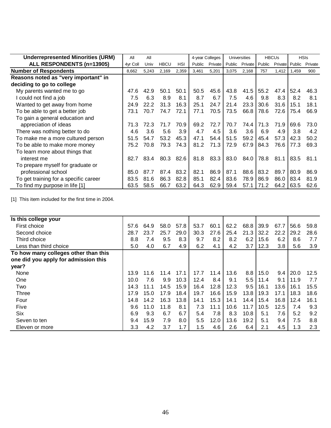| <b>Underrepresented Minorities (URM)</b> | All      | All   |             |       |        | 4-year Colleges |        | Universities   |        | <b>HBCUs</b> |                | <b>HSIs</b> |
|------------------------------------------|----------|-------|-------------|-------|--------|-----------------|--------|----------------|--------|--------------|----------------|-------------|
| ALL RESPONDENTS (n=13905)                | 4yr Coll | Univ  | <b>HBCU</b> | HSI   | Public | Private         | Public | <b>Private</b> | Public |              | Private Public | Private     |
| <b>Number of Respondents</b>             | 8,662    | 5,243 | 2,169       | 2,359 | 3,461  | 5,201           | 3,075  | 2,168          | 757    | 1,412        | 1,459          | 900         |
| Reasons noted as "very important" in     |          |       |             |       |        |                 |        |                |        |              |                |             |
| deciding to go to college                |          |       |             |       |        |                 |        |                |        |              |                |             |
| My parents wanted me to go               | 47.6     | 42.9  | 50.1        | 50.1  | 50.5   | 45.6            | 43.8   | 41.5           | 55.2   | 47.4         | 52.4           | 46.3        |
| I could not find a job                   | 7.5      | 6.3   | 8.9         | 8.1   | 8.7    | 6.7             | 7.5    | 4.6            | 9.8    | 8.3          | 8.2            | 8.1         |
| Wanted to get away from home             | 24.9     | 22.2  | 31.3        | 16.3  | 25.1   | 24.7            | 21.4   | 23.3           | 30.6   | 31.6         | 15.1           | 18.1        |
| To be able to get a better job           | 73.1     | 70.7  | 74.7        | 72.1  | 77.1   | 70.5            | 73.5   | 66.8           | 78.6   | 72.6         | 75.4           | 66.9        |
| To gain a general education and          |          |       |             |       |        |                 |        |                |        |              |                |             |
| appreciation of ideas                    | 71.3     | 72.3  | 71.7        | 70.9  | 69.2   | 72.7            | 70.7   | 74.4           | 71.3   | 71.9         | 69.6           | 73.0        |
| There was nothing better to do           | 4.6      | 3.6   | 5.6         | 3.9   | 4.7    | 4.5             | 3.6    | 3.6            | 6.9    | 4.9          | 3.8            | 4.2         |
| To make me a more cultured person        | 51.5     | 54.7  | 53.2        | 45.3  | 47.1   | 54.4            | 51.5   | 59.2           | 45.4   | 57.3         | 42.3           | 50.2        |
| To be able to make more money            | 75.2     | 70.8  | 79.3        | 74.3  | 81.2   | 71.3            | 72.9   | 67.9           | 84.3   | 76.6         | 77.3           | 69.3        |
| To learn more about things that          |          |       |             |       |        |                 |        |                |        |              |                |             |
| interest me                              | 82.7     | 83.4  | 80.3        | 82.6  | 81.8   | 83.3            | 83.0   | 84.0           | 78.8   | 81.1         | 83.5           | 81.1        |
| To prepare myself for graduate or        |          |       |             |       |        |                 |        |                |        |              |                |             |
| professional school                      | 85.0     | 87.7  | 87.4        | 83.2  | 82.1   | 86.9            | 87.1   | 88.6           | 83.2   | 89.7         | 80.9           | 86.9        |
| To get training for a specific career    | 83.5     | 81.6  | 86.3        | 82.8  | 85.1   | 82.4            | 83.6   | 78.9           | 86.9   | 86.0         | 83.4           | 81.9        |
| To find my purpose in life [1]           | 63.5     | 58.5  | 66.7        | 63.2  | 64.3   | 62.9            | 59.4   | 57.1           | 71.2   | 64.2         | 63.5           | 62.6        |

| Is this college your                 |      |      |      |      |      |      |      |      |      |      |      |      |
|--------------------------------------|------|------|------|------|------|------|------|------|------|------|------|------|
| First choice                         | 57.6 | 64.9 | 58.0 | 57.8 | 53.7 | 60.1 | 62.2 | 68.8 | 39.9 | 67.7 | 56.6 | 59.8 |
| Second choice                        | 28.7 | 23.7 | 25.7 | 29.0 | 30.3 | 27.6 | 25.4 | 21.3 | 32.2 | 22.2 | 29.2 | 28.6 |
| Third choice                         | 8.8  | 7.4  | 9.5  | 8.3  | 9.7  | 8.2  | 8.2  | 6.2  | 15.6 | 6.2  | 8.6  | 7.7  |
| Less than third choice               | 5.0  | 4.0  | 6.7  | 4.9  | 6.2  | 4.1  | 4.2  | 3.7  | 12.3 | 3.8  | 5.6  | 3.9  |
| To how many colleges other than this |      |      |      |      |      |      |      |      |      |      |      |      |
| one did you apply for admission this |      |      |      |      |      |      |      |      |      |      |      |      |
| year?                                |      |      |      |      |      |      |      |      |      |      |      |      |
| None                                 | 13.9 | 11.6 | 11.4 | 17.1 | 17.7 | 11.4 | 13.6 | 8.8  | 15.0 | 9.4  | 20.0 | 12.5 |
| One                                  | 10.0 | 7.6  | 9.9  | 10.3 | 12.4 | 8.4  | 9.1  | 5.5  | 11.4 | 9.1  | 11.9 | 7.7  |
| Two                                  | 14.3 | 11.1 | 14.5 | 15.9 | 16.4 | 12.8 | 12.3 | 9.5  | 16.1 | 13.6 | 16.1 | 15.5 |
| Three                                | 17.9 | 15.0 | 17.9 | 18.4 | 19.7 | 16.6 | 15.9 | 13.8 | 19.3 | 17.1 | 18.3 | 18.6 |
| Four                                 | 14.8 | 14.2 | 16.3 | 13.8 | 14.1 | 15.3 | 14.1 | 14.4 | 15.4 | 16.8 | 12.4 | 16.1 |
| Five                                 | 9.6  | 11.0 | 11.8 | 8.1  | 7.3  | 11.1 | 10.6 | 11.7 | 10.5 | 12.5 | 7.4  | 9.3  |
| Six                                  | 6.9  | 9.3  | 6.7  | 6.7  | 5.4  | 7.8  | 8.3  | 10.8 | 5.1  | 7.6  | 5.2  | 9.2  |
| Seven to ten                         | 9.4  | 15.9 | 7.9  | 8.0  | 5.5  | 12.0 | 13.6 | 19.2 | 5.1  | 9.4  | 7.5  | 8.8  |
| Eleven or more                       | 3.3  | 4.2  | 3.7  | 1.7  | 1.5  | 4.6  | 2.6  | 6.4  | 2.1  | 4.5  | 1.3  | 2.3  |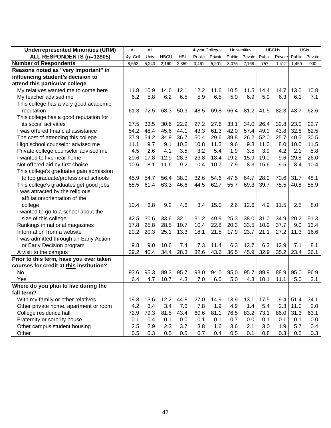| <b>Underrepresented Minorities (URM)</b> | All      | All   |             |            | 4-year Colleges |         |        | Universities |        | <b>HBCUs</b> | <b>HSIs</b> |         |
|------------------------------------------|----------|-------|-------------|------------|-----------------|---------|--------|--------------|--------|--------------|-------------|---------|
| ALL RESPONDENTS (n=13905)                | 4yr Coll | Univ  | <b>HBCU</b> | <b>HSI</b> | Public          | Private | Public | Private      | Public | Private      | Public      | Private |
| <b>Number of Respondents</b>             | 8,662    | 5,243 | 2,169       | 2,359      | 3,461           | 5,201   | 3,075  | 2,168        | 757    | 1,412        | 1,459       | 900     |
| Reasons noted as "very important" in     |          |       |             |            |                 |         |        |              |        |              |             |         |
| influencing student's decision to        |          |       |             |            |                 |         |        |              |        |              |             |         |
| attend this particular college           |          |       |             |            |                 |         |        |              |        |              |             |         |
| My relatives wanted me to come here      | 11.8     | 10.9  | 14.6        | 12.1       | 12.2            | 11.6    | 10.5   | 11.5         | 14.4   | 14.7         | 13.0        | 10.8    |
| My teacher advised me                    | 6.2      | 5.8   | 6.2         | 6.5        | 5.9             | 6.5     | 5.0    | 6.9          | 5.9    | 6.3          | 6.1         | 7.1     |
| This college has a very good academic    |          |       |             |            |                 |         |        |              |        |              |             |         |
| reputation                               | 61.3     | 72.5  | 68.3        | 50.9       | 48.5            | 69.8    | 66.4   | 81.2         | 41.5   | 82.3         | 43.7        | 62.6    |
| This college has a good reputation for   |          |       |             |            |                 |         |        |              |        |              |             |         |
| its social activities                    | 27.5     | 33.5  | 30.6        | 22.9       | 27.2            | 27.6    | 33.1   | 34.0         | 26.4   | 32.8         | 23.0        | 22.7    |
| I was offered financial assistance       | 54.2     | 48.4  | 45.6        | 44.1       | 43.3            | 61.3    | 42.0   | 57.4         | 49.0   | 43.8         | 32.8        | 62.5    |
| The cost of attending this college       | 37.9     | 34.2  | 34.9        | 36.7       | 50.4            | 29.6    | 39.8   | 26.2         | 52.0   | 25.7         | 40.5        | 30.5    |
| High school counselor advised me         | 11.1     | 9.7   | 9.1         | 10.6       | 10.8            | 11.2    | 9.6    | 9.8          | 11.0   | 8.0          | 10.0        | 11.5    |
| Private college counselor advised me     | 4.5      | 2.6   | 4.1         | 3.5        | 3.2             | 5.4     | 1.9    | 3.5          | 3.9    | 4.2          | 2.1         | 5.8     |
| I wanted to live near home               | 20.6     | 17.8  | 12.9        | 28.3       | 23.8            | 18.4    | 19.2   | 15.9         | 19.0   | 9.6          | 29.8        | 26.0    |
| Not offered aid by first choice          | 10.6     | 8.1   | 11.6        | 9.2        | 10.4            | 10.7    | 7.9    | 8.3          | 15.6   | 9.5          | 8.4         | 10.4    |
| This college's graduates gain admission  |          |       |             |            |                 |         |        |              |        |              |             |         |
| to top graduate/professional schools     | 45.9     | 54.7  | 56.4        | 38.0       | 32.6            | 54.6    | 47.5   | 64.7         | 28.9   | 70.6         | 31.7        | 48.1    |
| This college's graduates get good jobs   | 55.5     | 61.4  | 63.3        | 46.6       | 44.5            | 62.7    | 55.7   | 69.3         | 39.7   | 75.5         | 40.8        | 55.9    |
| I was attracted by the religious         |          |       |             |            |                 |         |        |              |        |              |             |         |
| affiliation/orientation of the           |          |       |             |            |                 |         |        |              |        |              |             |         |
| college                                  | 10.4     | 6.8   | 9.2         | 4.6        | 3.4             | 15.0    | 2.6    | 12.6         | 4.9    | 11.5         | 2.5         | 8.0     |
| I wanted to go to a school about the     |          |       |             |            |                 |         |        |              |        |              |             |         |
| size of this college                     | 42.5     | 30.6  | 33.6        | 32.1       | 31.2            | 49.9    | 25.3   | 38.0         | 31.0   | 34.9         | 20.2        | 51.3    |
| Rankings in national magazines           | 17.8     | 25.8  | 28.5        | 10.7       | 10.4            | 22.8    | 20.3   | 33.5         | 10.9   | 37.7         | 9.0         | 13.4    |
| Information from a website               | 20.2     | 20.3  | 25.1        | 13.3       | 18.1            | 21.5    | 17.9   | 23.7         | 21.1   | 27.2         | 11.3        | 16.6    |
| I was admitted through an Early Action   |          |       |             |            |                 |         |        |              |        |              |             |         |
| or Early Decision program                | 9.8      | 9.0   | 10.6        | 7.4        | 7.3             | 11.4    | 6.3    | 12.7         | 6.3    | 12.9         | 7.1         | 8.1     |
| A visit to the campus                    | 39.2     | 40.4  | 34.4        | 28.3       | 32.6            | 43.6    | 36.5   | 45.9         | 32.9   | 35.2         | 23.4        | 36.1    |
| Prior to this term, have you ever taken  |          |       |             |            |                 |         |        |              |        |              |             |         |
| courses for credit at this institution?  |          |       |             |            |                 |         |        |              |        |              |             |         |
| <b>No</b>                                | 93.6     | 95.3  | 89.3        | 95.7       | 93.0            | 94.0    | 95.0   | 95.7         | 89.9   | 88.9         | 95.0        | 96.9    |
| Yes                                      | 6.4      | 4.7   | 10.7        | 4.3        | 7.0             | 6.0     | 5.0    | 4.3          | 10.1   | 11.1         | 5.0         | 3.1     |
| Where do you plan to live during the     |          |       |             |            |                 |         |        |              |        |              |             |         |
| fall term?                               |          |       |             |            |                 |         |        |              |        |              |             |         |
| With my family or other relatives        | 19.8     | 13.6  | 12.2        | 44.8       | 27.0            | 14.9    | 13.9   | 13.1         | 17.5   | 9.4          | 51.4        | 34.1    |
| Other private home, apartment or room    | 4.2      | 3.4   | 3.4         | 7.6        | 7.8             | 1.9     | 4.9    | 1.4          | 5.4    | 2.3          | 11.0        | 2.0     |
| College residence hall                   | 72.9     | 79.3  | 81.5        | 43.4       | 60.6            | 81.1    | 76.5   | 83.2         | 73.1   | 86.0         | 31.3        | 63.1    |
| Fraternity or sorority house             | 0.1      | 0.4   | 0.1         | 0.0        | 0.1             | 0.1     | 0.7    | 0.0          | 0.1    | 0.1          | 0.1         | 0.0     |
| Other campus student housing             | 2.5      | 2.9   | 2.3         | 3.7        | 3.8             | 1.6     | 3.6    | 2.1          | 3.0    | 1.9          | 5.7         | 0.4     |
| Other                                    | 0.5      | 0.3   | 0.5         | 0.5        | 0.7             | 0.4     | 0.5    | 0.1          | 0.8    | 0.3          | 0.5         | 0.3     |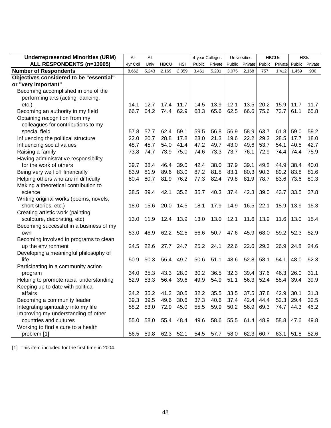| <b>Underrepresented Minorities (URM)</b> | All      | All       |             |           |        | 4-year Colleges |        | Universities |             | <b>HBCUs</b> |       | <b>HSIs</b>            |
|------------------------------------------|----------|-----------|-------------|-----------|--------|-----------------|--------|--------------|-------------|--------------|-------|------------------------|
| ALL RESPONDENTS (n=13905)                | 4yr Coll | Univ      | <b>HBCU</b> | HSI       | Public | Private         | Public | Private      | Public      |              |       | Private Public Private |
| <b>Number of Respondents</b>             | 8,662    | 5,243     | 2,169       | 2,359     | 3,461  | 5,201           | 3,075  | 2,168        | 757         | 1,412        | 1,459 | 900                    |
| Objectives considered to be "essential"  |          |           |             |           |        |                 |        |              |             |              |       |                        |
| or "very important"                      |          |           |             |           |        |                 |        |              |             |              |       |                        |
| Becoming accomplished in one of the      |          |           |             |           |        |                 |        |              |             |              |       |                        |
| performing arts (acting, dancing,        |          |           |             |           |        |                 |        |              |             |              |       |                        |
| etc.)                                    | 14.1     | 12.7      | 17.4        | 11.7      | 14.5   | 13.9            | 12.1   | 13.5         | 20.2        | 15.9         | 11.7  | 11.7                   |
| Becoming an authority in my field        | 66.7     | 64.2      | 74.4        | 62.9      | 68.3   | 65.6            | 62.5   | 66.6         | 75.6        | 73.7         | 61.1  | 65.8                   |
| Obtaining recognition from my            |          |           |             |           |        |                 |        |              |             |              |       |                        |
| colleagues for contributions to my       |          |           |             |           |        |                 |        |              |             |              |       |                        |
| special field                            | 57.8     | 57.7      | 62.4        | 59.1      | 59.5   | 56.8            | 56.9   | 58.9         | 63.7        | 61.8         | 59.0  | 59.2                   |
| Influencing the political structure      | 22.0     | 20.7      | 28.8        | 17.8      | 23.0   | 21.3            | 19.6   | 22.2         | 29.3        | 28.5         | 17.7  | 18.0                   |
| Influencing social values                | 48.7     | 45.7      | 54.0        | 41.4      | 47.2   | 49.7            | 43.0   | 49.6         | 53.7        | 54.1         | 40.5  | 42.7                   |
| Raising a family                         | 73.8     | 74.7      | 73.9        | 75.0      | 74.6   | 73.3            | 73.7   | 76.1         | 72.9        | 74.4         | 74.4  | 75.9                   |
| Having administrative responsibility     |          |           |             |           |        |                 |        |              |             |              |       |                        |
| for the work of others                   | 39.7     | 38.4      | 46.4        | 39.0      | 42.4   | 38.0            | 37.9   | 39.1         | 49.2        | 44.9         | 38.4  | 40.0                   |
| Being very well off financially          | 83.9     | 81.9      | 89.6        | 83.0      | 87.2   | 81.8            | 83.1   | 80.3         | 90.3        | 89.2         | 83.8  | 81.6                   |
| Helping others who are in difficulty     | 80.4     | 80.7      | 81.9        | 76.2      | 77.3   | 82.4            | 79.8   | 81.9         | 78.7        | 83.6         | 73.6  | 80.3                   |
| Making a theoretical contribution to     |          |           |             |           |        |                 |        |              |             |              |       |                        |
| science                                  | 38.5     | 39.4      | 42.1        | 35.2      | 35.7   | 40.3            | 37.4   | 42.3         | 39.0        | 43.7         | 33.5  | 37.8                   |
| Writing original works (poems, novels,   |          |           |             |           |        |                 |        |              |             |              |       |                        |
| short stories, etc.)                     | 18.0     | 15.6      | 20.0        | 14.5      | 18.1   | 17.9            | 14.9   | 16.5         | 22.1        | 18.9         | 13.9  | 15.3                   |
| Creating artistic work (painting,        |          |           |             |           |        |                 |        |              |             |              |       |                        |
| sculpture, decorating, etc)              | 13.0     | 11.9      | 12.4        | 13.9      | 13.0   | 13.0            | 12.1   | 11.6         | 13.9        | 11.6         | 13.0  | 15.4                   |
| Becoming successful in a business of my  |          |           |             |           |        |                 |        |              |             |              |       |                        |
| own                                      | 53.0     | 46.9      | 62.2        | 52.5      | 56.6   | 50.7            | 47.6   | 45.9         | 68.0        | 59.2         | 52.3  | 52.9                   |
| Becoming involved in programs to clean   |          |           |             |           |        |                 |        |              |             |              |       |                        |
| up the environment                       | 24.5     | 22.6      | 27.7        | 24.7      | 25.2   | 24.1            | 22.6   | 22.6         | 29.3        | 26.9         | 24.8  | 24.6                   |
| Developing a meaningful philosophy of    |          |           |             |           |        |                 |        |              |             |              |       |                        |
| life                                     | 50.9     | 50.3      | 55.4        | 49.7      | 50.6   | 51.1            | 48.6   | 52.8         | 58.1        | 54.1         | 48.0  | 52.3                   |
| Participating in a community action      |          |           |             |           |        |                 |        |              |             |              |       |                        |
| program                                  | 34.0     | 35.3      | 43.3        | 28.0      | 30.2   | 36.5            | 32.3   | 39.4         | 37.6        | 46.3         | 26.0  | 31.1                   |
| Helping to promote racial understanding  | 52.9     | 53.3      | 56.4        | 39.6      | 49.9   | 54.9            | 51.1   | 56.3         | 52.4        | 58.4         | 39.4  | 39.9                   |
| Keeping up to date with political        |          |           |             |           |        |                 |        |              |             |              |       |                        |
| affairs                                  | 34.2     | 35.2      | 41.2        | 30.5      | 32.2   | 35.5            | 33.5   |              | $37.5$ 37.8 | $42.9$ 30.1  |       | 31.3                   |
| Becoming a community leader              |          | 39.3 39.5 | 49.6 30.6   |           | 37.3   | 40.6            | 37.4   | $42.4$ 44.4  |             | 52.3         | 29.4  | 32.5                   |
| Integrating spirituality into my life    |          | 58.2 53.0 | 72.9 45.0   |           | 55.5   | 59.9            | 50.2   | 56.9         | 69.3        | 74.7         | 44.3  | 46.2                   |
| Improving my understanding of other      |          |           |             |           |        |                 |        |              |             |              |       |                        |
| countries and cultures                   |          | 55.0 58.0 | 55.4 48.4   |           | 49.6   | 58.6            | 55.5   | $61.4$ 48.9  |             | 58.8         | 47.6  | 49.8                   |
| Working to find a cure to a health       |          |           |             |           |        |                 |        |              |             |              |       |                        |
| problem [1]                              | 56.5     | 59.8      |             | 62.3 52.1 | 54.5   | 57.7            | 58.0   |              | 62.3   60.7 | $63.1$ 51.8  |       | 52.6                   |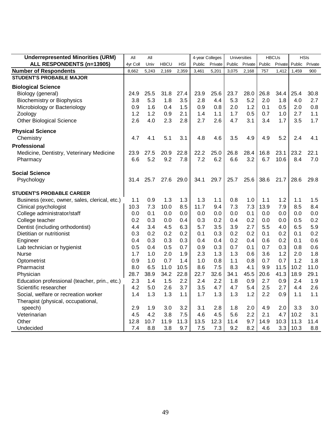| <b>Underrepresented Minorities (URM)</b>      | All      | All   |             |            | 4-year Colleges |         |        | <b>Universities</b> |        | <b>HBCUs</b> | <b>HSIs</b> |         |
|-----------------------------------------------|----------|-------|-------------|------------|-----------------|---------|--------|---------------------|--------|--------------|-------------|---------|
| ALL RESPONDENTS (n=13905)                     | 4yr Coll | Univ  | <b>HBCU</b> | <b>HSI</b> | Public          | Private | Public | Private             | Public | Private      | Public      | Private |
| <b>Number of Respondents</b>                  | 8,662    | 5,243 | 2,169       | 2,359      | 3,461           | 5,201   | 3,075  | 2,168               | 757    | 1,412        | 1,459       | 900     |
| <b>STUDENT'S PROBABLE MAJOR</b>               |          |       |             |            |                 |         |        |                     |        |              |             |         |
| <b>Biological Science</b>                     |          |       |             |            |                 |         |        |                     |        |              |             |         |
| Biology (general)                             | 24.9     | 25.5  | 31.8        | 27.4       | 23.9            | 25.6    | 23.7   | 28.0                | 26.8   | 34.4         | 25.4        | 30.8    |
| <b>Biochemistry or Biophysics</b>             | 3.8      | 5.3   | 1.8         | 3.5        | 2.8             | 4.4     | 5.3    | 5.2                 | 2.0    | 1.8          | 4.0         | 2.7     |
| Microbiology or Bacteriology                  | 0.9      | 1.6   | 0.4         | 1.5        | 0.9             | 0.8     | 2.0    | 1.2                 | 0.1    | 0.5          | 2.0         | 0.8     |
| Zoology                                       | 1.2      | 1.2   | 0.9         | 2.1        | 1.4             | 1.1     | 1.7    | 0.5                 | 0.7    | 1.0          | 2.7         | 1.1     |
| <b>Other Biological Science</b>               | 2.6      | 4.0   | 2.3         | 2.8        | 2.7             | 2.6     | 4.7    | 3.1                 | 3.4    | 1.7          | 3.5         | 1.7     |
| <b>Physical Science</b>                       |          |       |             |            |                 |         |        |                     |        |              |             |         |
| Chemistry                                     | 4.7      | 4.1   | 5.1         | 3.1        | 4.8             | 4.6     | 3.5    | 4.9                 | 4.9    | 5.2          | 2.4         | 4.1     |
| Professional                                  |          |       |             |            |                 |         |        |                     |        |              |             |         |
| Medicine, Dentistry, Veterinary Medicine      | 23.9     | 27.5  | 20.9        | 22.8       | 22.2            | 25.0    | 26.8   | 28.4                | 16.8   | 23.1         | 23.2        | 22.1    |
| Pharmacy                                      | 6.6      | 5.2   | 9.2         | 7.8        | 7.2             | 6.2     | 6.6    | 3.2                 | 6.7    | 10.6         | 8.4         | 7.0     |
| <b>Social Science</b>                         |          |       |             |            |                 |         |        |                     |        |              |             |         |
| Psychology                                    | 31.4     | 25.7  | 27.6        | 29.0       | 34.1            | 29.7    | 25.7   | 25.6                | 38.6   | 21.7         | 28.6        | 29.8    |
| <b>STUDENT'S PROBABLE CAREER</b>              |          |       |             |            |                 |         |        |                     |        |              |             |         |
| Business (exec, owner, sales, clerical, etc.) | 1.1      | 0.9   | 1.3         | 1.3        | 1.3             | 1.1     | 0.8    | 1.0                 | 1.1    | 1.2          | 1.1         | 1.5     |
| Clinical psychologist                         | 10.3     | 7.3   | 10.0        | 8.5        | 11.7            | 9.4     | 7.3    | 7.3                 | 13.9   | 7.9          | 8.5         | 8.4     |
| College administrator/staff                   | 0.0      | 0.1   | 0.0         | 0.0        | 0.0             | 0.0     | 0.0    | 0.1                 | 0.0    | 0.0          | 0.0         | 0.0     |
| College teacher                               | 0.2      | 0.3   | 0.0         | 0.4        | 0.3             | 0.2     | 0.4    | 0.2                 | 0.0    | 0.0          | 0.5         | 0.2     |
| Dentist (including orthodontist)              | 4.4      | 3.4   | 4.5         | 6.3        | 5.7             | 3.5     | 3.9    | 2.7                 | 5.5    | 4.0          | 6.5         | 5.9     |
| Dietitian or nutritionist                     | 0.3      | 0.2   | 0.2         | 0.2        | 0.1             | 0.3     | 0.2    | 0.2                 | 0.1    | 0.2          | 0.1         | 0.2     |
| Engineer                                      | 0.4      | 0.3   | 0.3         | 0.3        | 0.4             | 0.4     | 0.2    | 0.4                 | 0.6    | 0.2          | 0.1         | 0.6     |
| Lab technician or hygienist                   | 0.5      | 0.4   | 0.5         | 0.7        | 0.9             | 0.3     | 0.7    | 0.1                 | 0.7    | 0.3          | 0.8         | 0.6     |
| <b>Nurse</b>                                  | 1.7      | 1.0   | 2.0         | 1.9        | 2.3             | 1.3     | 1.3    | 0.6                 | 3.6    | 1.2          | 2.0         | 1.8     |
| Optometrist                                   | 0.9      | 1.0   | 0.7         | 1.4        | 1.0             | 0.8     | 1.1    | 0.8                 | 0.7    | 0.7          | 1.2         | 1.8     |
| Pharmacist                                    | 8.0      | 6.5   | 11.0        | 10.5       | 8.6             | 7.5     | 8.3    | 4.1                 | 9.9    | 11.5         | 10.2        | 11.0    |
| Physician                                     | 28.7     | 38.9  | 34.2        | 22.8       | 22.7            | 32.6    | 34.1   | 45.5                | 20.6   | 41.3         | 18.9        | 29.1    |
| Education professional (teacher, prin., etc.) | 2.3      | 1.4   | 1.5         | 2.2        | 2.4             | 2.2     | 1.8    | 0.9                 | 2.7    | 0.9          | 2.4         | 1.9     |
| Scientific researcher                         | 4.2      | 5.0   | 2.6         | 3.7        | 3.5             | 4.7     | 4.7    | 5.4                 | 2.5    | 2.7          | 4.4         | 2.6     |
| Social, welfare or recreation worker          | 1.4      | 1.3   | 1.3         | 1.1        | 1.7             | 1.3     | 1.3    | 1.2                 | 2.2    | 0.9          | 1.1         | 1.1     |
| Therapist (physical, occupational,            |          |       |             |            |                 |         |        |                     |        |              |             |         |
| speech)                                       | 2.9      | 1.9   | 3.0         | 3.2        | 3.1             | 2.8     | 1.8    | 2.0                 | 4.9    | 2.0          | 3.3         | 3.0     |
| Veterinarian                                  | 4.5      | 4.2   | 3.8         | 7.5        | 4.6             | 4.5     | 5.6    | 2.2                 | 2.1    | 4.7          | 10.2        | 3.1     |
| Other                                         | 12.8     | 10.7  | 11.9        | 11.3       | 13.5            | 12.3    | 11.4   | 9.7                 | 14.9   | 10.3         | 11.3        | 11.4    |
| Undecided                                     | 7.4      | 8.8   | 3.8         | 9.7        | 7.5             | 7.3     | 9.2    | 8.2                 | 4.6    | 3.3          | 10.3        | 8.8     |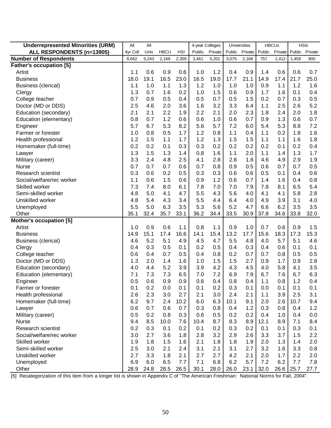| <b>Underrepresented Minorities (URM)</b>    | All        | All        |             |            | 4-year Colleges |            |            | Universities |             | <b>HBCUs</b> |            | <b>HSIs</b>    |
|---------------------------------------------|------------|------------|-------------|------------|-----------------|------------|------------|--------------|-------------|--------------|------------|----------------|
| ALL RESPONDENTS (n=13905)                   | 4yr Coll   | Univ       | <b>HBCU</b> | <b>HSI</b> | Public          | Private    | Public     | Private      | Public      | Private      |            | Public Private |
| <b>Number of Respondents</b>                | 8,662      | 5,243      | 2,169       | 2,359      | 3,461           | 5,201      | 3,075      | 2,168        | 757         | 1,412        | 1,459      | 900            |
| <b>Father's occupation [5]</b>              |            |            |             |            |                 |            |            |              |             |              |            |                |
| Artist                                      | 1.1        | 0.6        | 0.9         | 0.6        | 1.0             | 1.2        | 0.4        | 0.9          | 1.4         | 0.6          | 0.6        | 0.7            |
| <b>Business</b>                             | 18.0       | 19.1       | 16.5        | 23.0       | 16.5            | 19.0       | 17.7       | 21.1         | 14.9        | 17.4         | 21.7       | 25.0           |
| <b>Business (clerical)</b>                  | 1.1        | 1.0        | 1.1         | 1.3        | 1.2             | 1.0        | 1.0        | 1.0          | 0.9         | 1.1          | 1.2        | 1.6            |
| Clergy                                      | 1.3        | 0.7        | 1.6         | 0.2        | 1.0             | 1.5        | 0.6        | 0.9          | 1.7         | 1.6          | 0.1        | 0.4            |
| College teacher                             | 0.7        | 0.9        | 0.5         | 0.4        | 0.5             | 0.7        | 0.5        | 1.5          | 0.2         | 0.7          | 0.3        | 0.5            |
| Doctor (MD or DDS)                          | 2.5        | 4.6        | 2.0         | 3.6        | 1.6             | 3.2        | 3.3        | 6.4          | 1.1         | 2.5          | 2.6        | 5.2            |
| Education (secondary)                       | 2.1        | 2.1        | 2.2         | 1.9        | 2.2             | 2.1        | 2.0        | 2.3          | 1.8         | 2.4          | 2.0        | 1.8            |
| Education (elementary)                      | 0.8        | 0.7        | 1.2         | 0.6        | 0.6             | 1.0        | 0.6        | 0.7          | 0.9         | 1.3          | 0.6        | 0.7            |
| Engineer                                    | 5.7        | 6.7        | 5.3         | 8.2        | 5.6             | 5.7        | 7.2        | 6.0          | 5.4         | 5.3          | 8.8        | 7.2            |
| Farmer or forester                          | 1.0        | 0.8        | 0.5         | 1.7        | 1.2             | 0.8        | 1.1        | 0.4          | 1.1         | 0.2          | 1.8        | 1.6            |
| Health professional                         | 1.2        | 1.5        | 1.1         | 1.7        | 1.2             | 1.3        | 1.5        | 1.5          | 1.1         | 1.1          | 1.6        | 1.8            |
| Homemaker (full-time)                       | 0.2        | 0.2        | 0.1         | 0.3        | 0.3             | 0.2        | 0.2        | 0.2          | 0.2         | 0.1          | 0.2        | 0.4            |
| Lawyer                                      | 1.3        | 1.5        | 1.3         | 1.4        | 0.8             | 1.6        | 1.1        | 2.0          | 1.1         | 1.4          | 1.3        | 1.7            |
| Military (career)                           | 3.3        | 2.4        | 4.8         | 2.5        | 4.1             | 2.8        | 2.8        | 1.8          | 4.6         | 4.9          | 2.9        | 1.9            |
| <b>Nurse</b>                                | 0.7        | 0.7        | 0.7         | 0.6        | 0.7             | 0.8        | 0.9        | 0.5          | 0.6         | 0.7          | 0.7        | 0.5            |
| Research scientist                          | 0.3        | 0.6        | 0.2         | 0.5        | 0.3             | 0.3        | 0.6        | 0.6          | 0.5         | 0.1          | 0.4        | 0.6            |
| Social/welfare/rec worker                   | 1.1        | 0.6        | 1.5         | 0.6        | 0.9             | 1.2        | 0.6        | 0.7          | 1.4         | 1.6          | 0.4        | 0.8            |
| Skilled worker                              | 7.3        | 7.4        | 8.0         | 6.1        | 7.8             | 7.0        | 7.0        | 7.9          | 7.8         | 8.1          | 6.5        | 5.4            |
| Semi-skilled worker                         | 4.8        | 5.0        | 4.1         | 4.7        | 5.5             | 4.3        | 5.6        | 4.0          | 4.1         | 4.1          | 5.8        | 2.8            |
| Unskilled worker                            | 4.8        | 5.4        | 4.3         | 3.4        | 5.5             | 4.4        | 6.4        | 4.0          | 4.9         | 3.9          | 3.1        | 4.0            |
| Unemployed                                  | 5.5        | 5.0        | 6.3         | 3.5        | 5.3             | 5.6        | 5.2        | 4.7          | 6.6         | 6.2          | 3.5        | 3.5            |
| Other                                       | 35.1       | 32.4       | 35.7        | 33.1       | 36.2            | 34.4       | 33.5       | 30.9         | 37.8        | 34.6         | 33.8       | 32.0           |
| Mother's occupation [5]                     |            |            |             |            |                 |            |            |              |             |              |            |                |
| Artist                                      | 1.0        | 0.9        | 0.6         | 1.1        | 0.8             | 1.1        | 0.9        | 1.0          | 0.7         | 0.6          | 0.9        | 1.5            |
| <b>Business</b>                             | 14.9       | 15.1       | 17.4        | 16.6       | 14.1            | 15.4       | 13.2       | 17.7         | 15.6        | 18.3         | 17.3       | 15.3           |
| <b>Business (clerical)</b>                  | 4.6        | 5.2        | 5.1         | 4.9        | 4.5             | 4.7        | 5.5        | 4.8          | 4.0         | 5.7          | 5.1        | 4.6            |
| Clergy                                      | 0.4        | 0.3        | 0.5         | 0.1        | 0.2             | 0.5        | 0.4        | 0.3          | 0.4         | 0.6          | 0.1        | 0.1            |
| College teacher                             | 0.6        | 0.4        | 0.7         | 0.5        | 0.4             | 0.8        | 0.2        | 0.7          | 0.7         | 0.8          | 0.5        | 0.5            |
| Doctor (MD or DDS)                          | 1.3        | 2.0        | 1.4         | 1.6        | 1.0             | 1.5        | 1.5        | 2.7          | 0.9         | 1.7          | 0.9        | 2.8            |
| Education (secondary)                       | 4.0        | 4.4        | 5.2         | 3.9        | 3.9             | 4.2        | 4.3        | 4.5          | 4.0         | 5.8          | 4.1        | 3.5            |
| Education (elementary)                      | 7.1        | 7.3        | 7.3         | 6.5        | 7.0             | 7.2        | 6.9        | 7.9          | 6.7         | 7.6          | 6.7        | 6.3            |
| Engineer                                    | 0.5        | 0.6        | 0.9         | 0.9        | 0.6             | 0.4        | 0.8        | 0.4          | 1.1         | 0.8          | 1.2        | 0.4            |
| Farmer or forester                          | 0.1<br>2.6 | 0.2        | 0.0         | 0.1<br>2.7 | 0.1             | 0.2<br>3.0 | 0.3        | 0.1<br>2.1   | 0.0         | 0.1          | 0.1        | 0.1            |
| Health professional                         |            | 2.3        | 3.0         |            | 2.1             |            | 2.4        |              | 1.1         | 3.9          | 2.5        | 3.1            |
| Homemaker (full-time)                       | 6.2        | 9.7        | 2.4         | 10.2       | 6.0             | 6.3        | 10.1       | 9.1          | 2.0         | 2.6          | 10.7       | 9.4            |
| Lawyer                                      | 0.6        | 0.7        | 0.6         | 0.7        | 0.3             | 0.8        | 0.4        | 1.2<br>0.2   | 0.3         | 0.8          | 0.4        | 1.2            |
| Military (career)                           | 0.5<br>9.4 | 0.2        | 0.8         | 0.3        | 0.6             | 0.5        | 0.2        |              | 0.4         | 1.0          | 0.4        | 0.0            |
| <b>Nurse</b><br>Research scientist          |            | 8.5<br>0.3 | 10.0<br>0.1 | 7.6<br>0.2 | 10.4<br>0.1     | 8.7        | 8.3        | 8.9          | 12.1<br>0.1 | 8.9          | 7.1<br>0.3 | 8.4            |
|                                             | 0.2        |            |             |            |                 | 0.2        | 0.3        | 0.2          |             | 0.1          |            | 0.1            |
| Social/welfare/rec worker<br>Skilled worker | 3.0<br>1.9 | 2.7<br>1.8 | 3.6<br>1.5  | 1.8<br>1.6 | 2.8<br>2.1      | 3.2<br>1.8 | 2.9<br>1.8 | 2.6<br>1.9   | 3.3<br>2.0  | 3.7<br>1.3   | 1.5<br>1.4 | 2.2            |
| Semi-skilled worker                         |            |            |             |            |                 |            |            | 2.7          | 3.2         |              |            | 2.0            |
| Unskilled worker                            | 2.5<br>2.7 | 3.0<br>3.3 | 2.1<br>1.8  | 2.4<br>2.1 | 3.1<br>2.7      | 2.1<br>2.7 | 3.1<br>4.2 | 2.1          |             | 1.6<br>1.7   | 3.3<br>2.2 | 0.8            |
| Unemployed                                  | 6.9        | 6.0        | 6.5         | 7.7        | 7.1             | 6.8        | 6.2        | 5.7          | 2.0<br>7.2  | 6.2          | 7.7        | 2.0<br>7.8     |
|                                             | 28.9       | 24.8       | 28.5        | 26.5       | 30.1            | 28.0       | 26.0       |              | $23.1$ 32.0 | 26.6         | 25.7       | 27.7           |
| Other                                       |            |            |             |            |                 |            |            |              |             |              |            |                |

[5] Recategorization of this item from a longer list is shown in Appendix C of "The American Freshman: National Norms for Fall, 2004".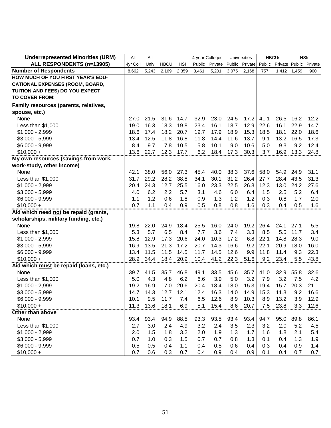| <b>Underrepresented Minorities (URM)</b> | All<br>All |       | 4-year Colleges |       | <b>Universities</b> |         | <b>HBCUs</b> |                | <b>HSIs</b> |                |       |                |
|------------------------------------------|------------|-------|-----------------|-------|---------------------|---------|--------------|----------------|-------------|----------------|-------|----------------|
| ALL RESPONDENTS (n=13905)                | 4yr Coll   | Univ  | <b>HBCU</b>     | HSI   | Public              | Private |              | Public Private |             | Public Private |       | Public Private |
| <b>Number of Respondents</b>             | 8,662      | 5,243 | 2,169           | 2,359 | 3,461               | 5,201   | 3,075        | 2,168          | 757         | 1,412          | 1,459 | 900            |
| HOW MUCH OF YOU FIRST YEAR'S EDU-        |            |       |                 |       |                     |         |              |                |             |                |       |                |
| <b>CATIONAL EXPENSES (ROOM, BOARD,</b>   |            |       |                 |       |                     |         |              |                |             |                |       |                |
| TUITION AND FEES) DO YOU EXPECT          |            |       |                 |       |                     |         |              |                |             |                |       |                |
| <b>TO COVER FROM:</b>                    |            |       |                 |       |                     |         |              |                |             |                |       |                |
| Family resources (parents, relatives,    |            |       |                 |       |                     |         |              |                |             |                |       |                |
| spouse, etc.)                            |            |       |                 |       |                     |         |              |                |             |                |       |                |
| None                                     | 27.0       | 21.5  | 31.6            | 14.7  | 32.9                | 23.0    | 24.5         | 17.2           | 41.1        | 26.5           | 16.2  | 12.2           |
| Less than $$1,000$                       | 19.0       | 16.3  | 18.3            | 19.8  | 23.4                | 16.1    | 18.7         | 12.9           | 22.6        | 16.1           | 22.9  | 14.7           |
| $$1,000 - 2,999$                         | 18.6       | 17.4  | 18.2            | 20.7  | 19.7                | 17.9    | 18.9         | 15.3           | 18.5        | 18.1           | 22.0  | 18.6           |
| $$3,000 - 5,999$                         | 13.4       | 12.5  | 11.8            | 16.8  | 11.8                | 14.4    | 11.6         | 13.7           | 9.1         | 13.2           | 16.5  | 17.3           |
| $$6,000 - 9,999$                         | 8.4        | 9.7   | 7.8             | 10.5  | 5.8                 | 10.1    | 9.0          | 10.6           | 5.0         | 9.3            | 9.2   | 12.4           |
| $$10,000 +$                              | 13.6       | 22.7  | 12.3            | 17.7  | 6.2                 | 18.4    | 17.3         | 30.3           | 3.7         | 16.9           | 13.3  | 24.8           |
| My own resources (savings from work,     |            |       |                 |       |                     |         |              |                |             |                |       |                |
| work-study, other income)                |            |       |                 |       |                     |         |              |                |             |                |       |                |
| None                                     | 42.1       | 38.0  | 56.0            | 27.3  | 45.4                | 40.0    | 38.3         | 37.6           | 58.0        | 54.9           | 24.9  | 31.1           |
| Less than $$1,000$                       | 31.7       | 29.2  | 28.2            | 38.8  | 34.1                | 30.1    | 31.2         | 26.4           | 27.7        | 28.4           | 43.5  | 31.3           |
| $$1,000 - 2,999$                         | 20.4       | 24.3  | 12.7            | 25.5  | 16.0                | 23.3    | 22.5         | 26.8           | 12.3        | 13.0           | 24.2  | 27.6           |
| $$3,000 - 5,999$                         | 4.0        | 6.2   | 2.2             | 5.7   | 3.1                 | 4.6     | 6.0          | 6.4            | 1.5         | 2.5            | 5.2   | 6.4            |
| \$6,000 - 9,999                          | 1.1        | 1.2   | 0.6             | 1.8   | 0.9                 | 1.3     | 1.2          | 1.2            | 0.3         | 0.8            | 1.7   | 2.0            |
| $$10,000 +$                              | 0.7        | 1.1   | 0.4             | 0.9   | 0.5                 | 0.8     | 0.8          | 1.6            | 0.3         | 0.4            | 0.5   | 1.6            |
| Aid which need not be repaid (grants,    |            |       |                 |       |                     |         |              |                |             |                |       |                |
| scholarships, military funding, etc.)    |            |       |                 |       |                     |         |              |                |             |                |       |                |
| None                                     | 19.8       | 22.0  | 24.9            | 18.4  | 25.5                | 16.0    | 24.0         | 19.2           | 26.4        | 24.1           | 27.1  | 5.5            |
| Less than $$1,000$                       | 5.3        | 5.7   | 6.5             | 8.4   | 7.7                 | 3.6     | 7.4          | 3.3            | 8.5         | 5.5            | 11.7  | 3.4            |
| $$1,000 - 2,999$                         | 15.8       | 12.9  | 17.3            | 20.6  | 24.0                | 10.3    | 17.2         | 6.8            | 22.1        | 14.8           | 28.3  | 9.0            |
| $$3,000 - 5,999$                         | 16.9       | 13.5  | 21.3            | 17.2  | 20.7                | 14.3    | 16.6         | 9.2            | 22.1        | 20.9           | 18.0  | 16.0           |
| $$6,000 - 9,999$                         | 13.4       | 11.5  | 11.5            | 14.5  | 11.7                | 14.5    | 12.6         | 9.9            | 11.8        | 11.4           | 9.3   | 22.3           |
| $$10,000 +$                              | 28.9       | 34.4  | 18.4            | 20.9  | 10.4                | 41.2    | 22.3         | 51.6           | 9.2         | 23.4           | 5.5   | 43.8           |
| Aid which must be repaid (loans, etc.)   |            |       |                 |       |                     |         |              |                |             |                |       |                |
| None                                     | 39.7       | 41.5  | 35.7            | 46.8  | 49.1                | 33.5    | 45.6         | 35.7           | 41.0        | 32.9           | 55.8  | 32.6           |
| Less than \$1,000                        | 5.0        | 4.3   | 4.8             | 6.2   | 6.6                 | 3.9     | 5.0          | 3.2            | 7.9         | 3.2            | 7.5   | 4.2            |
| $$1,000 - 2,999$                         | 19.2       | 16.9  | 17.0            | 20.6  | 20.4                | 18.4    | 18.0         | 15.3           | 19.4        | 15.7           | 20.3  | 21.1           |
| $$3,000 - 5,999$                         | 14.7       | 14.3  | 12.7            | 12.1  | 12.4                | 16.3    | 14.0         | 14.9           | 15.3        | 11.3           | 9.2   | 16.6           |
| $$6,000 - 9,999$                         | 10.1       | 9.5   | 11.7            | 7.4   | 6.5                 | 12.6    | 8.9          | 10.3           | 8.9         | 13.2           | 3.9   | 12.9           |
| $$10,000 +$                              | 11.3       | 13.6  | 18.1            | 6.9   | 5.1                 | 15.4    | 8.6          | 20.7           | 7.5         | 23.8           | 3.3   | 12.6           |
| Other than above                         |            |       |                 |       |                     |         |              |                |             |                |       |                |
| None                                     | 93.4       | 93.4  | 94.9            | 88.5  | 93.3                | 93.5    | 93.4         | 93.4           | 94.7        | 95.0           | 89.8  | 86.1           |
| Less than $$1,000$                       | 2.7        | 3.0   | 2.4             | 4.9   | 3.2                 | 2.4     | 3.5          | 2.3            | 3.2         | 2.0            | 5.2   | 4.5            |
| $$1,000 - 2,999$                         | 2.0        | 1.5   | 1.8             | 3.2   | 2.0                 | 1.9     | 1.3          | 1.7            | 1.6         | 1.8            | 2.1   | 5.4            |
| $$3,000 - 5,999$                         | 0.7        | 1.0   | 0.3             | 1.5   | 0.7                 | 0.7     | 0.8          | 1.3            | 0.1         | 0.4            | 1.3   | 1.9            |
| \$6,000 - 9,999                          | 0.5        | 0.5   | 0.4             | 1.1   | 0.4                 | 0.5     | 0.6          | 0.4            | 0.3         | 0.4            | 0.9   | 1.4            |
| $$10,000 +$                              | 0.7        | 0.6   | 0.3             | 0.7   | 0.4                 | 0.9     | 0.4          | 0.9            | 0.1         | 0.4            | 0.7   | 0.7            |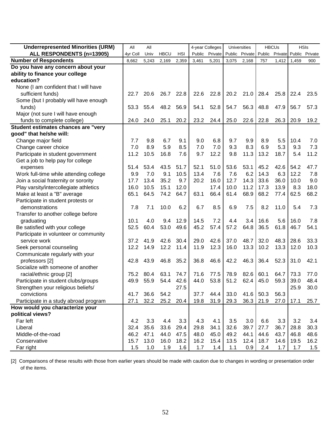| <b>Underrepresented Minorities (URM)</b> | All      | All   |             |            | 4-year Colleges |         | <b>Universities</b> |                | <b>HBCUs</b> |         | <b>HSIs</b> |                |
|------------------------------------------|----------|-------|-------------|------------|-----------------|---------|---------------------|----------------|--------------|---------|-------------|----------------|
| ALL RESPONDENTS (n=13905)                | 4yr Coll | Univ  | <b>HBCU</b> | <b>HSI</b> | Public          | Private |                     | Public Private | Public       | Private |             | Public Private |
| <b>Number of Respondents</b>             | 8,662    | 5,243 | 2,169       | 2,359      | 3,461           | 5,201   | 3,075               | 2,168          | 757          | 1,412   | 1,459       | 900            |
| Do you have any concern about your       |          |       |             |            |                 |         |                     |                |              |         |             |                |
| ability to finance your college          |          |       |             |            |                 |         |                     |                |              |         |             |                |
| education?                               |          |       |             |            |                 |         |                     |                |              |         |             |                |
| None (I am confident that I will have    |          |       |             |            |                 |         |                     |                |              |         |             |                |
| sufficient funds)                        | 22.7     | 20.6  | 26.7        | 22.8       | 22.6            | 22.8    | 20.2                | 21.0           | 28.4         | 25.8    | 22.4        | 23.5           |
| Some (but I probably will have enough    |          |       |             |            |                 |         |                     |                |              |         |             |                |
| funds)                                   | 53.3     | 55.4  | 48.2        | 56.9       | 54.1            | 52.8    | 54.7                | 56.3           | 48.8         | 47.9    | 56.7        | 57.3           |
| Major (not sure I will have enough       |          |       |             |            |                 |         |                     |                |              |         |             |                |
| funds to complete college)               | 24.0     | 24.0  | 25.1        | 20.2       | 23.2            | 24.4    | 25.0                | 22.6           | 22.8         | 26.3    | 20.9        | 19.2           |
| Student estimates chances are "very      |          |       |             |            |                 |         |                     |                |              |         |             |                |
| good" that he/she will:                  |          |       |             |            |                 |         |                     |                |              |         |             |                |
| Change major field                       | 7.7      | 9.8   | 6.7         | 9.1        | 9.0             | 6.8     | 9.7                 | 9.9            | 8.9          | 5.5     | 10.4        | 7.0            |
| Change career choice                     | 7.0      | 8.9   | 5.9         | 8.5        | 7.0             | 7.0     | 9.3                 | 8.3            | 6.9          | 5.3     | 9.3         | 7.3            |
| Participate in student government        | 11.2     | 10.5  | 16.8        | 7.6        | 9.7             | 12.2    | 9.8                 | 11.3           | 13.2         | 18.7    | 5.4         | 11.2           |
| Get a job to help pay for college        |          |       |             |            |                 |         |                     |                |              |         |             |                |
| expenses                                 | 51.4     | 53.4  | 43.5        | 51.7       | 52.1            | 51.0    | 53.6                | 53.1           | 45.2         | 42.6    | 54.2        | 47.7           |
| Work full-time while attending college   | 9.9      | 7.0   | 9.1         | 10.5       | 13.4            | 7.6     | 7.6                 | 6.2            | 14.3         | 6.3     | 12.2        | 7.8            |
| Join a social fraternity or sorority     | 17.7     | 13.4  | 35.2        | 9.7        | 20.2            | 16.0    | 12.7                | 14.3           | 33.6         | 36.0    | 10.0        | 9.0            |
| Play varsity/intercollegiate athletics   | 16.0     | 10.5  | 15.1        | 12.0       |                 | 17.4    | 10.0                | 11.2           | 17.3         | 13.9    | 8.3         | 18.0           |
| Make at least a "B" average              | 65.1     | 64.5  | 74.2        | 64.7       | 63.1            | 66.4    | 61.4                | 68.9           | 68.2         | 77.4    | 62.5        | 68.2           |
| Participate in student protests or       |          |       |             |            |                 |         |                     |                |              |         |             |                |
| demonstrations                           | 7.8      | 7.1   | 10.0        | 6.2        | 6.7             | 8.5     | 6.9                 | 7.5            | 8.2          | 11.0    | 5.4         | 7.3            |
| Transfer to another college before       |          |       |             |            |                 |         |                     |                |              |         |             |                |
| graduating                               | 10.1     | 4.0   | 9.4         | 12.9       | 14.5            | 7.2     | 4.4                 | 3.4            | 16.6         | 5.6     | 16.0        | 7.8            |
| Be satisfied with your college           | 52.5     | 60.4  | 53.0        | 49.6       | 45.2            | 57.4    | 57.2                | 64.8           | 36.5         | 61.8    | 46.7        | 54.1           |
| Participate in volunteer or community    |          |       |             |            |                 |         |                     |                |              |         |             |                |
| service work                             | 37.2     | 41.9  | 42.6        | 30.4       | 29.0            | 42.6    | 37.0                | 48.7           | 32.0         | 48.3    | 28.6        | 33.3           |
| Seek personal counseling                 | 12.2     | 14.9  | 12.2        | 11.4       | 11.9            | 12.3    | 16.0                | 13.3           | 10.2         | 13.3    | 12.0        | 10.3           |
| Communicate regularly with your          |          |       |             |            |                 |         |                     |                |              |         |             |                |
| professors [2]                           | 42.8     | 43.9  | 46.8        | 35.2       | 36.8            | 46.6    | 42.2                | 46.3           | 36.4         | 52.3    | 31.0        | 42.1           |
| Socialize with someone of another        |          |       |             |            |                 |         |                     |                |              |         |             |                |
| racial/ethnic group [2]                  | 75.2     | 80.4  | 63.1        | 74.7       | 71.6            | 77.5    | 78.9                | 82.6           | 60.1         | 64.7    | 73.3        | 77.0           |
| Participate in student clubs/groups      | 49.9     | 55.9  | 54.4        | 42.6       | 44.0            | 53.8    | 51.2                | 62.4           | 45.0         | 59.3    | 39.0        | 48.4           |
| Strengthen your religious beliefs/       |          |       |             | 27.5       |                 |         |                     |                |              |         | 25.9        | 30.0           |
| convictions                              | 41.7     | 36.6  | 54.2        |            | 37.7            | 44.4    | 33.0                | 41.6           | 50.3         | 56.3    |             |                |
| Participate in a study abroad program    | 27.1     | 32.2  | 25.2        | 20.4       | 19.8            | 31.9    | 29.3                | 36.3           | 21.9         | 27.0    | 17.1        | 25.7           |
| How would you characterize your          |          |       |             |            |                 |         |                     |                |              |         |             |                |
| political views?                         |          |       |             |            |                 |         |                     |                |              |         |             |                |
| Far left                                 | 4.2      | 3.3   | 4.4         | 3.3        | 4.3             | 4.1     | 3.5                 | 3.0            | 6.6          | 3.3     | 3.2         | 3.4            |
| Liberal                                  | 32.4     | 35.6  | 33.6        | 29.4       | 29.8            | 34.1    | 32.6                | 39.7           | 27.7         | 36.7    | 28.8        | 30.3           |
| Middle-of-the-road                       | 46.2     | 47.1  | 44.0        | 47.5       | 48.0            | 45.0    | 49.2                | 44.1           | 44.6         | 43.7    | 46.8        | 48.6           |
| Conservative                             | 15.7     | 13.0  | 16.0        | 18.2       | 16.2            | 15.4    | 13.5                | 12.4           | 18.7         | 14.6    | 19.5        | 16.2           |
| Far right                                | 1.5      | 1.0   | 1.9         | 1.6        | 1.7             | 1.4     | 1.1                 | 0.9            | 2.4          | 1.7     | 1.7         | 1.5            |

[2] Comparisons of these results with those from earlier years should be made with caution due to changes in wording or presentation order of the items.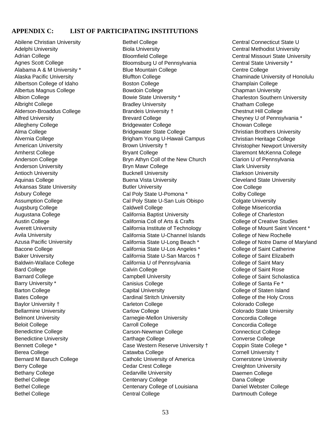#### **APPENDIX C: LIST OF PARTICIPATING INSTITUTIONS**

Bethel College Bethel College Bethel College Abilene Christian University Adelphi University Adrian College Agnes Scott College Alabama A & M University \* Alaska Pacific University Albertson College of Idaho Albertus Magnus College Albion College Albright College Alderson-Broaddus College Alfred University Allegheny College Alma College Alvernia College American University Amherst College Anderson College Anderson University Antioch University Aquinas College Arkansas State University Asbury College Assumption College Augsburg College Augustana College Austin College Averett University Avila University Azusa Pacific University Bacone College Baker University Baldwin-Wallace College Bard College Barnard College Barry University \* Barton College Bates College Baylor University † Bellarmine University Belmont University Beloit College Benedictine College Benedictine University Bennett College \* Berea College Bernard M Baruch College Berry College Bethany College

Centenary College Centenary College of Louisiana Central College Bethel College Biola University Bloomfield College Bloomsburg U of Pennsylvania Blue Mountain College Bluffton College Boston College Bowdoin College Bowie State University \* Bradley University Brandeis University † Brevard College Bridgewater College Bridgewater State College Brigham Young U-Hawaii Campus Brown University † Bryant College Bryn Athyn Coll of the New Church Bryn Mawr College Bucknell University Buena Vista University Butler University Cal Poly State U-Pomona \* Cal Poly State U-San Luis Obispo Caldwell College California Baptist University California Coll of Arts & Crafts California Institute of Technology California State U-Channel Islands California State U-Long Beach \* California State U-Los Angeles \* California State U-San Marcos † California U of Pennsylvania Calvin College Campbell University Canisius College Capital University Cardinal Stritch University Carleton College Carlow College Carnegie-Mellon University Carroll College Carson-Newman College Carthage College Case Western Reserve University † Catawba College Catholic University of America Cedar Crest College Cedarville University

Dana College Daniel Webster College Dartmouth College Central Connecticut State U Central Methodist University Central Missouri State University Central State University \* Centre College Chaminade University of Honolulu Champlain College Chapman University Charleston Southern University Chatham College Chestnut Hill College Cheyney U of Pennsylvania \* Chowan College Christian Brothers University Christian Heritage College Christopher Newport University Claremont McKenna College Clarion U of Pennsylvania Clark University Clarkson University Cleveland State University Coe College Colby College Colgate University College Misericordia College of Charleston College of Creative Studies College of Mount Saint Vincent \* College of New Rochelle College of Notre Dame of Maryland College of Saint Catherine College of Saint Elizabeth College of Saint Mary College of Saint Rose College of Saint Scholastica College of Santa Fe \* College of Staten Island College of the Holy Cross Colorado College Colorado State University Concordia College Concordia College Connecticut College Converse College Coppin State College \* Cornell University † Cornerstone University Creighton University Daemen College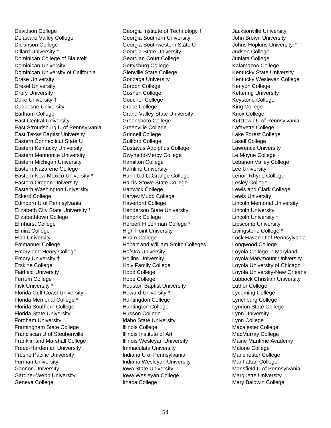<span id="page-56-0"></span>Davidson College Georgia Institute of Technology  $\dagger$ Dominican University of California East Stroudsburg U of Pennsylvania East Texas Baptist University Eastern New Mexico University \* \* Elizabeth City State University Florida Gulf Coast University Delaware Valley College Dickinson College Dillard University \* Dominican College of Blauvelt Dominican University Drake University Drexel University Drury University Duke University † Duquesne University Earlham College East Central University Eastern Connecticut State U Eastern Kentucky University Eastern Mennonite University Eastern Michigan University Eastern Nazarene College Eastern Oregon University Eastern Washington University Eckerd College Edinboro U of Pennsylvania Elizabethtown College Elmhurst College Elmira College Elon University Emmanuel College Emory and Henry College Emory University † Erskine College Fairfield University Ferrum College Fisk University \* Florida Memorial College \* Florida Southern College Florida State University Fordham University Framingham State College Franciscan U of Steubenville Franklin and Marshall College Freed-Hardeman University Fresno Pacific University Furman University Gannon University Gardner-Webb University Geneva College

Georgia Southwestern State U Georgia Southern University Georgia State University Georgian Court College Gettysburg College Glenville State College Gonzaga University Gordon College Goshen College Goucher College Grace College Grand Valley State University Greensboro College Greenville College Grinnell College Guilford College Gustavus Adolphus College Gwynedd-Mercy College Hamilton College Hamline University Hannibal-LaGrange College Harris-Stowe State College Hartwick College Harvey Mudd College Haverford College Henderson State University Hendrix College Herbert H Lehman College \* High Point University Hiram College Hobart and William Smith Colleges Hofstra University Hollins University Holy Family College Hood College Hope College Houston Baptist University Howard University \* Huntingdon College Huntington College Husson College Idaho State University Illinois College Illinois Institute of Art Illinois Wesleyan University Immaculata University Indiana U of Pennsylvania Indiana Wesleyan University Iowa State University Iowa Wesleyan College Ithaca College

Jacksonville University John Brown University Johns Hopkins University † Judson College Juniata College Kalamazoo College Kentucky State University Kentucky Wesleyan College Kenyon College Kettering University Keystone College King College Knox College Kutztown U of Pennsylvania Lafayette College Lake Forest College Lasell College Lawrence University Le Moyne College Lebanon Valley College Lee University Lenoir-Rhyne College Lesley College Lewis and Clark College Lewis University Lincoln Memorial University Lincoln University Lincoln University \* Lipscomb University Livingstone College \* Lock Haven U of Pennsylvania Longwood College Loyola College in Maryland Loyola Marymount University Loyola University of Chicago Loyola University-New Orleans Lubbock Christian University Luther College Lycoming College Lynchburg College Lyndon State College Lynn University Lyon College Macalester College MacMurray College Maine Maritime Academy Malone College Manchester College Manhattan College Mansfield U of Pennsylvania Marquette University Mary Baldwin College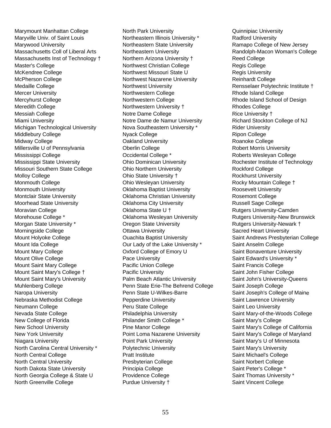Marymount Manhattan College Massachusetts Coll of Liberal Arts † Massachusetts Inst of Technology Mount Saint Mary's College † Mount Saint Mary's University Muhlenberg College Maryville Univ. of Saint Louis Marywood University Master's College McKendree College McPherson College Medaille College Mercer University Mercyhurst College Meredith College Messiah College Miami University Michigan Technological University Middlebury College Midway College Millersville U of Pennsylvania Mississippi College Mississippi State University Missouri Southern State College Molloy College Monmouth College Monmouth University Montclair State University Moorhead State University Moravian College Morehouse College \* Morgan State University \* Morningside College Mount Holyoke College Mount Ida College Mount Mary College Mount Olive College Mount Saint Mary College Naropa University Nebraska Methodist College Neumann College Nevada State College New College of Florida New School University New York University Niagara University North Carolina Central University \* North Central College North Central University North Dakota State University North Georgia College & State U North Greenville College

 Northwest Nazarene University Northwestern University  $\dagger$ Notre Dame de Namur University Nova Southeastern University \* Oklahoma Wesleyan University Palm Beach Atlantic University Penn State Erie-The Behrend College Pepperdine University Point Loma Nazarene University North Park University Northeastern Illinois University \* Northeastern State University Northeastern University Northern Arizona University † Northwest Christian College Northwest Missouri State U Northwest University Northwestern College Northwestern College Notre Dame College Nyack College Oakland University Oberlin College Occidental College \* Ohio Dominican University Ohio Northern University Ohio State University † Ohio Wesleyan University Oklahoma Baptist University Oklahoma Christian University Oklahoma City University Oklahoma State U † Oregon State University Ottawa University Ouachita Baptist University Our Lady of the Lake University \* Oxford College of Emory U Pace University Pacific Union College Pacific University Penn State U-Wilkes-Barre Peru State College Philadelphia University Philander Smith College \* Pine Manor College Point Park University Polytechnic University Pratt Institute Presbyterian College Principia College Providence College Purdue University †

Randolph-Macon Woman's College Rensselaer Polytechnic Institute † Rhode Island School of Design Rochester Institute of Technology † Rocky Mountain College Rutgers University-New Brunswick Saint Joseph's College of Maine Saint Mary-of-the-Woods College Saint Mary's College of California Saint Mary's College of Maryland Quinnipiac University Radford University Ramapo College of New Jersey Reed College Regis College Regis University Reinhardt College Rhode Island College Rhodes College Rice University † Richard Stockton College of NJ Rider University Ripon College Roanoke College Robert Morris University Roberts Wesleyan College Rockford College Rockhurst University Roosevelt University Rosemont College Russell Sage College Rutgers University-Camden Rutgers University-Newark † Sacred Heart University Saint Andrews Presbyterian College Saint Anselm College Saint Bonaventure University Saint Edward's University \* Saint Francis College Saint John Fisher College Saint John's University-Queens Saint Joseph College Saint Lawrence University Saint Leo University Saint Mary's College Saint Mary's U of Minnesota Saint Mary's University Saint Michael's College Saint Norbert College Saint Peter's College \* Saint Thomas University \* Saint Vincent College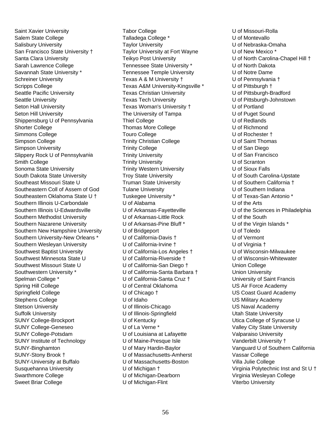Saint Xavier University Salem State College Salisbury University San Francisco State University † Santa Clara University Sarah Lawrence College Shippensburg U of Pennsylvania Slippery Rock U of Pennsylvania South Dakota State University Southeastern Coll of Assem of God Southeastern Oklahoma State U † Southern Illinois U-Edwardsville Southern New Hampshire University Southern Wesleyan University Savannah State University \* Schreiner University Scripps College Seattle Pacific University Seattle University Seton Hall University Seton Hill University Shorter College Simmons College Simpson College Simpson University Smith College Sonoma State University Southeast Missouri State U Southern Illinois U-Carbondale Southern Methodist University Southern Nazarene University Southern University-New Orleans \* Southwest Baptist University Southwest Minnesota State U Southwest Missouri State U Southwestern University \* Spelman College \* Spring Hill College Springfield College Stephens College Stetson University Suffolk University SUNY College-Brockport SUNY College-Geneseo SUNY College-Potsdam SUNY Institute of Technology SUNY-Binghamton SUNY-Stony Brook † SUNY-University at Buffalo Susquehanna University Swarthmore College Sweet Briar College

 Taylor University at Fort Wayne \* Texas A&M University-Kingsville U of California-Los Angeles  $\dagger$ U of California-Riverside † U of California-Santa Barbara † U of Maine-Presque Isle U of Massachusetts-Amherst Tabor College Talladega College \* Taylor University Teikyo Post University Tennessee State University \* Tennessee Temple University Texas A & M University † Texas Christian University Texas Tech University Texas Woman's University † The University of Tampa Thiel College Thomas More College Touro College Trinity Christian College Trinity College Trinity University Trinity University Trinity Western University Troy State University Truman State University Tulane University Tuskegee University \* U of Alabama U of Arkansas-Fayetteville U of Arkansas-Little Rock U of Arkansas-Pine Bluff \* U of Bridgeport U of California-Davis † U of California-Irvine † U of California-San Diego † U of California-Santa Cruz † U of Central Oklahoma U of Chicago † U of Idaho U of Illinois-Chicago U of Illinois-Springfield U of Kentucky U of La Verne \* U of Louisiana at Lafayette U of Mary Hardin-Baylor U of Massachusetts-Boston U of Michigan † U of Michigan-Dearborn U of Michigan-Flint

U of North Carolina-Chapel Hill + Vanguard U of Southern California Virginia Polytechnic Inst and St U  $\dagger$ U of Missouri-Rolla U of Montevallo U of Nebraska-Omaha U of New Mexico \* U of North Dakota U of Notre Dame U of Pennsylvania † U of Pittsburgh † U of Pittsburgh-Bradford U of Pittsburgh-Johnstown U of Portland U of Puget Sound U of Redlands U of Richmond U of Rochester † U of Saint Thomas U of San Diego U of San Francisco U of Scranton U of Sioux Falls U of South Carolina-Upstate U of Southern California † U of Southern Indiana U of Texas-San Antonio \* U of the Arts U of the Sciences in Philadelphia U of the South U of the Virgin Islands \* U of Toledo U of Vermont U of Virginia † U of Wisconsin-Milwaukee U of Wisconsin-Whitewater Union College Union University University of Saint Francis US Air Force Academy US Coast Guard Academy US Military Academy US Naval Academy Utah State University Utica College of Syracuse U Valley City State University Valparaiso University Vanderbilt University † Vassar College Villa Julie College Virginia Wesleyan College Viterbo University